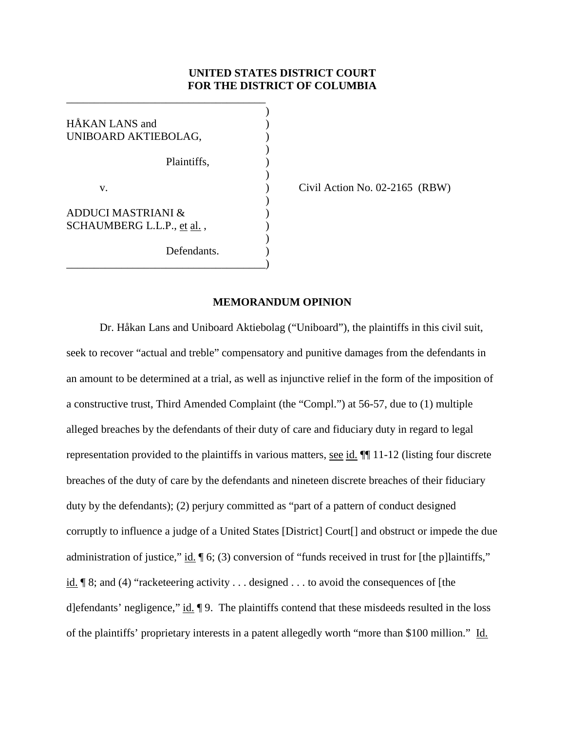# **UNITED STATES DISTRICT COURT FOR THE DISTRICT OF COLUMBIA**

)

)

)

)

)

HÅKAN LANS and () UNIBOARD AKTIEBOLAG, Plaintiffs, ) v. ) Civil Action No. 02-2165 (RBW) ADDUCI MASTRIANI & ) SCHAUMBERG L.L.P., et al., Defendants. \_\_\_\_\_\_\_\_\_\_\_\_\_\_\_\_\_\_\_\_\_\_\_\_\_\_\_\_\_\_\_\_\_\_\_\_)

\_\_\_\_\_\_\_\_\_\_\_\_\_\_\_\_\_\_\_\_\_\_\_\_\_\_\_\_\_\_\_\_\_\_\_\_

### **MEMORANDUM OPINION**

Dr. Håkan Lans and Uniboard Aktiebolag ("Uniboard"), the plaintiffs in this civil suit, seek to recover "actual and treble" compensatory and punitive damages from the defendants in an amount to be determined at a trial, as well as injunctive relief in the form of the imposition of a constructive trust, Third Amended Complaint (the "Compl.") at 56-57, due to (1) multiple alleged breaches by the defendants of their duty of care and fiduciary duty in regard to legal representation provided to the plaintiffs in various matters, see id. ¶¶ 11-12 (listing four discrete breaches of the duty of care by the defendants and nineteen discrete breaches of their fiduciary duty by the defendants); (2) perjury committed as "part of a pattern of conduct designed corruptly to influence a judge of a United States [District] Court[] and obstruct or impede the due administration of justice," id.  $\lceil 6; (3)$  conversion of "funds received in trust for [the p]laintiffs," id. ¶ 8; and (4) "racketeering activity . . . designed . . . to avoid the consequences of [the d]efendants' negligence," id. ¶ 9. The plaintiffs contend that these misdeeds resulted in the loss of the plaintiffs' proprietary interests in a patent allegedly worth "more than \$100 million." Id.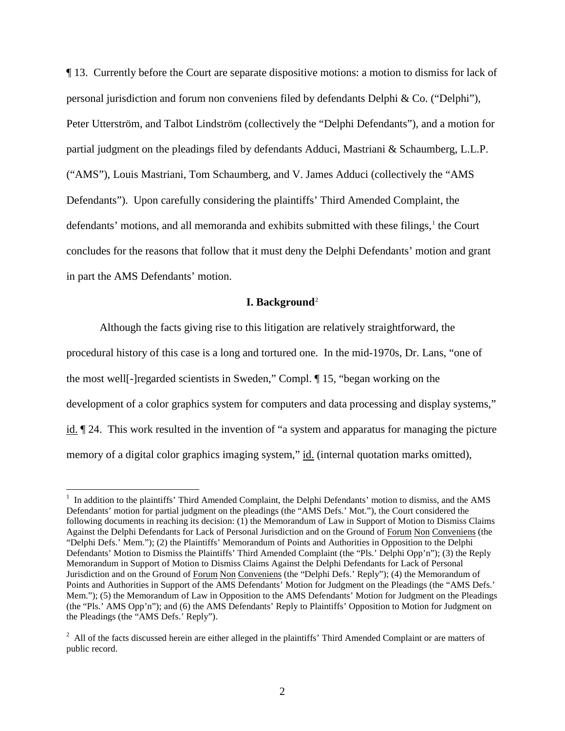¶ 13. Currently before the Court are separate dispositive motions: a motion to dismiss for lack of personal jurisdiction and forum non conveniens filed by defendants Delphi  $\&$  Co. ("Delphi"), Peter Utterström, and Talbot Lindström (collectively the "Delphi Defendants"), and a motion for partial judgment on the pleadings filed by defendants Adduci, Mastriani & Schaumberg, L.L.P. ("AMS"), Louis Mastriani, Tom Schaumberg, and V. James Adduci (collectively the "AMS Defendants"). Upon carefully considering the plaintiffs' Third Amended Complaint, the defendants' motions, and all memoranda and exhibits submitted with these filings,<sup>[1](#page-112-0)</sup> the Court concludes for the reasons that follow that it must deny the Delphi Defendants' motion and grant in part the AMS Defendants' motion.

### **I. Background**[2](#page-1-0)

Although the facts giving rise to this litigation are relatively straightforward, the procedural history of this case is a long and tortured one. In the mid-1970s, Dr. Lans, "one of the most well[-]regarded scientists in Sweden," Compl. ¶ 15, "began working on the development of a color graphics system for computers and data processing and display systems," id. ¶ 24. This work resulted in the invention of "a system and apparatus for managing the picture memory of a digital color graphics imaging system," id. (internal quotation marks omitted),

 $\frac{1}{1}$ <sup>1</sup> In addition to the plaintiffs' Third Amended Complaint, the Delphi Defendants' motion to dismiss, and the AMS Defendants' motion for partial judgment on the pleadings (the "AMS Defs.' Mot."), the Court considered the following documents in reaching its decision: (1) the Memorandum of Law in Support of Motion to Dismiss Claims Against the Delphi Defendants for Lack of Personal Jurisdiction and on the Ground of Forum Non Conveniens (the "Delphi Defs.' Mem."); (2) the Plaintiffs' Memorandum of Points and Authorities in Opposition to the Delphi Defendants' Motion to Dismiss the Plaintiffs' Third Amended Complaint (the "Pls.' Delphi Opp'n"); (3) the Reply Memorandum in Support of Motion to Dismiss Claims Against the Delphi Defendants for Lack of Personal Jurisdiction and on the Ground of Forum Non Conveniens (the "Delphi Defs.' Reply"); (4) the Memorandum of Points and Authorities in Support of the AMS Defendants' Motion for Judgment on the Pleadings (the "AMS Defs.' Mem."); (5) the Memorandum of Law in Opposition to the AMS Defendants' Motion for Judgment on the Pleadings (the "Pls.' AMS Opp'n"); and (6) the AMS Defendants' Reply to Plaintiffs' Opposition to Motion for Judgment on the Pleadings (the "AMS Defs.' Reply").

<span id="page-1-1"></span><span id="page-1-0"></span> $2$  All of the facts discussed herein are either alleged in the plaintiffs' Third Amended Complaint or are matters of public record.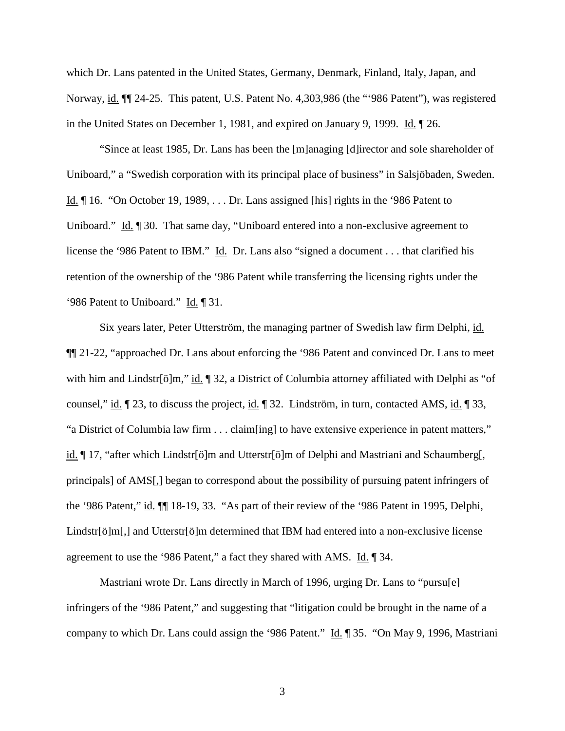which Dr. Lans patented in the United States, Germany, Denmark, Finland, Italy, Japan, and Norway, id. ¶¶ 24-25. This patent, U.S. Patent No. 4,303,986 (the "'986 Patent"), was registered in the United States on December 1, 1981, and expired on January 9, 1999. Id. ¶ 26.

"Since at least 1985, Dr. Lans has been the [m]anaging [d]irector and sole shareholder of Uniboard," a "Swedish corporation with its principal place of business" in Salsjöbaden, Sweden. Id. ¶ 16. "On October 19, 1989, . . . Dr. Lans assigned [his] rights in the '986 Patent to Uniboard." Id. ¶ 30. That same day, "Uniboard entered into a non-exclusive agreement to license the '986 Patent to IBM." Id. Dr. Lans also "signed a document . . . that clarified his retention of the ownership of the '986 Patent while transferring the licensing rights under the '986 Patent to Uniboard." Id. ¶ 31.

Six years later, Peter Utterström, the managing partner of Swedish law firm Delphi, id. ¶¶ 21-22, "approached Dr. Lans about enforcing the '986 Patent and convinced Dr. Lans to meet with him and Lindstr[ö]m," id. ¶ 32, a District of Columbia attorney affiliated with Delphi as "of counsel," id.  $\parallel$  23, to discuss the project, id.  $\parallel$  32. Lindström, in turn, contacted AMS, id.  $\parallel$  33, "a District of Columbia law firm . . . claim[ing] to have extensive experience in patent matters," id. ¶ 17, "after which Lindstr[ö]m and Utterstr[ö]m of Delphi and Mastriani and Schaumberg[, principals] of AMS[,] began to correspond about the possibility of pursuing patent infringers of the '986 Patent," id. ¶¶ 18-19, 33. "As part of their review of the '986 Patent in 1995, Delphi, Lindstr[ö]m[,] and Utterstr[ö]m determined that IBM had entered into a non-exclusive license agreement to use the '986 Patent," a fact they shared with AMS. Id. ¶ 34.

Mastriani wrote Dr. Lans directly in March of 1996, urging Dr. Lans to "pursu[e] infringers of the '986 Patent," and suggesting that "litigation could be brought in the name of a company to which Dr. Lans could assign the '986 Patent." Id.  $\parallel$  35. "On May 9, 1996, Mastriani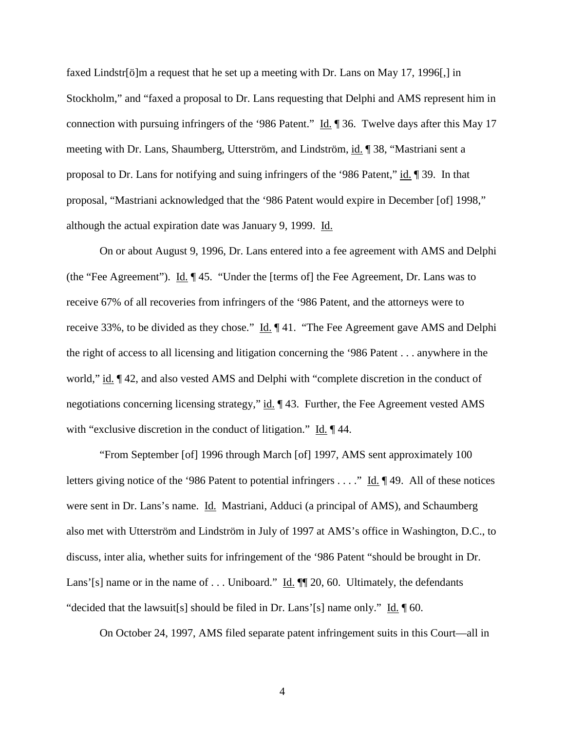faxed Lindstr[ö]m a request that he set up a meeting with Dr. Lans on May 17, 1996[,] in Stockholm," and "faxed a proposal to Dr. Lans requesting that Delphi and AMS represent him in connection with pursuing infringers of the '986 Patent." Id. ¶ 36. Twelve days after this May 17 meeting with Dr. Lans, Shaumberg, Utterström, and Lindström, id. ¶ 38, "Mastriani sent a proposal to Dr. Lans for notifying and suing infringers of the '986 Patent," id. ¶ 39. In that proposal, "Mastriani acknowledged that the '986 Patent would expire in December [of] 1998," although the actual expiration date was January 9, 1999. Id.

On or about August 9, 1996, Dr. Lans entered into a fee agreement with AMS and Delphi (the "Fee Agreement"). Id. ¶ 45. "Under the [terms of] the Fee Agreement, Dr. Lans was to receive 67% of all recoveries from infringers of the '986 Patent, and the attorneys were to receive 33%, to be divided as they chose." Id. ¶ 41. "The Fee Agreement gave AMS and Delphi the right of access to all licensing and litigation concerning the '986 Patent . . . anywhere in the world," id. ¶ 42, and also vested AMS and Delphi with "complete discretion in the conduct of negotiations concerning licensing strategy," id.  $\parallel$  43. Further, the Fee Agreement vested AMS with "exclusive discretion in the conduct of litigation." Id. 144.

"From September [of] 1996 through March [of] 1997, AMS sent approximately 100 letters giving notice of the '986 Patent to potential infringers . . . ." Id. ¶ 49. All of these notices were sent in Dr. Lans's name. Id. Mastriani, Adduci (a principal of AMS), and Schaumberg also met with Utterström and Lindström in July of 1997 at AMS's office in Washington, D.C., to discuss, inter alia, whether suits for infringement of the '986 Patent "should be brought in Dr. Lans'[s] name or in the name of . . . Uniboard." Id.  $\P$ [20, 60. Ultimately, the defendants "decided that the lawsuit[s] should be filed in Dr. Lans'[s] name only." Id.  $\P$  60.

On October 24, 1997, AMS filed separate patent infringement suits in this Court—all in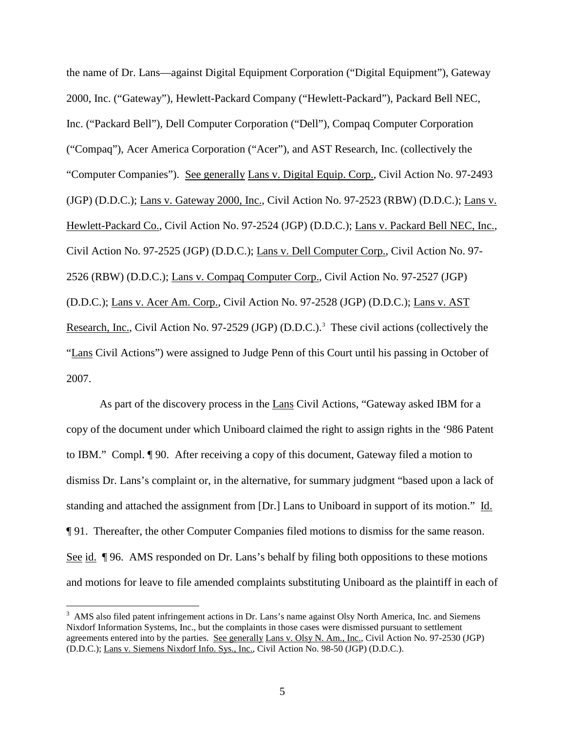the name of Dr. Lans—against Digital Equipment Corporation ("Digital Equipment"), Gateway 2000, Inc. ("Gateway"), Hewlett-Packard Company ("Hewlett-Packard"), Packard Bell NEC, Inc. ("Packard Bell"), Dell Computer Corporation ("Dell"), Compaq Computer Corporation ("Compaq"), Acer America Corporation ("Acer"), and AST Research, Inc. (collectively the "Computer Companies"). See generally Lans v. Digital Equip. Corp., Civil Action No. 97-2493 (JGP) (D.D.C.); Lans v. Gateway 2000, Inc., Civil Action No. 97-2523 (RBW) (D.D.C.); Lans v. Hewlett-Packard Co., Civil Action No. 97-2524 (JGP) (D.D.C.); Lans v. Packard Bell NEC, Inc., Civil Action No. 97-2525 (JGP) (D.D.C.); Lans v. Dell Computer Corp., Civil Action No. 97- 2526 (RBW) (D.D.C.); Lans v. Compaq Computer Corp., Civil Action No. 97-2527 (JGP) (D.D.C.); Lans v. Acer Am. Corp., Civil Action No. 97-2528 (JGP) (D.D.C.); Lans v. AST Research, Inc., Civil Action No. 97-2529 (JGP) (D.D.C.).<sup>[3](#page-1-1)</sup> These civil actions (collectively the "Lans Civil Actions") were assigned to Judge Penn of this Court until his passing in October of 2007.

As part of the discovery process in the Lans Civil Actions, "Gateway asked IBM for a copy of the document under which Uniboard claimed the right to assign rights in the '986 Patent to IBM." Compl. ¶ 90. After receiving a copy of this document, Gateway filed a motion to dismiss Dr. Lans's complaint or, in the alternative, for summary judgment "based upon a lack of standing and attached the assignment from [Dr.] Lans to Uniboard in support of its motion." Id. ¶ 91. Thereafter, the other Computer Companies filed motions to dismiss for the same reason. See id. ¶ 96. AMS responded on Dr. Lans's behalf by filing both oppositions to these motions and motions for leave to file amended complaints substituting Uniboard as the plaintiff in each of

<span id="page-4-0"></span><sup>&</sup>lt;sup>2</sup><br>3 <sup>3</sup> AMS also filed patent infringement actions in Dr. Lans's name against Olsy North America, Inc. and Siemens Nixdorf Information Systems, Inc., but the complaints in those cases were dismissed pursuant to settlement agreements entered into by the parties. See generally Lans v. Olsy N. Am., Inc., Civil Action No. 97-2530 (JGP) (D.D.C.); Lans v. Siemens Nixdorf Info. Sys., Inc., Civil Action No. 98-50 (JGP) (D.D.C.).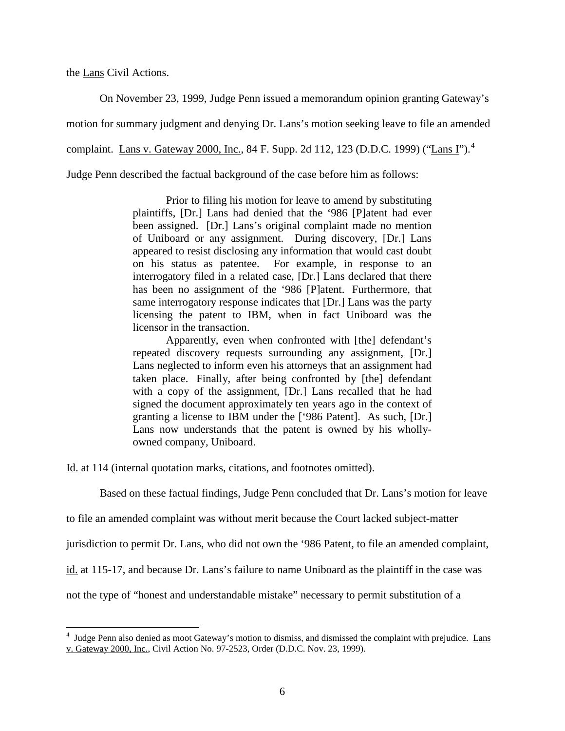the Lans Civil Actions.

On November 23, 1999, Judge Penn issued a memorandum opinion granting Gateway's

motion for summary judgment and denying Dr. Lans's motion seeking leave to file an amended

complaint. Lans v. Gateway 2000, Inc., 8[4](#page-4-0) F. Supp. 2d 112, 123 (D.D.C. 1999) ("Lans I").<sup>4</sup>

Judge Penn described the factual background of the case before him as follows:

Prior to filing his motion for leave to amend by substituting plaintiffs, [Dr.] Lans had denied that the '986 [P]atent had ever been assigned. [Dr.] Lans's original complaint made no mention of Uniboard or any assignment. During discovery, [Dr.] Lans appeared to resist disclosing any information that would cast doubt on his status as patentee. For example, in response to an interrogatory filed in a related case, [Dr.] Lans declared that there has been no assignment of the '986 [P]atent. Furthermore, that same interrogatory response indicates that [Dr.] Lans was the party licensing the patent to IBM, when in fact Uniboard was the licensor in the transaction.

Apparently, even when confronted with [the] defendant's repeated discovery requests surrounding any assignment, [Dr.] Lans neglected to inform even his attorneys that an assignment had taken place. Finally, after being confronted by [the] defendant with a copy of the assignment, [Dr.] Lans recalled that he had signed the document approximately ten years ago in the context of granting a license to IBM under the ['986 Patent]. As such, [Dr.] Lans now understands that the patent is owned by his whollyowned company, Uniboard.

Id. at 114 (internal quotation marks, citations, and footnotes omitted).

Based on these factual findings, Judge Penn concluded that Dr. Lans's motion for leave

to file an amended complaint was without merit because the Court lacked subject-matter

jurisdiction to permit Dr. Lans, who did not own the '986 Patent, to file an amended complaint,

id. at 115-17, and because Dr. Lans's failure to name Uniboard as the plaintiff in the case was

<span id="page-5-0"></span>not the type of "honest and understandable mistake" necessary to permit substitution of a

 $\frac{1}{4}$ <sup>4</sup> Judge Penn also denied as moot Gateway's motion to dismiss, and dismissed the complaint with prejudice. Lans v. Gateway 2000, Inc., Civil Action No. 97-2523, Order (D.D.C. Nov. 23, 1999).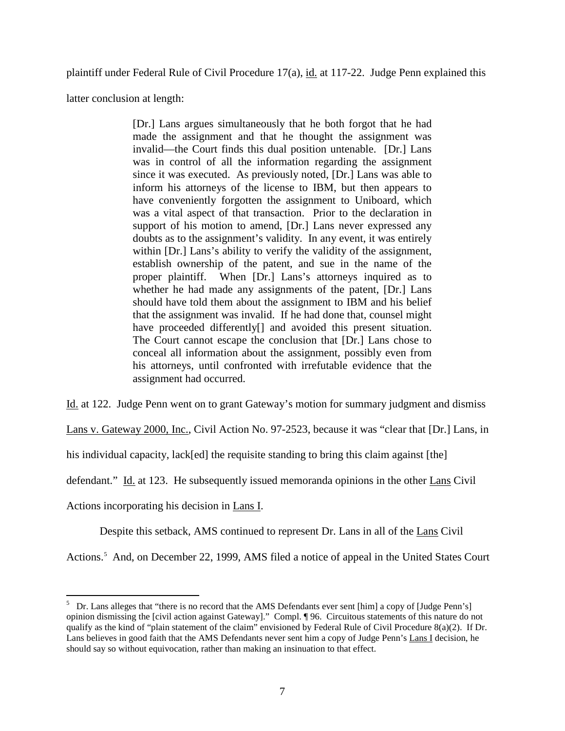plaintiff under Federal Rule of Civil Procedure 17(a), id. at 117-22. Judge Penn explained this

latter conclusion at length:

[Dr.] Lans argues simultaneously that he both forgot that he had made the assignment and that he thought the assignment was invalid—the Court finds this dual position untenable. [Dr.] Lans was in control of all the information regarding the assignment since it was executed. As previously noted, [Dr.] Lans was able to inform his attorneys of the license to IBM, but then appears to have conveniently forgotten the assignment to Uniboard, which was a vital aspect of that transaction. Prior to the declaration in support of his motion to amend, [Dr.] Lans never expressed any doubts as to the assignment's validity. In any event, it was entirely within [Dr.] Lans's ability to verify the validity of the assignment, establish ownership of the patent, and sue in the name of the proper plaintiff. When [Dr.] Lans's attorneys inquired as to whether he had made any assignments of the patent, [Dr.] Lans should have told them about the assignment to IBM and his belief that the assignment was invalid. If he had done that, counsel might have proceeded differently<sup>[]</sup> and avoided this present situation. The Court cannot escape the conclusion that [Dr.] Lans chose to conceal all information about the assignment, possibly even from his attorneys, until confronted with irrefutable evidence that the assignment had occurred.

Id. at 122. Judge Penn went on to grant Gateway's motion for summary judgment and dismiss

Lans v. Gateway 2000, Inc., Civil Action No. 97-2523, because it was "clear that [Dr.] Lans, in

his individual capacity, lack[ed] the requisite standing to bring this claim against [the]

defendant." Id. at 123. He subsequently issued memoranda opinions in the other Lans Civil

Actions incorporating his decision in Lans I.

Despite this setback, AMS continued to represent Dr. Lans in all of the Lans Civil

<span id="page-6-0"></span>Actions.<sup>[5](#page-5-0)</sup> And, on December 22, 1999, AMS filed a notice of appeal in the United States Court

 <sup>5</sup> <sup>5</sup> Dr. Lans alleges that "there is no record that the AMS Defendants ever sent [him] a copy of [Judge Penn's] opinion dismissing the [civil action against Gateway]." Compl. ¶ 96. Circuitous statements of this nature do not qualify as the kind of "plain statement of the claim" envisioned by Federal Rule of Civil Procedure 8(a)(2). If Dr. Lans believes in good faith that the AMS Defendants never sent him a copy of Judge Penn's Lans I decision, he should say so without equivocation, rather than making an insinuation to that effect.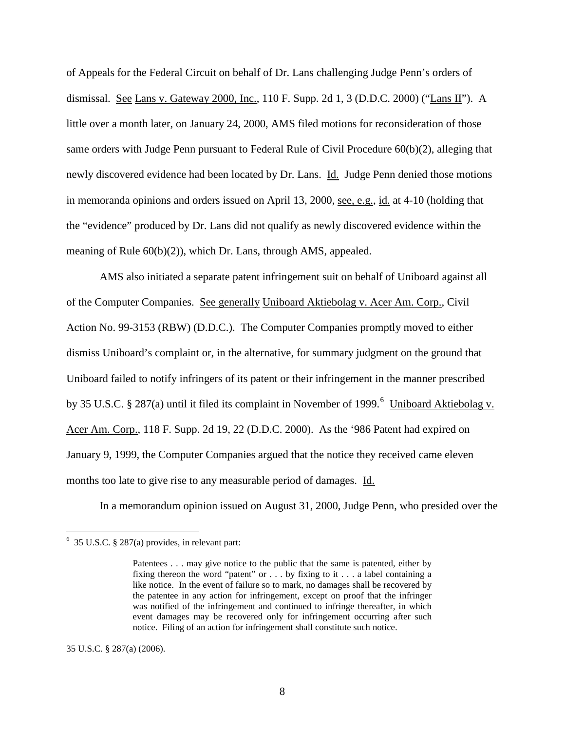of Appeals for the Federal Circuit on behalf of Dr. Lans challenging Judge Penn's orders of dismissal. See Lans v. Gateway 2000, Inc., 110 F. Supp. 2d 1, 3 (D.D.C. 2000) ("Lans II"). A little over a month later, on January 24, 2000, AMS filed motions for reconsideration of those same orders with Judge Penn pursuant to Federal Rule of Civil Procedure 60(b)(2), alleging that newly discovered evidence had been located by Dr. Lans. Id. Judge Penn denied those motions in memoranda opinions and orders issued on April 13, 2000, see, e.g., id. at 4-10 (holding that the "evidence" produced by Dr. Lans did not qualify as newly discovered evidence within the meaning of Rule 60(b)(2)), which Dr. Lans, through AMS, appealed.

AMS also initiated a separate patent infringement suit on behalf of Uniboard against all of the Computer Companies. See generally Uniboard Aktiebolag v. Acer Am. Corp., Civil Action No. 99-3153 (RBW) (D.D.C.). The Computer Companies promptly moved to either dismiss Uniboard's complaint or, in the alternative, for summary judgment on the ground that Uniboard failed to notify infringers of its patent or their infringement in the manner prescribed by 35 U.S.C. § 287(a) until it filed its complaint in November of 1999.<sup>[6](#page-6-0)</sup> Uniboard Aktiebolag v. Acer Am. Corp., 118 F. Supp. 2d 19, 22 (D.D.C. 2000). As the '986 Patent had expired on January 9, 1999, the Computer Companies argued that the notice they received came eleven months too late to give rise to any measurable period of damages. Id.

In a memorandum opinion issued on August 31, 2000, Judge Penn, who presided over the

<span id="page-7-0"></span>35 U.S.C. § 287(a) (2006).

 $\frac{1}{6}$  $6\,$  35 U.S.C. § 287(a) provides, in relevant part:

Patentees . . . may give notice to the public that the same is patented, either by fixing thereon the word "patent" or . . . by fixing to it . . . a label containing a like notice. In the event of failure so to mark, no damages shall be recovered by the patentee in any action for infringement, except on proof that the infringer was notified of the infringement and continued to infringe thereafter, in which event damages may be recovered only for infringement occurring after such notice. Filing of an action for infringement shall constitute such notice.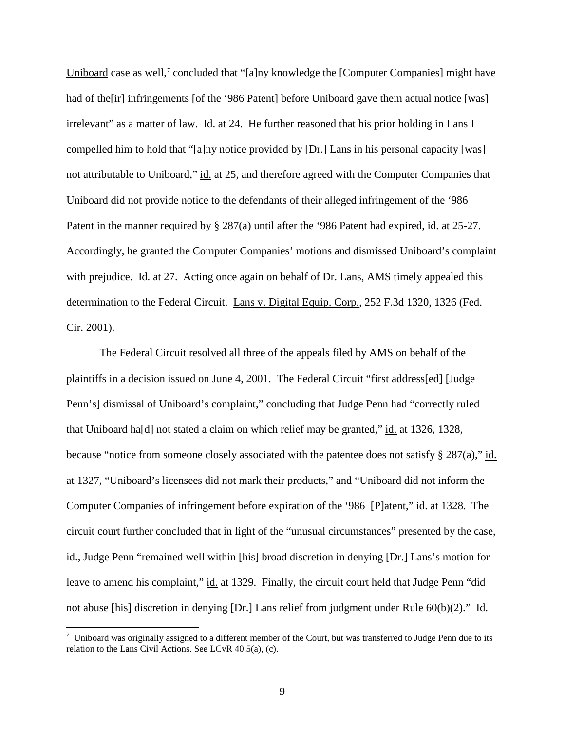Uniboard case as well,<sup>[7](#page-7-0)</sup> concluded that "[a]ny knowledge the [Computer Companies] might have had of the [ir] infringements [of the '986 Patent] before Uniboard gave them actual notice [was] irrelevant" as a matter of law. Id. at 24. He further reasoned that his prior holding in Lans I compelled him to hold that "[a]ny notice provided by [Dr.] Lans in his personal capacity [was] not attributable to Uniboard," id. at 25, and therefore agreed with the Computer Companies that Uniboard did not provide notice to the defendants of their alleged infringement of the '986 Patent in the manner required by § 287(a) until after the '986 Patent had expired, id. at 25-27. Accordingly, he granted the Computer Companies' motions and dismissed Uniboard's complaint with prejudice. Id. at 27. Acting once again on behalf of Dr. Lans, AMS timely appealed this determination to the Federal Circuit. Lans v. Digital Equip. Corp., 252 F.3d 1320, 1326 (Fed. Cir. 2001).

The Federal Circuit resolved all three of the appeals filed by AMS on behalf of the plaintiffs in a decision issued on June 4, 2001. The Federal Circuit "first address[ed] [Judge Penn's] dismissal of Uniboard's complaint," concluding that Judge Penn had "correctly ruled that Uniboard ha[d] not stated a claim on which relief may be granted," id. at 1326, 1328, because "notice from someone closely associated with the patentee does not satisfy § 287(a)," id. at 1327, "Uniboard's licensees did not mark their products," and "Uniboard did not inform the Computer Companies of infringement before expiration of the '986 [P]atent," id. at 1328. The circuit court further concluded that in light of the "unusual circumstances" presented by the case, id., Judge Penn "remained well within [his] broad discretion in denying [Dr.] Lans's motion for leave to amend his complaint," id. at 1329. Finally, the circuit court held that Judge Penn "did not abuse [his] discretion in denying [Dr.] Lans relief from judgment under Rule 60(b)(2)." Id.

<span id="page-8-0"></span><sup>-&</sup>lt;br>7  $\frac{7}{10}$  Uniboard was originally assigned to a different member of the Court, but was transferred to Judge Penn due to its relation to the Lans Civil Actions. See LCvR 40.5(a), (c).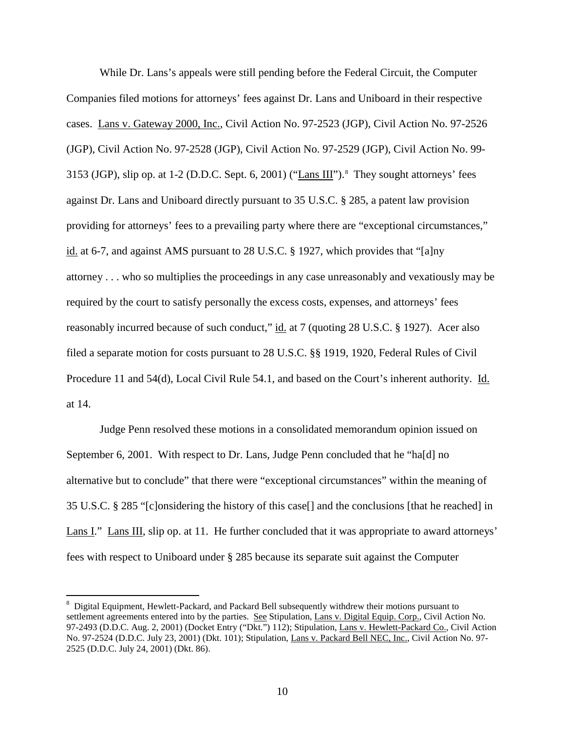While Dr. Lans's appeals were still pending before the Federal Circuit, the Computer Companies filed motions for attorneys' fees against Dr. Lans and Uniboard in their respective cases. Lans v. Gateway 2000, Inc., Civil Action No. 97-2523 (JGP), Civil Action No. 97-2526 (JGP), Civil Action No. 97-2528 (JGP), Civil Action No. 97-2529 (JGP), Civil Action No. 99- 3153 (JGP), slip op. at 1-2 (D.D.C. Sept. 6, 2001) ("Lans III").<sup>[8](#page-8-0)</sup> They sought attorneys' fees against Dr. Lans and Uniboard directly pursuant to 35 U.S.C. § 285, a patent law provision providing for attorneys' fees to a prevailing party where there are "exceptional circumstances," id. at 6-7, and against AMS pursuant to 28 U.S.C. § 1927, which provides that "[a]ny attorney . . . who so multiplies the proceedings in any case unreasonably and vexatiously may be required by the court to satisfy personally the excess costs, expenses, and attorneys' fees reasonably incurred because of such conduct," id. at 7 (quoting 28 U.S.C. § 1927). Acer also filed a separate motion for costs pursuant to 28 U.S.C. §§ 1919, 1920, Federal Rules of Civil Procedure 11 and 54(d), Local Civil Rule 54.1, and based on the Court's inherent authority. Id. at 14.

Judge Penn resolved these motions in a consolidated memorandum opinion issued on September 6, 2001. With respect to Dr. Lans, Judge Penn concluded that he "ha[d] no alternative but to conclude" that there were "exceptional circumstances" within the meaning of 35 U.S.C. § 285 "[c]onsidering the history of this case[] and the conclusions [that he reached] in Lans I." Lans III, slip op. at 11. He further concluded that it was appropriate to award attorneys' fees with respect to Uniboard under § 285 because its separate suit against the Computer

<span id="page-9-0"></span> <sup>8</sup> <sup>8</sup> Digital Equipment, Hewlett-Packard, and Packard Bell subsequently withdrew their motions pursuant to settlement agreements entered into by the parties. See Stipulation, Lans v. Digital Equip. Corp., Civil Action No. 97-2493 (D.D.C. Aug. 2, 2001) (Docket Entry ("Dkt.") 112); Stipulation, Lans v. Hewlett-Packard Co., Civil Action No. 97-2524 (D.D.C. July 23, 2001) (Dkt. 101); Stipulation, Lans v. Packard Bell NEC, Inc., Civil Action No. 97- 2525 (D.D.C. July 24, 2001) (Dkt. 86).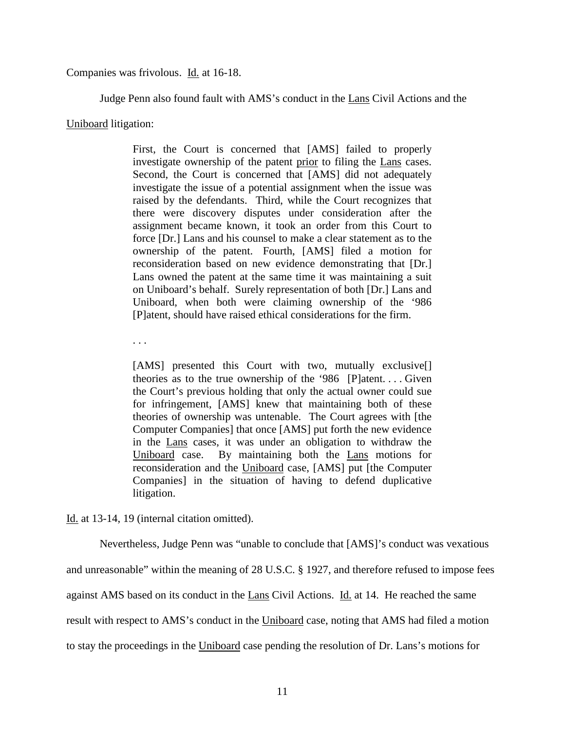Companies was frivolous. Id. at 16-18.

Judge Penn also found fault with AMS's conduct in the Lans Civil Actions and the

### Uniboard litigation:

First, the Court is concerned that [AMS] failed to properly investigate ownership of the patent prior to filing the Lans cases. Second, the Court is concerned that [AMS] did not adequately investigate the issue of a potential assignment when the issue was raised by the defendants. Third, while the Court recognizes that there were discovery disputes under consideration after the assignment became known, it took an order from this Court to force [Dr.] Lans and his counsel to make a clear statement as to the ownership of the patent. Fourth, [AMS] filed a motion for reconsideration based on new evidence demonstrating that [Dr.] Lans owned the patent at the same time it was maintaining a suit on Uniboard's behalf. Surely representation of both [Dr.] Lans and Uniboard, when both were claiming ownership of the '986 [P]atent, should have raised ethical considerations for the firm.

. . .

[AMS] presented this Court with two, mutually exclusive<sup>[]</sup> theories as to the true ownership of the '986 [P]atent. . . . Given the Court's previous holding that only the actual owner could sue for infringement, [AMS] knew that maintaining both of these theories of ownership was untenable. The Court agrees with [the Computer Companies] that once [AMS] put forth the new evidence in the Lans cases, it was under an obligation to withdraw the Uniboard case. By maintaining both the Lans motions for reconsideration and the Uniboard case, [AMS] put [the Computer Companies] in the situation of having to defend duplicative litigation.

Id. at 13-14, 19 (internal citation omitted).

Nevertheless, Judge Penn was "unable to conclude that [AMS]'s conduct was vexatious and unreasonable" within the meaning of 28 U.S.C. § 1927, and therefore refused to impose fees against AMS based on its conduct in the Lans Civil Actions. Id. at 14. He reached the same result with respect to AMS's conduct in the Uniboard case, noting that AMS had filed a motion to stay the proceedings in the Uniboard case pending the resolution of Dr. Lans's motions for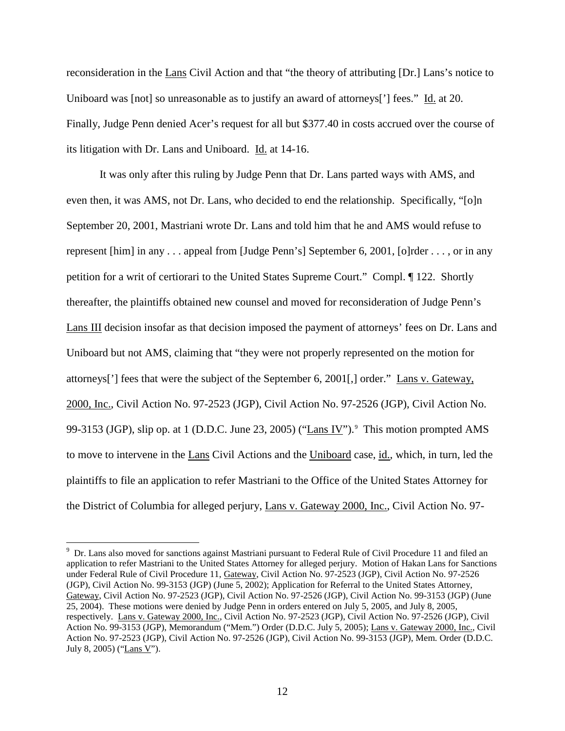reconsideration in the Lans Civil Action and that "the theory of attributing [Dr.] Lans's notice to Uniboard was [not] so unreasonable as to justify an award of attorneys<sup>[']</sup> fees." Id. at 20. Finally, Judge Penn denied Acer's request for all but \$377.40 in costs accrued over the course of its litigation with Dr. Lans and Uniboard. Id. at 14-16.

It was only after this ruling by Judge Penn that Dr. Lans parted ways with AMS, and even then, it was AMS, not Dr. Lans, who decided to end the relationship. Specifically, "[o]n September 20, 2001, Mastriani wrote Dr. Lans and told him that he and AMS would refuse to represent [him] in any . . . appeal from [Judge Penn's] September 6, 2001, [o]rder . . . , or in any petition for a writ of certiorari to the United States Supreme Court." Compl. ¶ 122. Shortly thereafter, the plaintiffs obtained new counsel and moved for reconsideration of Judge Penn's Lans III decision insofar as that decision imposed the payment of attorneys' fees on Dr. Lans and Uniboard but not AMS, claiming that "they were not properly represented on the motion for attorneys['] fees that were the subject of the September 6, 2001[,] order." Lans v. Gateway, 2000, Inc., Civil Action No. 97-2523 (JGP), Civil Action No. 97-2526 (JGP), Civil Action No. [9](#page-9-0)9-3153 (JGP), slip op. at 1 (D.D.C. June 23, 2005) ("Lans IV").<sup>9</sup> This motion prompted AMS to move to intervene in the Lans Civil Actions and the Uniboard case, id., which, in turn, led the plaintiffs to file an application to refer Mastriani to the Office of the United States Attorney for the District of Columbia for alleged perjury, Lans v. Gateway 2000, Inc., Civil Action No. 97-

<span id="page-11-0"></span><sup>-&</sup>lt;br>9 <sup>9</sup> Dr. Lans also moved for sanctions against Mastriani pursuant to Federal Rule of Civil Procedure 11 and filed an application to refer Mastriani to the United States Attorney for alleged perjury. Motion of Hakan Lans for Sanctions under Federal Rule of Civil Procedure 11, Gateway, Civil Action No. 97-2523 (JGP), Civil Action No. 97-2526 (JGP), Civil Action No. 99-3153 (JGP) (June 5, 2002); Application for Referral to the United States Attorney, Gateway, Civil Action No. 97-2523 (JGP), Civil Action No. 97-2526 (JGP), Civil Action No. 99-3153 (JGP) (June 25, 2004). These motions were denied by Judge Penn in orders entered on July 5, 2005, and July 8, 2005, respectively. Lans v. Gateway 2000, Inc., Civil Action No. 97-2523 (JGP), Civil Action No. 97-2526 (JGP), Civil Action No. 99-3153 (JGP), Memorandum ("Mem.") Order (D.D.C. July 5, 2005); Lans v. Gateway 2000, Inc., Civil Action No. 97-2523 (JGP), Civil Action No. 97-2526 (JGP), Civil Action No. 99-3153 (JGP), Mem. Order (D.D.C. July 8, 2005) ("Lans V").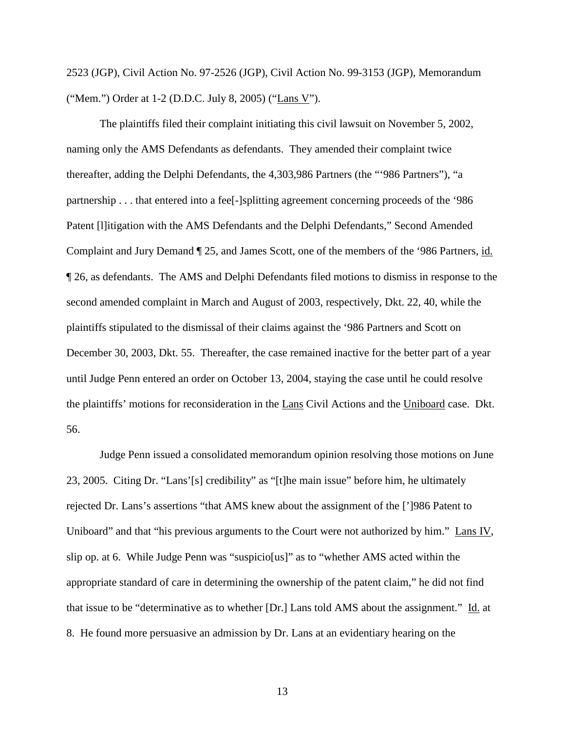2523 (JGP), Civil Action No. 97-2526 (JGP), Civil Action No. 99-3153 (JGP), Memorandum ("Mem.") Order at 1-2 (D.D.C. July 8, 2005) ("Lans V").

The plaintiffs filed their complaint initiating this civil lawsuit on November 5, 2002, naming only the AMS Defendants as defendants. They amended their complaint twice thereafter, adding the Delphi Defendants, the 4,303,986 Partners (the "'986 Partners"), "a partnership . . . that entered into a fee[-]splitting agreement concerning proceeds of the '986 Patent [l]itigation with the AMS Defendants and the Delphi Defendants," Second Amended Complaint and Jury Demand ¶ 25, and James Scott, one of the members of the '986 Partners, id. ¶ 26, as defendants. The AMS and Delphi Defendants filed motions to dismiss in response to the second amended complaint in March and August of 2003, respectively, Dkt. 22, 40, while the plaintiffs stipulated to the dismissal of their claims against the '986 Partners and Scott on December 30, 2003, Dkt. 55. Thereafter, the case remained inactive for the better part of a year until Judge Penn entered an order on October 13, 2004, staying the case until he could resolve the plaintiffs' motions for reconsideration in the Lans Civil Actions and the Uniboard case. Dkt. 56.

Judge Penn issued a consolidated memorandum opinion resolving those motions on June 23, 2005. Citing Dr. "Lans'[s] credibility" as "[t]he main issue" before him, he ultimately rejected Dr. Lans's assertions "that AMS knew about the assignment of the [']986 Patent to Uniboard" and that "his previous arguments to the Court were not authorized by him." Lans IV, slip op. at 6. While Judge Penn was "suspicio[us]" as to "whether AMS acted within the appropriate standard of care in determining the ownership of the patent claim," he did not find that issue to be "determinative as to whether [Dr.] Lans told AMS about the assignment." Id. at 8. He found more persuasive an admission by Dr. Lans at an evidentiary hearing on the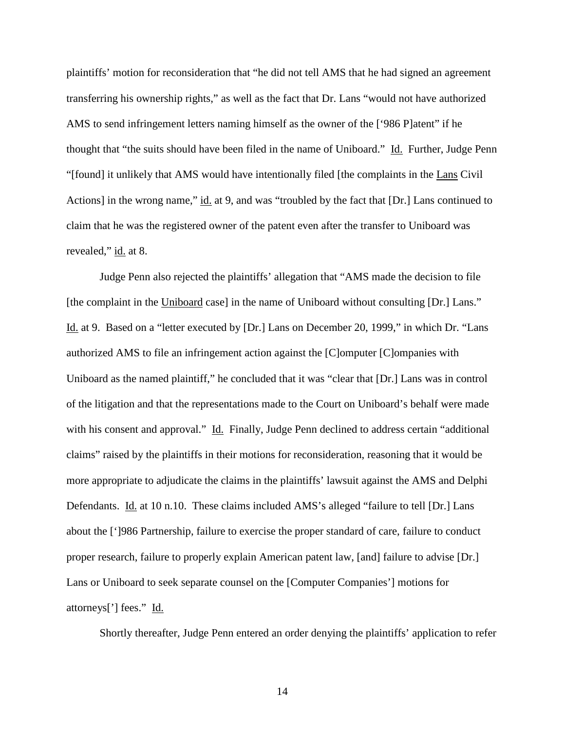plaintiffs' motion for reconsideration that "he did not tell AMS that he had signed an agreement transferring his ownership rights," as well as the fact that Dr. Lans "would not have authorized AMS to send infringement letters naming himself as the owner of the ['986 P]atent" if he thought that "the suits should have been filed in the name of Uniboard." Id. Further, Judge Penn "[found] it unlikely that AMS would have intentionally filed [the complaints in the Lans Civil Actions] in the wrong name," id. at 9, and was "troubled by the fact that [Dr.] Lans continued to claim that he was the registered owner of the patent even after the transfer to Uniboard was revealed," id. at 8.

Judge Penn also rejected the plaintiffs' allegation that "AMS made the decision to file [the complaint in the Uniboard case] in the name of Uniboard without consulting [Dr.] Lans." Id. at 9. Based on a "letter executed by [Dr.] Lans on December 20, 1999," in which Dr. "Lans authorized AMS to file an infringement action against the [C]omputer [C]ompanies with Uniboard as the named plaintiff," he concluded that it was "clear that [Dr.] Lans was in control of the litigation and that the representations made to the Court on Uniboard's behalf were made with his consent and approval." Id. Finally, Judge Penn declined to address certain "additional claims" raised by the plaintiffs in their motions for reconsideration, reasoning that it would be more appropriate to adjudicate the claims in the plaintiffs' lawsuit against the AMS and Delphi Defendants. Id. at 10 n.10. These claims included AMS's alleged "failure to tell [Dr.] Lans about the [']986 Partnership, failure to exercise the proper standard of care, failure to conduct proper research, failure to properly explain American patent law, [and] failure to advise [Dr.] Lans or Uniboard to seek separate counsel on the [Computer Companies'] motions for attorneys['] fees." Id.

Shortly thereafter, Judge Penn entered an order denying the plaintiffs' application to refer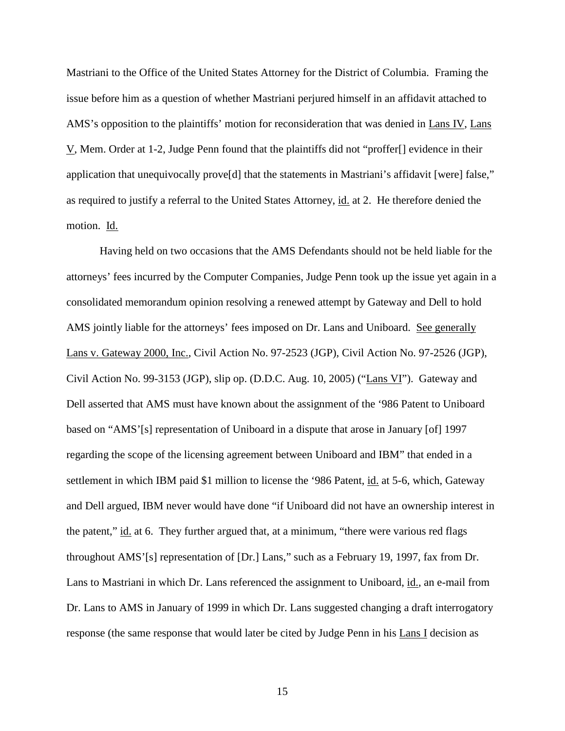Mastriani to the Office of the United States Attorney for the District of Columbia. Framing the issue before him as a question of whether Mastriani perjured himself in an affidavit attached to AMS's opposition to the plaintiffs' motion for reconsideration that was denied in Lans IV, Lans V, Mem. Order at 1-2, Judge Penn found that the plaintiffs did not "proffer[] evidence in their application that unequivocally prove[d] that the statements in Mastriani's affidavit [were] false," as required to justify a referral to the United States Attorney, id. at 2. He therefore denied the motion. Id.

Having held on two occasions that the AMS Defendants should not be held liable for the attorneys' fees incurred by the Computer Companies, Judge Penn took up the issue yet again in a consolidated memorandum opinion resolving a renewed attempt by Gateway and Dell to hold AMS jointly liable for the attorneys' fees imposed on Dr. Lans and Uniboard. See generally Lans v. Gateway 2000, Inc., Civil Action No. 97-2523 (JGP), Civil Action No. 97-2526 (JGP), Civil Action No. 99-3153 (JGP), slip op. (D.D.C. Aug. 10, 2005) ("Lans VI"). Gateway and Dell asserted that AMS must have known about the assignment of the '986 Patent to Uniboard based on "AMS'[s] representation of Uniboard in a dispute that arose in January [of] 1997 regarding the scope of the licensing agreement between Uniboard and IBM" that ended in a settlement in which IBM paid \$1 million to license the '986 Patent, id. at 5-6, which, Gateway and Dell argued, IBM never would have done "if Uniboard did not have an ownership interest in the patent," id. at 6. They further argued that, at a minimum, "there were various red flags throughout AMS'[s] representation of [Dr.] Lans," such as a February 19, 1997, fax from Dr. Lans to Mastriani in which Dr. Lans referenced the assignment to Uniboard, id., an e-mail from Dr. Lans to AMS in January of 1999 in which Dr. Lans suggested changing a draft interrogatory response (the same response that would later be cited by Judge Penn in his Lans I decision as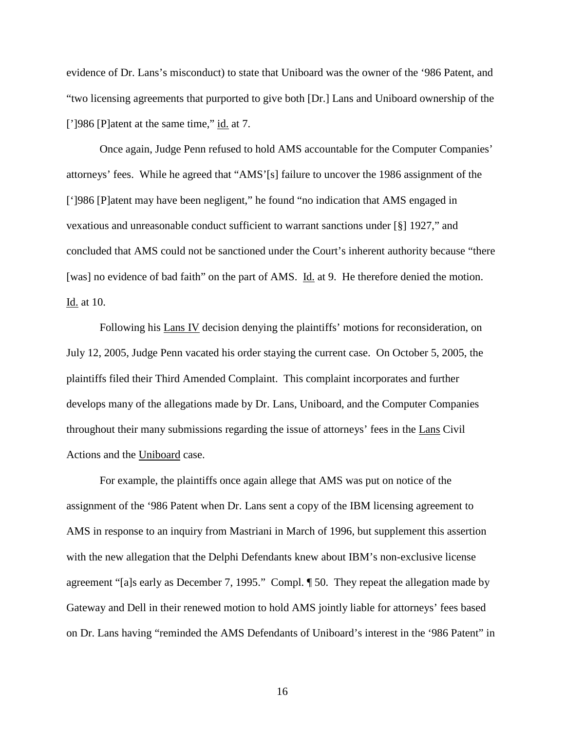evidence of Dr. Lans's misconduct) to state that Uniboard was the owner of the '986 Patent, and "two licensing agreements that purported to give both [Dr.] Lans and Uniboard ownership of the [']986 [P]atent at the same time," id. at 7.

Once again, Judge Penn refused to hold AMS accountable for the Computer Companies' attorneys' fees. While he agreed that "AMS'[s] failure to uncover the 1986 assignment of the [']986 [P]atent may have been negligent," he found "no indication that AMS engaged in vexatious and unreasonable conduct sufficient to warrant sanctions under [§] 1927," and concluded that AMS could not be sanctioned under the Court's inherent authority because "there [was] no evidence of bad faith" on the part of AMS. Id. at 9. He therefore denied the motion. Id. at 10.

Following his Lans IV decision denying the plaintiffs' motions for reconsideration, on July 12, 2005, Judge Penn vacated his order staying the current case. On October 5, 2005, the plaintiffs filed their Third Amended Complaint. This complaint incorporates and further develops many of the allegations made by Dr. Lans, Uniboard, and the Computer Companies throughout their many submissions regarding the issue of attorneys' fees in the Lans Civil Actions and the Uniboard case.

For example, the plaintiffs once again allege that AMS was put on notice of the assignment of the '986 Patent when Dr. Lans sent a copy of the IBM licensing agreement to AMS in response to an inquiry from Mastriani in March of 1996, but supplement this assertion with the new allegation that the Delphi Defendants knew about IBM's non-exclusive license agreement "[a]s early as December 7, 1995." Compl. ¶ 50. They repeat the allegation made by Gateway and Dell in their renewed motion to hold AMS jointly liable for attorneys' fees based on Dr. Lans having "reminded the AMS Defendants of Uniboard's interest in the '986 Patent" in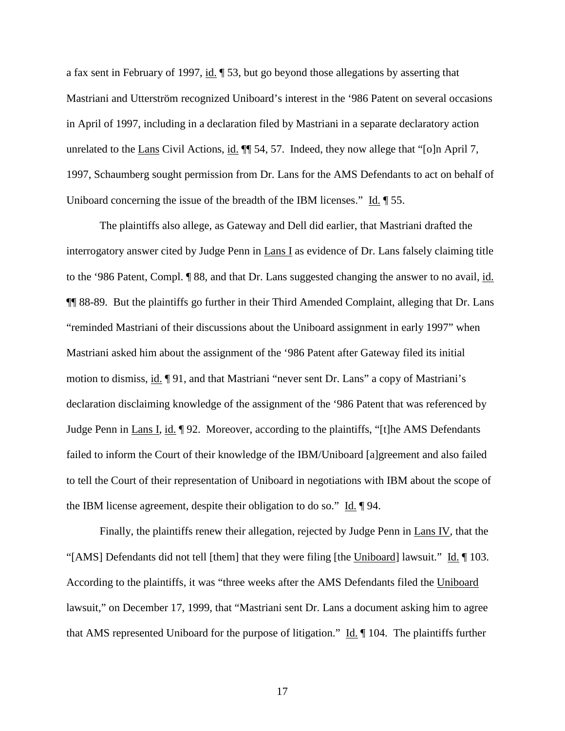a fax sent in February of 1997, id. ¶ 53, but go beyond those allegations by asserting that Mastriani and Utterström recognized Uniboard's interest in the '986 Patent on several occasions in April of 1997, including in a declaration filed by Mastriani in a separate declaratory action unrelated to the Lans Civil Actions, id.  $\P$  54, 57. Indeed, they now allege that "[o]n April 7, 1997, Schaumberg sought permission from Dr. Lans for the AMS Defendants to act on behalf of Uniboard concerning the issue of the breadth of the IBM licenses." Id.  $\sqrt{9}$  55.

The plaintiffs also allege, as Gateway and Dell did earlier, that Mastriani drafted the interrogatory answer cited by Judge Penn in Lans I as evidence of Dr. Lans falsely claiming title to the '986 Patent, Compl. ¶ 88, and that Dr. Lans suggested changing the answer to no avail, id. ¶¶ 88-89. But the plaintiffs go further in their Third Amended Complaint, alleging that Dr. Lans "reminded Mastriani of their discussions about the Uniboard assignment in early 1997" when Mastriani asked him about the assignment of the '986 Patent after Gateway filed its initial motion to dismiss, id. ¶ 91, and that Mastriani "never sent Dr. Lans" a copy of Mastriani's declaration disclaiming knowledge of the assignment of the '986 Patent that was referenced by Judge Penn in Lans I, id. 192. Moreover, according to the plaintiffs, "[t]he AMS Defendants failed to inform the Court of their knowledge of the IBM/Uniboard [a]greement and also failed to tell the Court of their representation of Uniboard in negotiations with IBM about the scope of the IBM license agreement, despite their obligation to do so." Id. 194.

Finally, the plaintiffs renew their allegation, rejected by Judge Penn in Lans IV, that the "[AMS] Defendants did not tell [them] that they were filing [the Uniboard] lawsuit." Id. ¶ 103. According to the plaintiffs, it was "three weeks after the AMS Defendants filed the Uniboard lawsuit," on December 17, 1999, that "Mastriani sent Dr. Lans a document asking him to agree that AMS represented Uniboard for the purpose of litigation."  $\underline{Id}$ .  $\P$  104. The plaintiffs further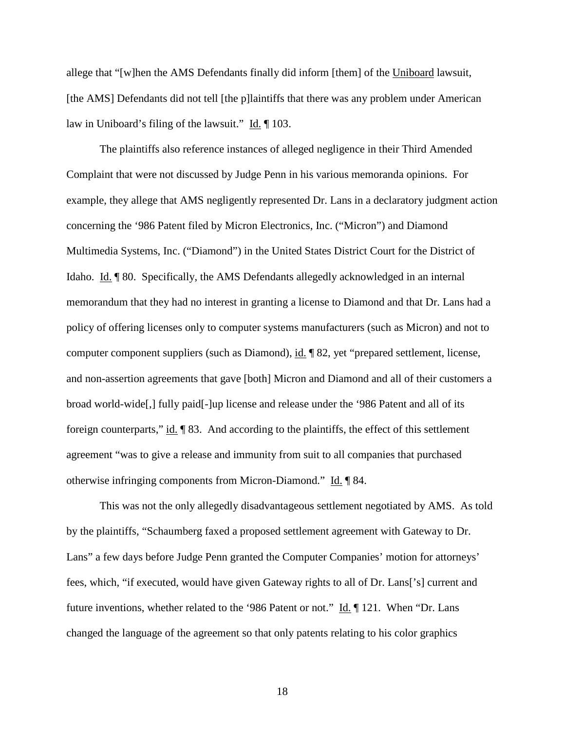allege that "[w]hen the AMS Defendants finally did inform [them] of the Uniboard lawsuit, [the AMS] Defendants did not tell [the p]laintiffs that there was any problem under American law in Uniboard's filing of the lawsuit." Id. ¶ 103.

The plaintiffs also reference instances of alleged negligence in their Third Amended Complaint that were not discussed by Judge Penn in his various memoranda opinions. For example, they allege that AMS negligently represented Dr. Lans in a declaratory judgment action concerning the '986 Patent filed by Micron Electronics, Inc. ("Micron") and Diamond Multimedia Systems, Inc. ("Diamond") in the United States District Court for the District of Idaho. Id. ¶ 80. Specifically, the AMS Defendants allegedly acknowledged in an internal memorandum that they had no interest in granting a license to Diamond and that Dr. Lans had a policy of offering licenses only to computer systems manufacturers (such as Micron) and not to computer component suppliers (such as Diamond), id. ¶ 82, yet "prepared settlement, license, and non-assertion agreements that gave [both] Micron and Diamond and all of their customers a broad world-wide[,] fully paid[-]up license and release under the '986 Patent and all of its foreign counterparts,"  $\underline{\text{id}}$ . [83. And according to the plaintiffs, the effect of this settlement agreement "was to give a release and immunity from suit to all companies that purchased otherwise infringing components from Micron-Diamond." Id. ¶ 84.

This was not the only allegedly disadvantageous settlement negotiated by AMS. As told by the plaintiffs, "Schaumberg faxed a proposed settlement agreement with Gateway to Dr. Lans" a few days before Judge Penn granted the Computer Companies' motion for attorneys' fees, which, "if executed, would have given Gateway rights to all of Dr. Lans['s] current and future inventions, whether related to the '986 Patent or not." Id. ¶ 121. When "Dr. Lans changed the language of the agreement so that only patents relating to his color graphics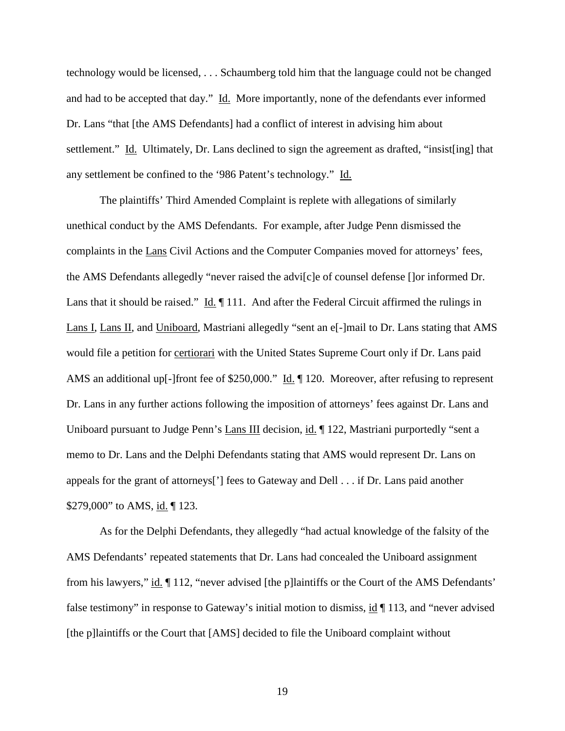technology would be licensed, . . . Schaumberg told him that the language could not be changed and had to be accepted that day." Id. More importantly, none of the defendants ever informed Dr. Lans "that [the AMS Defendants] had a conflict of interest in advising him about settlement." Id. Ultimately, Dr. Lans declined to sign the agreement as drafted, "insist[ing] that any settlement be confined to the '986 Patent's technology." Id.

The plaintiffs' Third Amended Complaint is replete with allegations of similarly unethical conduct by the AMS Defendants. For example, after Judge Penn dismissed the complaints in the Lans Civil Actions and the Computer Companies moved for attorneys' fees, the AMS Defendants allegedly "never raised the advi[c]e of counsel defense []or informed Dr. Lans that it should be raised."  $\underline{Id}$ .  $\P$  111. And after the Federal Circuit affirmed the rulings in Lans I, Lans II, and Uniboard, Mastriani allegedly "sent an e[-]mail to Dr. Lans stating that AMS would file a petition for certiorari with the United States Supreme Court only if Dr. Lans paid AMS an additional up[-]front fee of \$250,000." Id. ¶ 120. Moreover, after refusing to represent Dr. Lans in any further actions following the imposition of attorneys' fees against Dr. Lans and Uniboard pursuant to Judge Penn's Lans III decision, id. 122, Mastriani purportedly "sent a memo to Dr. Lans and the Delphi Defendants stating that AMS would represent Dr. Lans on appeals for the grant of attorneys['] fees to Gateway and Dell . . . if Dr. Lans paid another \$279,000" to AMS, id. 123.

As for the Delphi Defendants, they allegedly "had actual knowledge of the falsity of the AMS Defendants' repeated statements that Dr. Lans had concealed the Uniboard assignment from his lawyers," id. ¶ 112, "never advised [the p]laintiffs or the Court of the AMS Defendants' false testimony" in response to Gateway's initial motion to dismiss, id ¶ 113, and "never advised [the p]laintiffs or the Court that [AMS] decided to file the Uniboard complaint without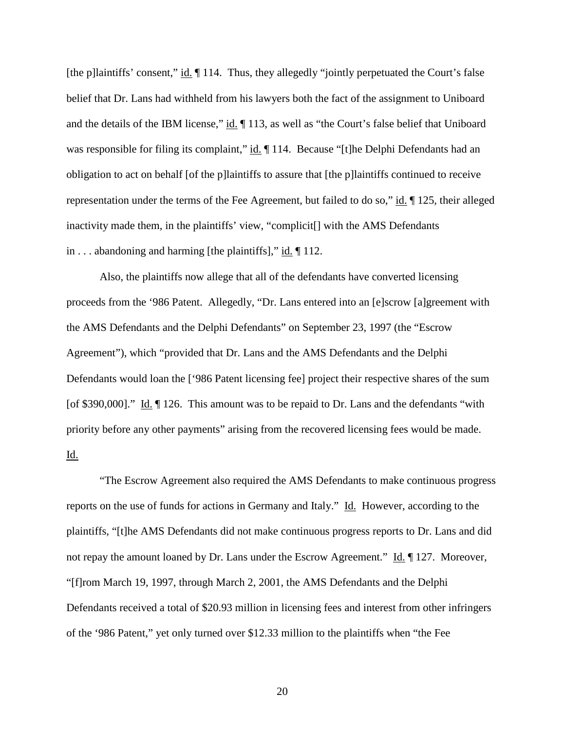[the p]laintiffs' consent," id. ¶ 114. Thus, they allegedly "jointly perpetuated the Court's false belief that Dr. Lans had withheld from his lawyers both the fact of the assignment to Uniboard and the details of the IBM license," id. ¶ 113, as well as "the Court's false belief that Uniboard was responsible for filing its complaint," id.  $\P$  114. Because "[t]he Delphi Defendants had an obligation to act on behalf [of the p]laintiffs to assure that [the p]laintiffs continued to receive representation under the terms of the Fee Agreement, but failed to do so," id. ¶ 125, their alleged inactivity made them, in the plaintiffs' view, "complicit[] with the AMS Defendants in ... abandoning and harming [the plaintiffs]," id.  $\P$  112.

Also, the plaintiffs now allege that all of the defendants have converted licensing proceeds from the '986 Patent. Allegedly, "Dr. Lans entered into an [e]scrow [a]greement with the AMS Defendants and the Delphi Defendants" on September 23, 1997 (the "Escrow Agreement"), which "provided that Dr. Lans and the AMS Defendants and the Delphi Defendants would loan the ['986 Patent licensing fee] project their respective shares of the sum [of \$390,000]." Id.  $\P$  126. This amount was to be repaid to Dr. Lans and the defendants "with priority before any other payments" arising from the recovered licensing fees would be made. Id.

"The Escrow Agreement also required the AMS Defendants to make continuous progress reports on the use of funds for actions in Germany and Italy." Id. However, according to the plaintiffs, "[t]he AMS Defendants did not make continuous progress reports to Dr. Lans and did not repay the amount loaned by Dr. Lans under the Escrow Agreement." Id. 127. Moreover, "[f]rom March 19, 1997, through March 2, 2001, the AMS Defendants and the Delphi Defendants received a total of \$20.93 million in licensing fees and interest from other infringers of the '986 Patent," yet only turned over \$12.33 million to the plaintiffs when "the Fee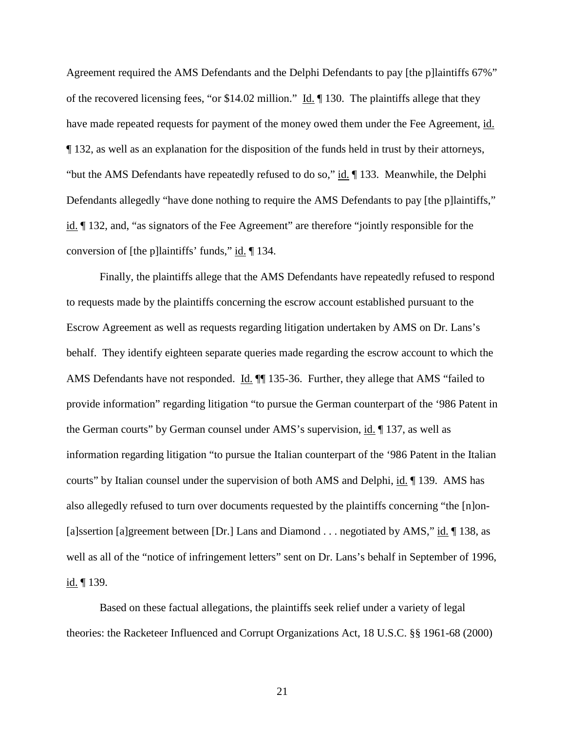Agreement required the AMS Defendants and the Delphi Defendants to pay [the p]laintiffs 67%" of the recovered licensing fees, "or \$14.02 million." Id. ¶ 130. The plaintiffs allege that they have made repeated requests for payment of the money owed them under the Fee Agreement, id. ¶ 132, as well as an explanation for the disposition of the funds held in trust by their attorneys, "but the AMS Defendants have repeatedly refused to do so," id. ¶ 133. Meanwhile, the Delphi Defendants allegedly "have done nothing to require the AMS Defendants to pay [the p]laintiffs," id. ¶ 132, and, "as signators of the Fee Agreement" are therefore "jointly responsible for the conversion of [the p]laintiffs' funds,"  $\underline{\text{id}}$ . [134.]

Finally, the plaintiffs allege that the AMS Defendants have repeatedly refused to respond to requests made by the plaintiffs concerning the escrow account established pursuant to the Escrow Agreement as well as requests regarding litigation undertaken by AMS on Dr. Lans's behalf. They identify eighteen separate queries made regarding the escrow account to which the AMS Defendants have not responded. Id.  $\P$  135-36. Further, they allege that AMS "failed to provide information" regarding litigation "to pursue the German counterpart of the '986 Patent in the German courts" by German counsel under AMS's supervision, id. 137, as well as information regarding litigation "to pursue the Italian counterpart of the '986 Patent in the Italian courts" by Italian counsel under the supervision of both AMS and Delphi, id. ¶ 139. AMS has also allegedly refused to turn over documents requested by the plaintiffs concerning "the [n]on- [a]ssertion [a]greement between [Dr.] Lans and Diamond . . . negotiated by AMS," id.  $\P$  138, as well as all of the "notice of infringement letters" sent on Dr. Lans's behalf in September of 1996,  $id. \P 139.$ 

Based on these factual allegations, the plaintiffs seek relief under a variety of legal theories: the Racketeer Influenced and Corrupt Organizations Act, 18 U.S.C. §§ 1961-68 (2000)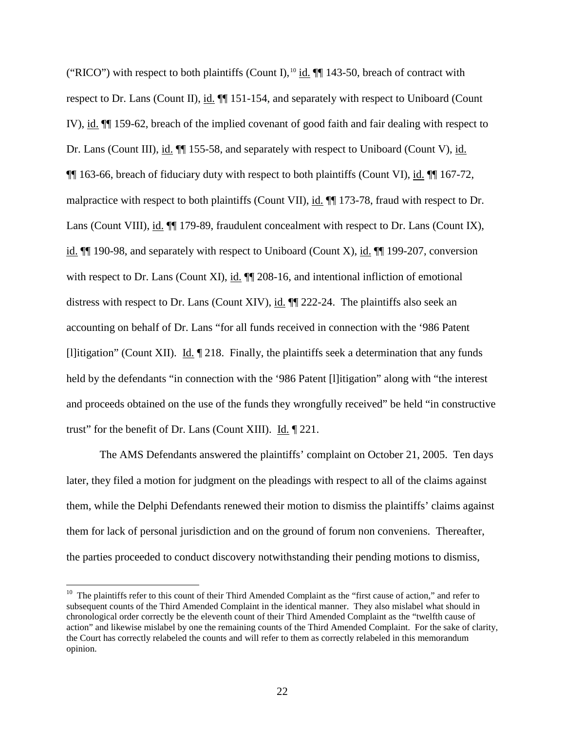("RICO") with respect to both plaintiffs (Count I),  $^{10}$  $^{10}$  $^{10}$  id.  $\P\P$  143-50, breach of contract with respect to Dr. Lans (Count II), id. ¶¶ 151-154, and separately with respect to Uniboard (Count IV), id. ¶¶ 159-62, breach of the implied covenant of good faith and fair dealing with respect to Dr. Lans (Count III), id. ¶¶ 155-58, and separately with respect to Uniboard (Count V), id. ¶¶ 163-66, breach of fiduciary duty with respect to both plaintiffs (Count VI), id. ¶¶ 167-72, malpractice with respect to both plaintiffs (Count VII), id. ¶¶ 173-78, fraud with respect to Dr. Lans (Count VIII), id.  $\P$  179-89, fraudulent concealment with respect to Dr. Lans (Count IX), id.  $\P$  190-98, and separately with respect to Uniboard (Count X), id.  $\P$  199-207, conversion with respect to Dr. Lans (Count XI), id.  $\P$  208-16, and intentional infliction of emotional distress with respect to Dr. Lans (Count XIV), id. ¶¶ 222-24. The plaintiffs also seek an accounting on behalf of Dr. Lans "for all funds received in connection with the '986 Patent [l]itigation" (Count XII). Id. ¶ 218. Finally, the plaintiffs seek a determination that any funds held by the defendants "in connection with the '986 Patent [I] itigation" along with "the interest and proceeds obtained on the use of the funds they wrongfully received" be held "in constructive trust" for the benefit of Dr. Lans (Count XIII). Id. ¶ 221.

The AMS Defendants answered the plaintiffs' complaint on October 21, 2005. Ten days later, they filed a motion for judgment on the pleadings with respect to all of the claims against them, while the Delphi Defendants renewed their motion to dismiss the plaintiffs' claims against them for lack of personal jurisdiction and on the ground of forum non conveniens. Thereafter, the parties proceeded to conduct discovery notwithstanding their pending motions to dismiss,

<span id="page-21-0"></span><sup>&</sup>lt;sup>10</sup> The plaintiffs refer to this count of their Third Amended Complaint as the "first cause of action," and refer to subsequent counts of the Third Amended Complaint in the identical manner. They also mislabel what should in chronological order correctly be the eleventh count of their Third Amended Complaint as the "twelfth cause of action" and likewise mislabel by one the remaining counts of the Third Amended Complaint. For the sake of clarity, the Court has correctly relabeled the counts and will refer to them as correctly relabeled in this memorandum opinion.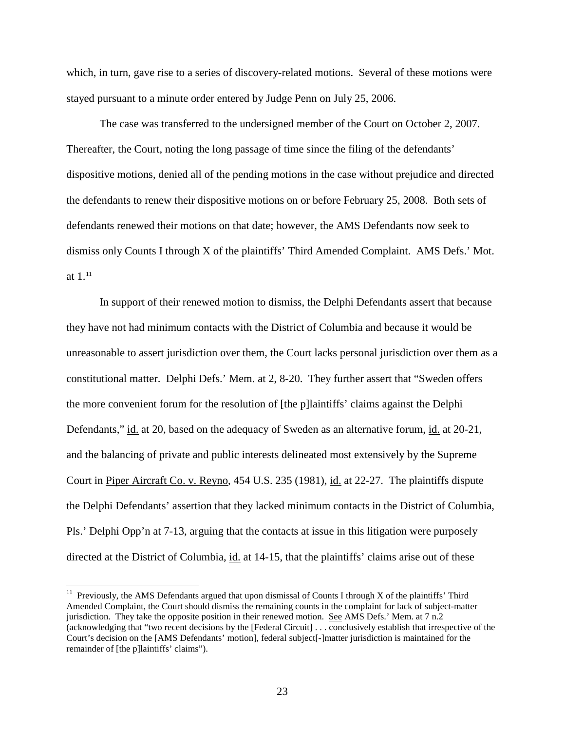which, in turn, gave rise to a series of discovery-related motions. Several of these motions were stayed pursuant to a minute order entered by Judge Penn on July 25, 2006.

The case was transferred to the undersigned member of the Court on October 2, 2007. Thereafter, the Court, noting the long passage of time since the filing of the defendants' dispositive motions, denied all of the pending motions in the case without prejudice and directed the defendants to renew their dispositive motions on or before February 25, 2008. Both sets of defendants renewed their motions on that date; however, the AMS Defendants now seek to dismiss only Counts I through X of the plaintiffs' Third Amended Complaint. AMS Defs.' Mot. at  $1^{11}$  $1^{11}$  $1^{11}$ 

In support of their renewed motion to dismiss, the Delphi Defendants assert that because they have not had minimum contacts with the District of Columbia and because it would be unreasonable to assert jurisdiction over them, the Court lacks personal jurisdiction over them as a constitutional matter. Delphi Defs.' Mem. at 2, 8-20. They further assert that "Sweden offers the more convenient forum for the resolution of [the p]laintiffs' claims against the Delphi Defendants," id. at 20, based on the adequacy of Sweden as an alternative forum, id. at 20-21, and the balancing of private and public interests delineated most extensively by the Supreme Court in Piper Aircraft Co. v. Reyno, 454 U.S. 235 (1981), id. at 22-27. The plaintiffs dispute the Delphi Defendants' assertion that they lacked minimum contacts in the District of Columbia, Pls.' Delphi Opp'n at 7-13, arguing that the contacts at issue in this litigation were purposely directed at the District of Columbia, id. at 14-15, that the plaintiffs' claims arise out of these

<span id="page-22-0"></span><sup>&</sup>lt;sup>11</sup> Previously, the AMS Defendants argued that upon dismissal of Counts I through X of the plaintiffs' Third Amended Complaint, the Court should dismiss the remaining counts in the complaint for lack of subject-matter jurisdiction. They take the opposite position in their renewed motion. See AMS Defs.' Mem. at 7 n.2 (acknowledging that "two recent decisions by the [Federal Circuit] . . . conclusively establish that irrespective of the Court's decision on the [AMS Defendants' motion], federal subject[-]matter jurisdiction is maintained for the remainder of [the p]laintiffs' claims").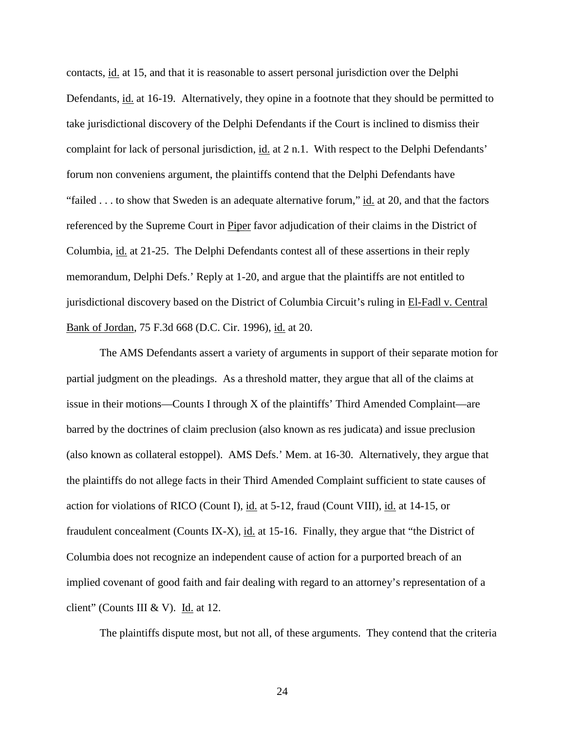contacts, id. at 15, and that it is reasonable to assert personal jurisdiction over the Delphi Defendants, id. at 16-19. Alternatively, they opine in a footnote that they should be permitted to take jurisdictional discovery of the Delphi Defendants if the Court is inclined to dismiss their complaint for lack of personal jurisdiction, id. at 2 n.1. With respect to the Delphi Defendants' forum non conveniens argument, the plaintiffs contend that the Delphi Defendants have "failed . . . to show that Sweden is an adequate alternative forum," id. at 20, and that the factors referenced by the Supreme Court in Piper favor adjudication of their claims in the District of Columbia, id. at 21-25. The Delphi Defendants contest all of these assertions in their reply memorandum, Delphi Defs.' Reply at 1-20, and argue that the plaintiffs are not entitled to jurisdictional discovery based on the District of Columbia Circuit's ruling in El-Fadl v. Central Bank of Jordan, 75 F.3d 668 (D.C. Cir. 1996), id. at 20.

The AMS Defendants assert a variety of arguments in support of their separate motion for partial judgment on the pleadings. As a threshold matter, they argue that all of the claims at issue in their motions—Counts I through X of the plaintiffs' Third Amended Complaint—are barred by the doctrines of claim preclusion (also known as res judicata) and issue preclusion (also known as collateral estoppel). AMS Defs.' Mem. at 16-30. Alternatively, they argue that the plaintiffs do not allege facts in their Third Amended Complaint sufficient to state causes of action for violations of RICO (Count I), id. at 5-12, fraud (Count VIII), id. at 14-15, or fraudulent concealment (Counts IX-X), id. at 15-16. Finally, they argue that "the District of Columbia does not recognize an independent cause of action for a purported breach of an implied covenant of good faith and fair dealing with regard to an attorney's representation of a client" (Counts III & V). Id. at 12.

The plaintiffs dispute most, but not all, of these arguments. They contend that the criteria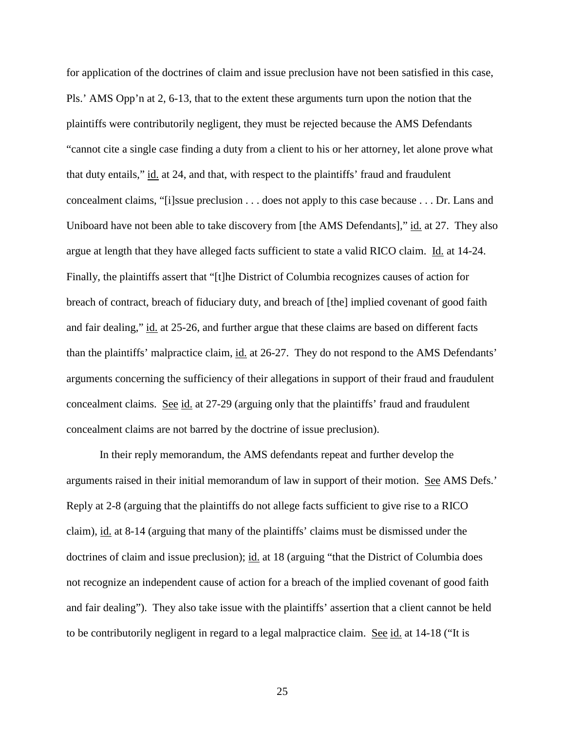for application of the doctrines of claim and issue preclusion have not been satisfied in this case, Pls.' AMS Opp'n at 2, 6-13, that to the extent these arguments turn upon the notion that the plaintiffs were contributorily negligent, they must be rejected because the AMS Defendants "cannot cite a single case finding a duty from a client to his or her attorney, let alone prove what that duty entails," id. at 24, and that, with respect to the plaintiffs' fraud and fraudulent concealment claims, "[i]ssue preclusion . . . does not apply to this case because . . . Dr. Lans and Uniboard have not been able to take discovery from [the AMS Defendants]," id. at 27. They also argue at length that they have alleged facts sufficient to state a valid RICO claim. Id. at 14-24. Finally, the plaintiffs assert that "[t]he District of Columbia recognizes causes of action for breach of contract, breach of fiduciary duty, and breach of [the] implied covenant of good faith and fair dealing," id. at 25-26, and further argue that these claims are based on different facts than the plaintiffs' malpractice claim, id. at 26-27. They do not respond to the AMS Defendants' arguments concerning the sufficiency of their allegations in support of their fraud and fraudulent concealment claims. See id. at 27-29 (arguing only that the plaintiffs' fraud and fraudulent concealment claims are not barred by the doctrine of issue preclusion).

In their reply memorandum, the AMS defendants repeat and further develop the arguments raised in their initial memorandum of law in support of their motion. See AMS Defs.' Reply at 2-8 (arguing that the plaintiffs do not allege facts sufficient to give rise to a RICO claim), id. at 8-14 (arguing that many of the plaintiffs' claims must be dismissed under the doctrines of claim and issue preclusion); id. at 18 (arguing "that the District of Columbia does not recognize an independent cause of action for a breach of the implied covenant of good faith and fair dealing"). They also take issue with the plaintiffs' assertion that a client cannot be held to be contributorily negligent in regard to a legal malpractice claim. See id. at  $14-18$  ("It is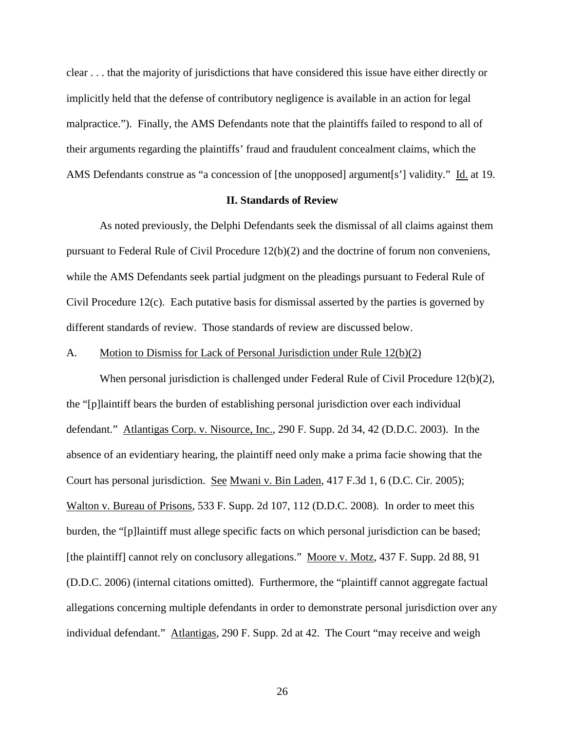clear . . . that the majority of jurisdictions that have considered this issue have either directly or implicitly held that the defense of contributory negligence is available in an action for legal malpractice."). Finally, the AMS Defendants note that the plaintiffs failed to respond to all of their arguments regarding the plaintiffs' fraud and fraudulent concealment claims, which the AMS Defendants construe as "a concession of [the unopposed] argument[s'] validity." Id. at 19.

### **II. Standards of Review**

As noted previously, the Delphi Defendants seek the dismissal of all claims against them pursuant to Federal Rule of Civil Procedure 12(b)(2) and the doctrine of forum non conveniens, while the AMS Defendants seek partial judgment on the pleadings pursuant to Federal Rule of Civil Procedure 12(c). Each putative basis for dismissal asserted by the parties is governed by different standards of review. Those standards of review are discussed below.

# A. Motion to Dismiss for Lack of Personal Jurisdiction under Rule 12(b)(2)

When personal jurisdiction is challenged under Federal Rule of Civil Procedure 12(b)(2), the "[p]laintiff bears the burden of establishing personal jurisdiction over each individual defendant." Atlantigas Corp. v. Nisource, Inc., 290 F. Supp. 2d 34, 42 (D.D.C. 2003). In the absence of an evidentiary hearing, the plaintiff need only make a prima facie showing that the Court has personal jurisdiction. See Mwani v. Bin Laden, 417 F.3d 1, 6 (D.C. Cir. 2005); Walton v. Bureau of Prisons, 533 F. Supp. 2d 107, 112 (D.D.C. 2008). In order to meet this burden, the "[p]laintiff must allege specific facts on which personal jurisdiction can be based; [the plaintiff] cannot rely on conclusory allegations." Moore v. Motz, 437 F. Supp. 2d 88, 91 (D.D.C. 2006) (internal citations omitted). Furthermore, the "plaintiff cannot aggregate factual allegations concerning multiple defendants in order to demonstrate personal jurisdiction over any individual defendant." Atlantigas, 290 F. Supp. 2d at 42. The Court "may receive and weigh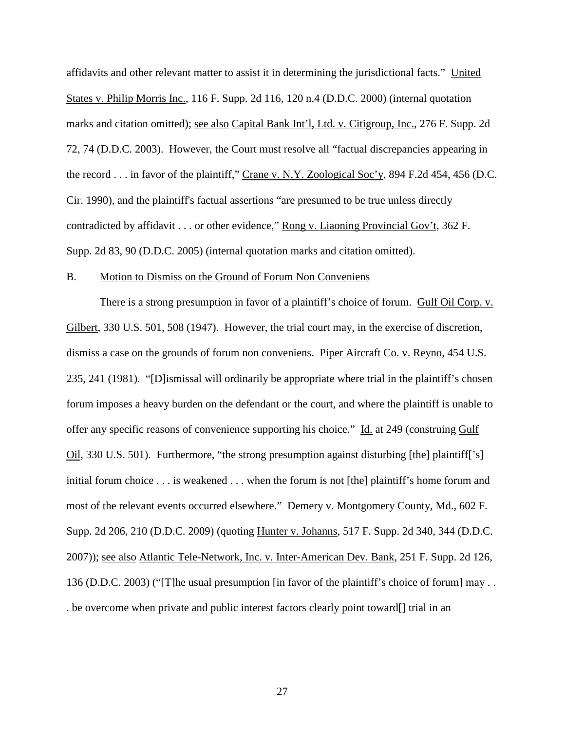affidavits and other relevant matter to assist it in determining the jurisdictional facts." United States v. Philip Morris Inc., 116 F. Supp. 2d 116, 120 n.4 (D.D.C. 2000) (internal quotation marks and citation omitted); see also Capital Bank Int'l, Ltd. v. Citigroup, Inc., 276 F. Supp. 2d 72, 74 (D.D.C. 2003). However, the Court must resolve all "factual discrepancies appearing in the record . . . in favor of the plaintiff," Crane v. N.Y. Zoological Soc'y, 894 F.2d 454, 456 (D.C. Cir. 1990), and the plaintiff's factual assertions "are presumed to be true unless directly contradicted by affidavit . . . or other evidence," Rong v. Liaoning Provincial Gov't, 362 F. Supp. 2d 83, 90 (D.D.C. 2005) (internal quotation marks and citation omitted).

#### B. Motion to Dismiss on the Ground of Forum Non Conveniens

There is a strong presumption in favor of a plaintiff's choice of forum. Gulf Oil Corp. v. Gilbert, 330 U.S. 501, 508 (1947). However, the trial court may, in the exercise of discretion, dismiss a case on the grounds of forum non conveniens. Piper Aircraft Co. v. Reyno, 454 U.S. 235, 241 (1981). "[D]ismissal will ordinarily be appropriate where trial in the plaintiff's chosen forum imposes a heavy burden on the defendant or the court, and where the plaintiff is unable to offer any specific reasons of convenience supporting his choice." Id. at 249 (construing Gulf Oil, 330 U.S. 501). Furthermore, "the strong presumption against disturbing [the] plaintiff['s] initial forum choice . . . is weakened . . . when the forum is not [the] plaintiff's home forum and most of the relevant events occurred elsewhere." Demery v. Montgomery County, Md., 602 F. Supp. 2d 206, 210 (D.D.C. 2009) (quoting Hunter v. Johanns, 517 F. Supp. 2d 340, 344 (D.D.C. 2007)); see also Atlantic Tele-Network, Inc. v. Inter-American Dev. Bank, 251 F. Supp. 2d 126, 136 (D.D.C. 2003) ("[T]he usual presumption [in favor of the plaintiff's choice of forum] may . . . be overcome when private and public interest factors clearly point toward[] trial in an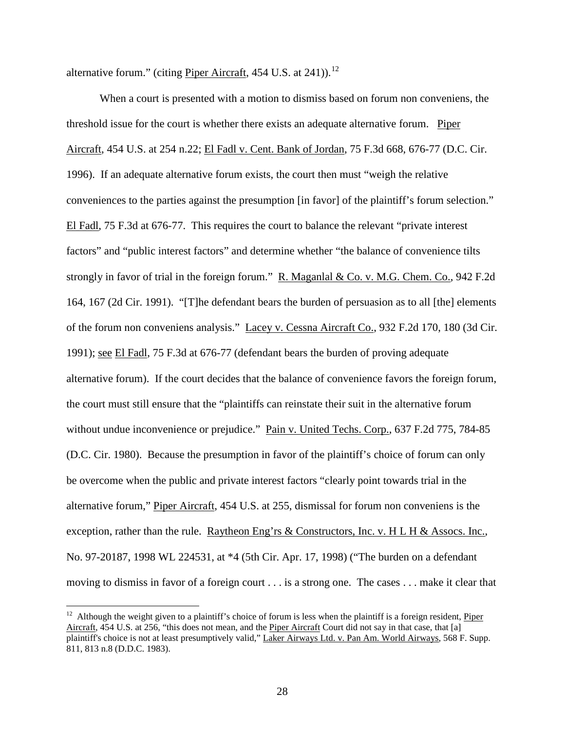alternative forum." (citing Piper Aircraft, 454 U.S. at  $241$ )).<sup>12</sup>

When a court is presented with a motion to dismiss based on forum non conveniens, the threshold issue for the court is whether there exists an adequate alternative forum. Piper Aircraft, 454 U.S. at 254 n.22; El Fadl v. Cent. Bank of Jordan, 75 F.3d 668, 676-77 (D.C. Cir. 1996). If an adequate alternative forum exists, the court then must "weigh the relative conveniences to the parties against the presumption [in favor] of the plaintiff's forum selection." El Fadl, 75 F.3d at 676-77. This requires the court to balance the relevant "private interest factors" and "public interest factors" and determine whether "the balance of convenience tilts strongly in favor of trial in the foreign forum." R. Maganlal & Co. v. M.G. Chem. Co., 942 F.2d 164, 167 (2d Cir. 1991). "[T]he defendant bears the burden of persuasion as to all [the] elements of the forum non conveniens analysis." Lacey v. Cessna Aircraft Co., 932 F.2d 170, 180 (3d Cir. 1991); see El Fadl, 75 F.3d at 676-77 (defendant bears the burden of proving adequate alternative forum). If the court decides that the balance of convenience favors the foreign forum, the court must still ensure that the "plaintiffs can reinstate their suit in the alternative forum without undue inconvenience or prejudice." Pain v. United Techs. Corp., 637 F.2d 775, 784-85 (D.C. Cir. 1980). Because the presumption in favor of the plaintiff's choice of forum can only be overcome when the public and private interest factors "clearly point towards trial in the alternative forum," Piper Aircraft, 454 U.S. at 255, dismissal for forum non conveniens is the exception, rather than the rule. Raytheon Eng'rs  $&$  Constructors, Inc. v. H L H  $&$  Assocs. Inc., No. 97-20187, 1998 WL 224531, at \*4 (5th Cir. Apr. 17, 1998) ("The burden on a defendant moving to dismiss in favor of a foreign court . . . is a strong one. The cases . . . make it clear that

<span id="page-27-0"></span> $12$  Although the weight given to a plaintiff's choice of forum is less when the plaintiff is a foreign resident, Piper Aircraft, 454 U.S. at 256, "this does not mean, and the Piper Aircraft Court did not say in that case, that [a] plaintiff's choice is not at least presumptively valid," Laker Airways Ltd. v. Pan Am. World Airways, 568 F. Supp. 811, 813 n.8 (D.D.C. 1983).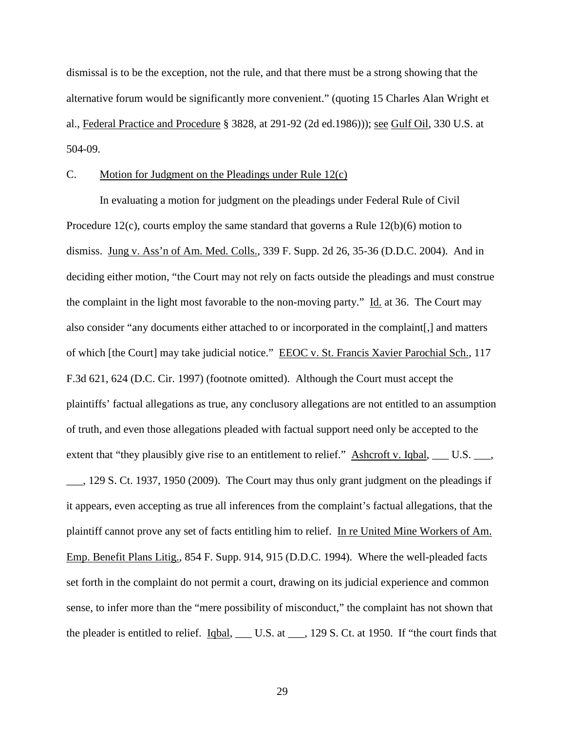dismissal is to be the exception, not the rule, and that there must be a strong showing that the alternative forum would be significantly more convenient." (quoting 15 Charles Alan Wright et al., Federal Practice and Procedure § 3828, at 291-92 (2d ed.1986))); see Gulf Oil, 330 U.S. at 504-09.

# C. Motion for Judgment on the Pleadings under Rule 12(c)

In evaluating a motion for judgment on the pleadings under Federal Rule of Civil Procedure 12(c), courts employ the same standard that governs a Rule 12(b)(6) motion to dismiss. Jung v. Ass'n of Am. Med. Colls., 339 F. Supp. 2d 26, 35-36 (D.D.C. 2004). And in deciding either motion, "the Court may not rely on facts outside the pleadings and must construe the complaint in the light most favorable to the non-moving party." Id. at 36. The Court may also consider "any documents either attached to or incorporated in the complaint[,] and matters of which [the Court] may take judicial notice." EEOC v. St. Francis Xavier Parochial Sch., 117 F.3d 621, 624 (D.C. Cir. 1997) (footnote omitted). Although the Court must accept the plaintiffs' factual allegations as true, any conclusory allegations are not entitled to an assumption of truth, and even those allegations pleaded with factual support need only be accepted to the extent that "they plausibly give rise to an entitlement to relief." Ashcroft v. Iqbal, \_\_\_ U.S. \_\_\_, \_\_\_, 129 S. Ct. 1937, 1950 (2009). The Court may thus only grant judgment on the pleadings if it appears, even accepting as true all inferences from the complaint's factual allegations, that the plaintiff cannot prove any set of facts entitling him to relief. In re United Mine Workers of Am. Emp. Benefit Plans Litig., 854 F. Supp. 914, 915 (D.D.C. 1994). Where the well-pleaded facts set forth in the complaint do not permit a court, drawing on its judicial experience and common sense, to infer more than the "mere possibility of misconduct," the complaint has not shown that the pleader is entitled to relief. Iqbal, \_\_\_ U.S. at \_\_\_, 129 S. Ct. at 1950. If "the court finds that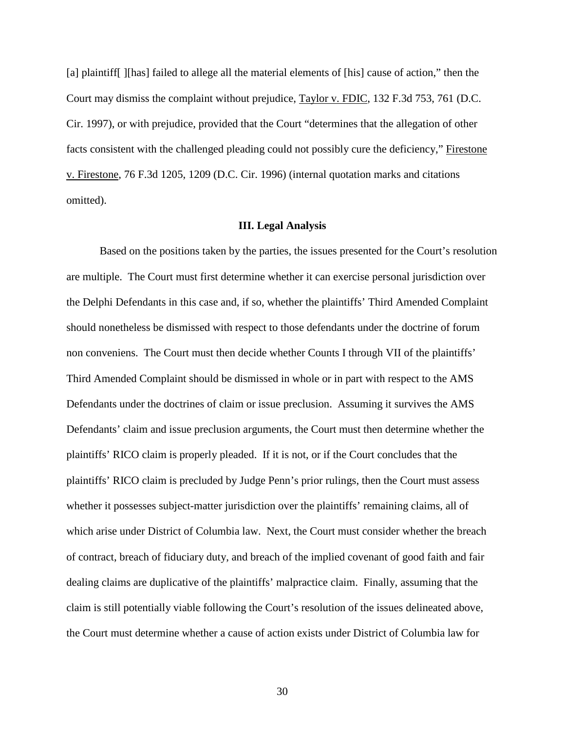[a] plaintiff[ ][has] failed to allege all the material elements of [his] cause of action," then the Court may dismiss the complaint without prejudice, Taylor v. FDIC, 132 F.3d 753, 761 (D.C. Cir. 1997), or with prejudice, provided that the Court "determines that the allegation of other facts consistent with the challenged pleading could not possibly cure the deficiency," Firestone v. Firestone, 76 F.3d 1205, 1209 (D.C. Cir. 1996) (internal quotation marks and citations omitted).

#### **III. Legal Analysis**

Based on the positions taken by the parties, the issues presented for the Court's resolution are multiple. The Court must first determine whether it can exercise personal jurisdiction over the Delphi Defendants in this case and, if so, whether the plaintiffs' Third Amended Complaint should nonetheless be dismissed with respect to those defendants under the doctrine of forum non conveniens. The Court must then decide whether Counts I through VII of the plaintiffs' Third Amended Complaint should be dismissed in whole or in part with respect to the AMS Defendants under the doctrines of claim or issue preclusion. Assuming it survives the AMS Defendants' claim and issue preclusion arguments, the Court must then determine whether the plaintiffs' RICO claim is properly pleaded. If it is not, or if the Court concludes that the plaintiffs' RICO claim is precluded by Judge Penn's prior rulings, then the Court must assess whether it possesses subject-matter jurisdiction over the plaintiffs' remaining claims, all of which arise under District of Columbia law. Next, the Court must consider whether the breach of contract, breach of fiduciary duty, and breach of the implied covenant of good faith and fair dealing claims are duplicative of the plaintiffs' malpractice claim. Finally, assuming that the claim is still potentially viable following the Court's resolution of the issues delineated above, the Court must determine whether a cause of action exists under District of Columbia law for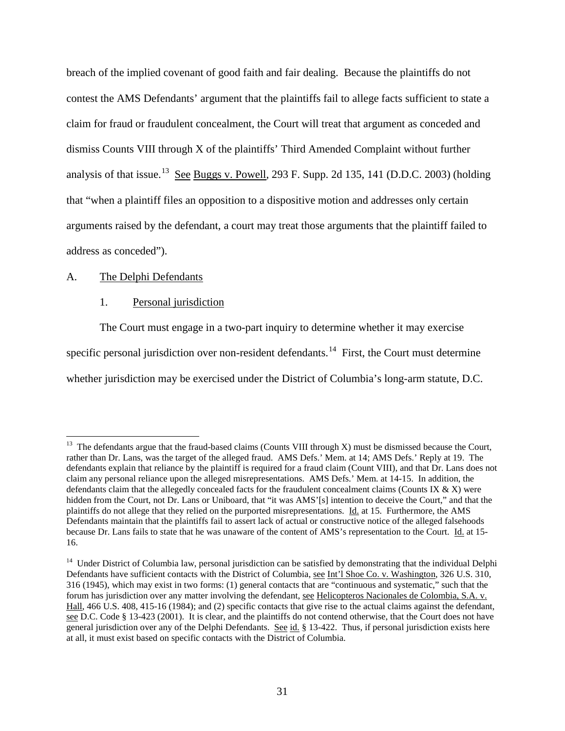breach of the implied covenant of good faith and fair dealing. Because the plaintiffs do not contest the AMS Defendants' argument that the plaintiffs fail to allege facts sufficient to state a claim for fraud or fraudulent concealment, the Court will treat that argument as conceded and dismiss Counts VIII through X of the plaintiffs' Third Amended Complaint without further analysis of that issue.<sup>[13](#page-27-0)</sup> See Buggs v. Powell, 293 F. Supp. 2d 135, 141 (D.D.C. 2003) (holding that "when a plaintiff files an opposition to a dispositive motion and addresses only certain arguments raised by the defendant, a court may treat those arguments that the plaintiff failed to address as conceded").

# A. The Delphi Defendants

### 1. Personal jurisdiction

The Court must engage in a two-part inquiry to determine whether it may exercise specific personal jurisdiction over non-resident defendants.<sup>14</sup> First, the Court must determine whether jurisdiction may be exercised under the District of Columbia's long-arm statute, D.C.

<span id="page-30-1"></span><sup>&</sup>lt;sup>13</sup> The defendants argue that the fraud-based claims (Counts VIII through X) must be dismissed because the Court, rather than Dr. Lans, was the target of the alleged fraud. AMS Defs.' Mem. at 14; AMS Defs.' Reply at 19. The defendants explain that reliance by the plaintiff is required for a fraud claim (Count VIII), and that Dr. Lans does not claim any personal reliance upon the alleged misrepresentations. AMS Defs.' Mem. at 14-15. In addition, the defendants claim that the allegedly concealed facts for the fraudulent concealment claims (Counts IX  $\&$  X) were hidden from the Court, not Dr. Lans or Uniboard, that "it was AMS'[s] intention to deceive the Court," and that the plaintiffs do not allege that they relied on the purported misrepresentations. Id. at 15. Furthermore, the AMS Defendants maintain that the plaintiffs fail to assert lack of actual or constructive notice of the alleged falsehoods because Dr. Lans fails to state that he was unaware of the content of AMS's representation to the Court. Id. at 15- 16.

<span id="page-30-0"></span><sup>&</sup>lt;sup>14</sup> Under District of Columbia law, personal jurisdiction can be satisfied by demonstrating that the individual Delphi Defendants have sufficient contacts with the District of Columbia, see Int'l Shoe Co. v. Washington, 326 U.S. 310, 316 (1945), which may exist in two forms: (1) general contacts that are "continuous and systematic," such that the forum has jurisdiction over any matter involving the defendant, see Helicopteros Nacionales de Colombia, S.A. v. Hall, 466 U.S. 408, 415-16 (1984); and (2) specific contacts that give rise to the actual claims against the defendant, see D.C. Code § 13-423 (2001). It is clear, and the plaintiffs do not contend otherwise, that the Court does not have general jurisdiction over any of the Delphi Defendants. See id. § 13-422. Thus, if personal jurisdiction exists here at all, it must exist based on specific contacts with the District of Columbia.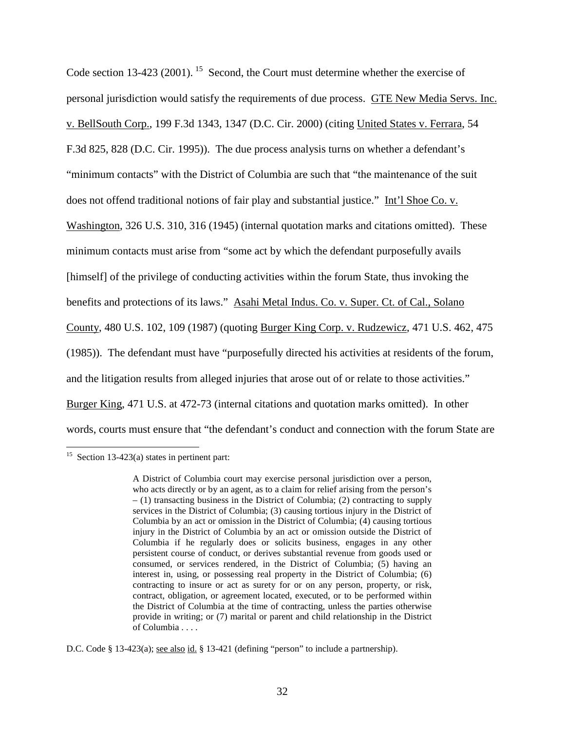Code section 13-423 (2001). <sup>15</sup> Second, the Court must determine whether the exercise of personal jurisdiction would satisfy the requirements of due process. GTE New Media Servs. Inc. v. BellSouth Corp., 199 F.3d 1343, 1347 (D.C. Cir. 2000) (citing United States v. Ferrara, 54 F.3d 825, 828 (D.C. Cir. 1995)). The due process analysis turns on whether a defendant's "minimum contacts" with the District of Columbia are such that "the maintenance of the suit does not offend traditional notions of fair play and substantial justice." Int'l Shoe Co. v. Washington, 326 U.S. 310, 316 (1945) (internal quotation marks and citations omitted). These minimum contacts must arise from "some act by which the defendant purposefully avails [himself] of the privilege of conducting activities within the forum State, thus invoking the benefits and protections of its laws." Asahi Metal Indus. Co. v. Super. Ct. of Cal., Solano County, 480 U.S. 102, 109 (1987) (quoting Burger King Corp. v. Rudzewicz, 471 U.S. 462, 475 (1985)). The defendant must have "purposefully directed his activities at residents of the forum, and the litigation results from alleged injuries that arose out of or relate to those activities." Burger King, 471 U.S. at 472-73 (internal citations and quotation marks omitted). In other words, courts must ensure that "the defendant's conduct and connection with the forum State are

<span id="page-31-0"></span>D.C. Code § 13-423(a); <u>see also id.</u> § 13-421 (defining "person" to include a partnership).

<sup>&</sup>lt;sup>15</sup> Section 13-423(a) states in pertinent part:

A District of Columbia court may exercise personal jurisdiction over a person, who acts directly or by an agent, as to a claim for relief arising from the person's  $-$  (1) transacting business in the District of Columbia; (2) contracting to supply services in the District of Columbia; (3) causing tortious injury in the District of Columbia by an act or omission in the District of Columbia; (4) causing tortious injury in the District of Columbia by an act or omission outside the District of Columbia if he regularly does or solicits business, engages in any other persistent course of conduct, or derives substantial revenue from goods used or consumed, or services rendered, in the District of Columbia; (5) having an interest in, using, or possessing real property in the District of Columbia; (6) contracting to insure or act as surety for or on any person, property, or risk, contract, obligation, or agreement located, executed, or to be performed within the District of Columbia at the time of contracting, unless the parties otherwise provide in writing; or (7) marital or parent and child relationship in the District of Columbia . . . .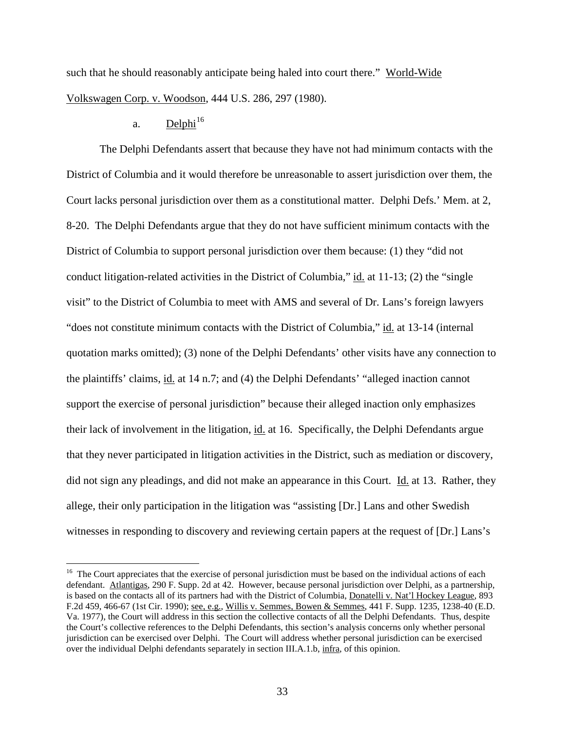such that he should reasonably anticipate being haled into court there." World-Wide Volkswagen Corp. v. Woodson, 444 U.S. 286, 297 (1980).

# a. Delphi<sup>[16](#page-31-0)</sup>

The Delphi Defendants assert that because they have not had minimum contacts with the District of Columbia and it would therefore be unreasonable to assert jurisdiction over them, the Court lacks personal jurisdiction over them as a constitutional matter. Delphi Defs.' Mem. at 2, 8-20. The Delphi Defendants argue that they do not have sufficient minimum contacts with the District of Columbia to support personal jurisdiction over them because: (1) they "did not conduct litigation-related activities in the District of Columbia," id. at 11-13; (2) the "single visit" to the District of Columbia to meet with AMS and several of Dr. Lans's foreign lawyers "does not constitute minimum contacts with the District of Columbia," id. at 13-14 (internal quotation marks omitted); (3) none of the Delphi Defendants' other visits have any connection to the plaintiffs' claims, id. at 14 n.7; and (4) the Delphi Defendants' "alleged inaction cannot support the exercise of personal jurisdiction" because their alleged inaction only emphasizes their lack of involvement in the litigation, id. at 16. Specifically, the Delphi Defendants argue that they never participated in litigation activities in the District, such as mediation or discovery, did not sign any pleadings, and did not make an appearance in this Court. Id. at 13. Rather, they allege, their only participation in the litigation was "assisting [Dr.] Lans and other Swedish witnesses in responding to discovery and reviewing certain papers at the request of [Dr.] Lans's

<span id="page-32-0"></span><sup>&</sup>lt;sup>16</sup> The Court appreciates that the exercise of personal jurisdiction must be based on the individual actions of each defendant. Atlantigas, 290 F. Supp. 2d at 42. However, because personal jurisdiction over Delphi, as a partnership, is based on the contacts all of its partners had with the District of Columbia, Donatelli v. Nat'l Hockey League, 893 F.2d 459, 466-67 (1st Cir. 1990); see, e.g., Willis v. Semmes, Bowen & Semmes, 441 F. Supp. 1235, 1238-40 (E.D. Va. 1977), the Court will address in this section the collective contacts of all the Delphi Defendants. Thus, despite the Court's collective references to the Delphi Defendants, this section's analysis concerns only whether personal jurisdiction can be exercised over Delphi. The Court will address whether personal jurisdiction can be exercised over the individual Delphi defendants separately in section III.A.1.b, infra, of this opinion.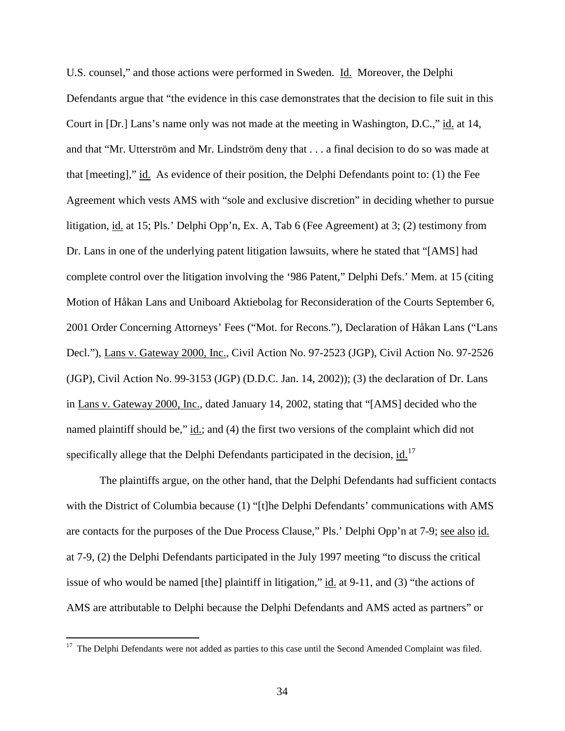U.S. counsel," and those actions were performed in Sweden. Id. Moreover, the Delphi Defendants argue that "the evidence in this case demonstrates that the decision to file suit in this Court in [Dr.] Lans's name only was not made at the meeting in Washington, D.C.," id. at 14, and that "Mr. Utterström and Mr. Lindström deny that . . . a final decision to do so was made at that [meeting]," id. As evidence of their position, the Delphi Defendants point to: (1) the Fee Agreement which vests AMS with "sole and exclusive discretion" in deciding whether to pursue litigation, id. at 15; Pls.' Delphi Opp'n, Ex. A, Tab 6 (Fee Agreement) at 3; (2) testimony from Dr. Lans in one of the underlying patent litigation lawsuits, where he stated that "[AMS] had complete control over the litigation involving the '986 Patent," Delphi Defs.' Mem. at 15 (citing Motion of Håkan Lans and Uniboard Aktiebolag for Reconsideration of the Courts September 6, 2001 Order Concerning Attorneys' Fees ("Mot. for Recons."), Declaration of Håkan Lans ("Lans Decl."), Lans v. Gateway 2000, Inc., Civil Action No. 97-2523 (JGP), Civil Action No. 97-2526 (JGP), Civil Action No. 99-3153 (JGP) (D.D.C. Jan. 14, 2002)); (3) the declaration of Dr. Lans in Lans v. Gateway 2000, Inc., dated January 14, 2002, stating that "[AMS] decided who the named plaintiff should be," id.; and (4) the first two versions of the complaint which did not specifically allege that the Delphi Defendants participated in the decision, id.<sup>[17](#page-32-0)</sup>

The plaintiffs argue, on the other hand, that the Delphi Defendants had sufficient contacts with the District of Columbia because (1) "[t]he Delphi Defendants' communications with AMS are contacts for the purposes of the Due Process Clause," Pls.' Delphi Opp'n at 7-9; <u>see also id.</u> at 7-9, (2) the Delphi Defendants participated in the July 1997 meeting "to discuss the critical issue of who would be named [the] plaintiff in litigation," id. at 9-11, and (3) "the actions of AMS are attributable to Delphi because the Delphi Defendants and AMS acted as partners" or

<span id="page-33-0"></span><sup>&</sup>lt;sup>17</sup> The Delphi Defendants were not added as parties to this case until the Second Amended Complaint was filed.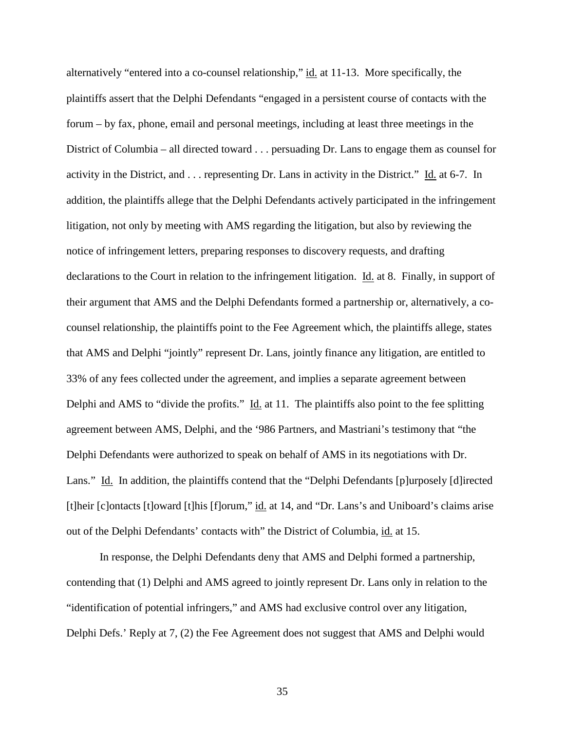alternatively "entered into a co-counsel relationship," id. at 11-13. More specifically, the plaintiffs assert that the Delphi Defendants "engaged in a persistent course of contacts with the forum – by fax, phone, email and personal meetings, including at least three meetings in the District of Columbia – all directed toward . . . persuading Dr. Lans to engage them as counsel for activity in the District, and . . . representing Dr. Lans in activity in the District." Id. at 6-7. In addition, the plaintiffs allege that the Delphi Defendants actively participated in the infringement litigation, not only by meeting with AMS regarding the litigation, but also by reviewing the notice of infringement letters, preparing responses to discovery requests, and drafting declarations to the Court in relation to the infringement litigation. Id. at 8. Finally, in support of their argument that AMS and the Delphi Defendants formed a partnership or, alternatively, a cocounsel relationship, the plaintiffs point to the Fee Agreement which, the plaintiffs allege, states that AMS and Delphi "jointly" represent Dr. Lans, jointly finance any litigation, are entitled to 33% of any fees collected under the agreement, and implies a separate agreement between Delphi and AMS to "divide the profits." Id. at 11. The plaintiffs also point to the fee splitting agreement between AMS, Delphi, and the '986 Partners, and Mastriani's testimony that "the Delphi Defendants were authorized to speak on behalf of AMS in its negotiations with Dr. Lans." Id. In addition, the plaintiffs contend that the "Delphi Defendants [p]urposely [d]irected [t]heir [c]ontacts [t]oward [t]his [f]orum," id. at 14, and "Dr. Lans's and Uniboard's claims arise out of the Delphi Defendants' contacts with" the District of Columbia, id. at 15.

In response, the Delphi Defendants deny that AMS and Delphi formed a partnership, contending that (1) Delphi and AMS agreed to jointly represent Dr. Lans only in relation to the "identification of potential infringers," and AMS had exclusive control over any litigation, Delphi Defs.' Reply at 7, (2) the Fee Agreement does not suggest that AMS and Delphi would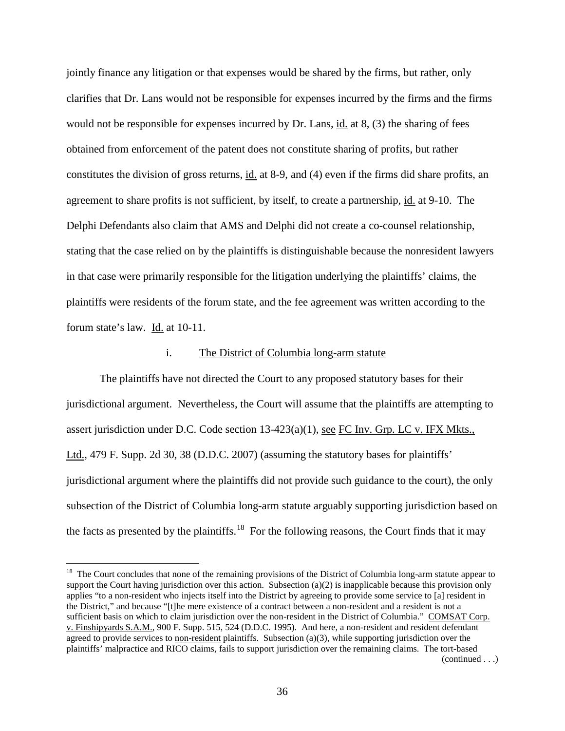jointly finance any litigation or that expenses would be shared by the firms, but rather, only clarifies that Dr. Lans would not be responsible for expenses incurred by the firms and the firms would not be responsible for expenses incurred by Dr. Lans, id. at 8, (3) the sharing of fees obtained from enforcement of the patent does not constitute sharing of profits, but rather constitutes the division of gross returns, id. at 8-9, and (4) even if the firms did share profits, an agreement to share profits is not sufficient, by itself, to create a partnership, id. at 9-10. The Delphi Defendants also claim that AMS and Delphi did not create a co-counsel relationship, stating that the case relied on by the plaintiffs is distinguishable because the nonresident lawyers in that case were primarily responsible for the litigation underlying the plaintiffs' claims, the plaintiffs were residents of the forum state, and the fee agreement was written according to the forum state's law. Id. at 10-11.

# i. The District of Columbia long-arm statute

The plaintiffs have not directed the Court to any proposed statutory bases for their jurisdictional argument. Nevertheless, the Court will assume that the plaintiffs are attempting to assert jurisdiction under D.C. Code section 13-423(a)(1), see FC Inv. Grp. LC v. IFX Mkts., Ltd., 479 F. Supp. 2d 30, 38 (D.D.C. 2007) (assuming the statutory bases for plaintiffs' jurisdictional argument where the plaintiffs did not provide such guidance to the court), the only subsection of the District of Columbia long-arm statute arguably supporting jurisdiction based on the facts as presented by the plaintiffs.<sup>18</sup> For the following reasons, the Court finds that it may

 $18$  The Court concludes that none of the remaining provisions of the District of Columbia long-arm statute appear to support the Court having jurisdiction over this action. Subsection (a)(2) is inapplicable because this provision only applies "to a non-resident who injects itself into the District by agreeing to provide some service to [a] resident in the District," and because "[t]he mere existence of a contract between a non-resident and a resident is not a sufficient basis on which to claim jurisdiction over the non-resident in the District of Columbia." COMSAT Corp. v. Finshipyards S.A.M., 900 F. Supp. 515, 524 (D.D.C. 1995). And here, a non-resident and resident defendant agreed to provide services to non-resident plaintiffs. Subsection  $(a)(3)$ , while supporting jurisdiction over the plaintiffs' malpractice and RICO claims, fails to support jurisdiction over the remaining claims. The tort-based (continued . . .)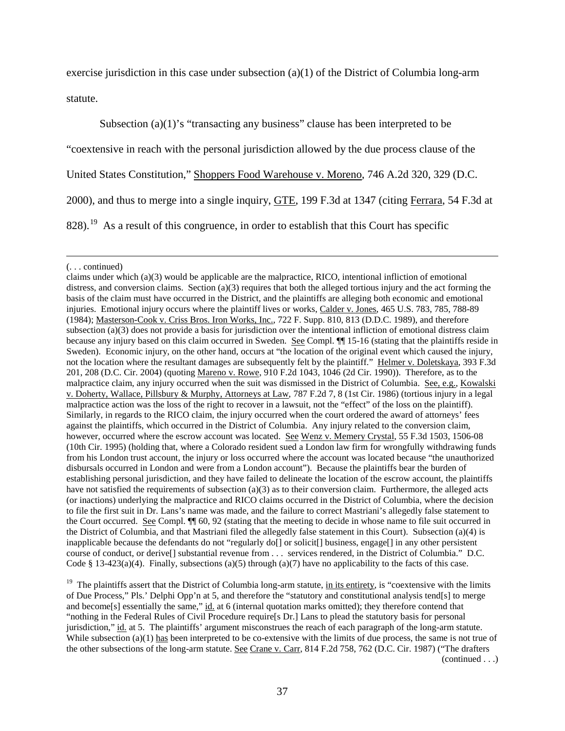exercise jurisdiction in this case under subsection (a)(1) of the District of Columbia long-arm statute.

Subsection (a)(1)'s "transacting any business" clause has been interpreted to be "coextensive in reach with the personal jurisdiction allowed by the due process clause of the United States Constitution," Shoppers Food Warehouse v. Moreno, 746 A.2d 320, 329 (D.C. 2000), and thus to merge into a single inquiry, GTE, 199 F.3d at 1347 (citing Ferrara, 54 F.3d at  $828$ ).<sup>19</sup> As a result of this congruence, in order to establish that this Court has specific

<sup>19</sup> The plaintiffs assert that the District of Columbia long-arm statute, in its entirety, is "coextensive with the limits of Due Process," Pls.' Delphi Opp'n at 5, and therefore the "statutory and constitutional analysis tend[s] to merge and become[s] essentially the same," id. at 6 (internal quotation marks omitted); they therefore contend that "nothing in the Federal Rules of Civil Procedure require[s Dr.] Lans to plead the statutory basis for personal jurisdiction," id. at 5. The plaintiffs' argument misconstrues the reach of each paragraph of the long-arm statute. While subsection  $(a)(1)$  has been interpreted to be co-extensive with the limits of due process, the same is not true of the other subsections of the long-arm statute. See Crane v. Carr, 814 F.2d 758, 762 (D.C. Cir. 1987) ("The drafters

 $\overline{a}$ (. . . continued)

<span id="page-36-0"></span>claims under which  $(a)(3)$  would be applicable are the malpractice, RICO, intentional infliction of emotional distress, and conversion claims. Section (a)(3) requires that both the alleged tortious injury and the act forming the basis of the claim must have occurred in the District, and the plaintiffs are alleging both economic and emotional injuries. Emotional injury occurs where the plaintiff lives or works, Calder v. Jones, 465 U.S. 783, 785, 788-89 (1984); Masterson-Cook v. Criss Bros. Iron Works, Inc., 722 F. Supp. 810, 813 (D.D.C. 1989), and therefore subsection (a)(3) does not provide a basis for jurisdiction over the intentional infliction of emotional distress claim because any injury based on this claim occurred in Sweden. See Compl. ¶¶ 15-16 (stating that the plaintiffs reside in Sweden). Economic injury, on the other hand, occurs at "the location of the original event which caused the injury, not the location where the resultant damages are subsequently felt by the plaintiff." Helmer v. Doletskaya, 393 F.3d 201, 208 (D.C. Cir. 2004) (quoting Mareno v. Rowe, 910 F.2d 1043, 1046 (2d Cir. 1990)). Therefore, as to the malpractice claim, any injury occurred when the suit was dismissed in the District of Columbia. See, e.g., Kowalski v. Doherty, Wallace, Pillsbury & Murphy, Attorneys at Law, 787 F.2d 7, 8 (1st Cir. 1986) (tortious injury in a legal malpractice action was the loss of the right to recover in a lawsuit, not the "effect" of the loss on the plaintiff). Similarly, in regards to the RICO claim, the injury occurred when the court ordered the award of attorneys' fees against the plaintiffs, which occurred in the District of Columbia. Any injury related to the conversion claim, however, occurred where the escrow account was located. See Wenz v. Memery Crystal, 55 F.3d 1503, 1506-08 (10th Cir. 1995) (holding that, where a Colorado resident sued a London law firm for wrongfully withdrawing funds from his London trust account, the injury or loss occurred where the account was located because "the unauthorized disbursals occurred in London and were from a London account"). Because the plaintiffs bear the burden of establishing personal jurisdiction, and they have failed to delineate the location of the escrow account, the plaintiffs have not satisfied the requirements of subsection (a)(3) as to their conversion claim. Furthermore, the alleged acts (or inactions) underlying the malpractice and RICO claims occurred in the District of Columbia, where the decision to file the first suit in Dr. Lans's name was made, and the failure to correct Mastriani's allegedly false statement to the Court occurred. See Compl. ¶¶ 60, 92 (stating that the meeting to decide in whose name to file suit occurred in the District of Columbia, and that Mastriani filed the allegedly false statement in this Court). Subsection (a)(4) is inapplicable because the defendants do not "regularly do[] or solicit[] business, engage[] in any other persistent course of conduct, or derive[] substantial revenue from . . . services rendered, in the District of Columbia." D.C. Code § 13-423(a)(4). Finally, subsections (a)(5) through (a)(7) have no applicability to the facts of this case.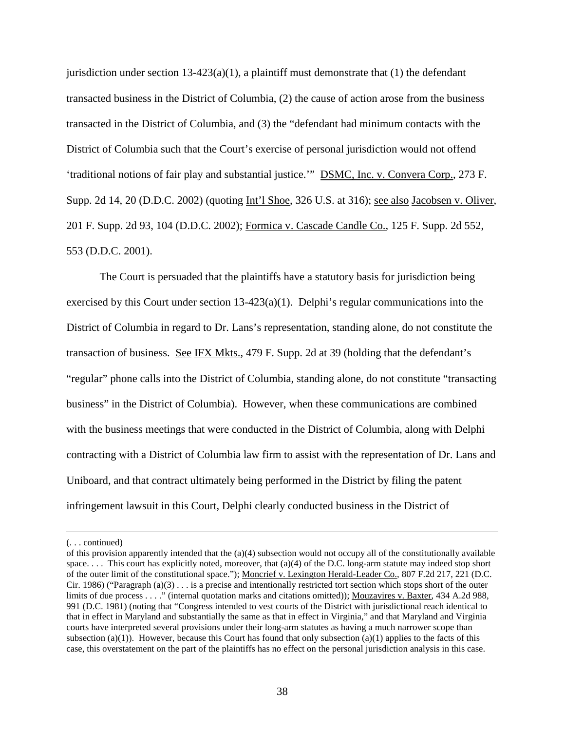jurisdiction under section  $13-423(a)(1)$ , a plaintiff must demonstrate that (1) the defendant transacted business in the District of Columbia, (2) the cause of action arose from the business transacted in the District of Columbia, and (3) the "defendant had minimum contacts with the District of Columbia such that the Court's exercise of personal jurisdiction would not offend 'traditional notions of fair play and substantial justice.'" DSMC, Inc. v. Convera Corp., 273 F. Supp. 2d 14, 20 (D.D.C. 2002) (quoting Int'l Shoe, 326 U.S. at 316); see also Jacobsen v. Oliver, 201 F. Supp. 2d 93, 104 (D.D.C. 2002); Formica v. Cascade Candle Co., 125 F. Supp. 2d 552, 553 (D.D.C. 2001).

The Court is persuaded that the plaintiffs have a statutory basis for jurisdiction being exercised by this Court under section  $13-423(a)(1)$ . Delphi's regular communications into the District of Columbia in regard to Dr. Lans's representation, standing alone, do not constitute the transaction of business. See IFX Mkts., 479 F. Supp. 2d at 39 (holding that the defendant's "regular" phone calls into the District of Columbia, standing alone, do not constitute "transacting business" in the District of Columbia). However, when these communications are combined with the business meetings that were conducted in the District of Columbia, along with Delphi contracting with a District of Columbia law firm to assist with the representation of Dr. Lans and Uniboard, and that contract ultimately being performed in the District by filing the patent infringement lawsuit in this Court, Delphi clearly conducted business in the District of

 $\overline{a}$ 

<sup>(. . .</sup> continued)

of this provision apparently intended that the  $(a)(4)$  subsection would not occupy all of the constitutionally available space. . . . This court has explicitly noted, moreover, that (a)(4) of the D.C. long-arm statute may indeed stop short of the outer limit of the constitutional space."); Moncrief v. [Lexington Herald-Leader Co.](http://web2.westlaw.com/find/default.wl?returnto=BusinessNameReturnTo&rs=WLW10.08&ifm=NotSet&fn=_top&sv=Split&pbc=395803BF&lvbp=T&docname=CIK(LE10224343)&findtype=l&db=BC-COMPANYSRBD&vr=2.0&rp=%2ffind%2fdefault.wl&mt=Westlaw), 807 F.2d 217, 221 (D.C. Cir. 1986) ("Paragraph (a)(3)  $\ldots$  is a precise and intentionally restricted tort section which stops short of the outer limits of due process . . . ." (internal quotation marks and citations omitted)); Mouzavires v. Baxter, 434 A.2d 988, 991 (D.C. 1981) (noting that "Congress intended to vest courts of the District with jurisdictional reach identical to that in effect in Maryland and substantially the same as that in effect in Virginia," and that Maryland and Virginia courts have interpreted several provisions under their long-arm statutes as having a much narrower scope than subsection  $(a)(1)$ ). However, because this Court has found that only subsection  $(a)(1)$  applies to the facts of this case, this overstatement on the part of the plaintiffs has no effect on the personal jurisdiction analysis in this case.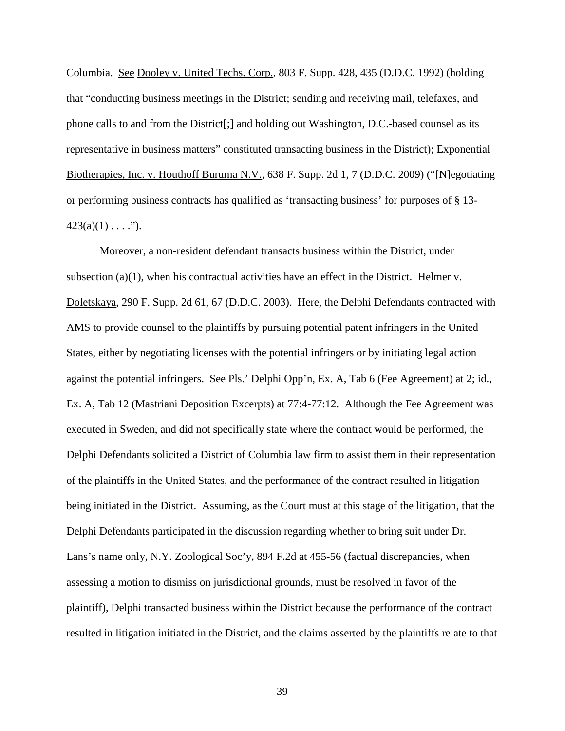Columbia. See Dooley v. United Techs. Corp., 803 F. Supp. 428, 435 (D.D.C. 1992) (holding that "conducting business meetings in the District; sending and receiving mail, telefaxes, and phone calls to and from the District[;] and holding out Washington, D.C.-based counsel as its representative in business matters" constituted transacting business in the District); Exponential Biotherapies, Inc. v. Houthoff Buruma N.V., 638 F. Supp. 2d 1, 7 (D.D.C. 2009) ("[N]egotiating or performing business contracts has qualified as 'transacting business' for purposes of § 13-  $423(a)(1) \ldots$ ").

Moreover, a non-resident defendant transacts business within the District, under subsection (a)(1), when his contractual activities have an effect in the District. Helmer v. Doletskaya, 290 F. Supp. 2d 61, 67 (D.D.C. 2003). Here, the Delphi Defendants contracted with AMS to provide counsel to the plaintiffs by pursuing potential patent infringers in the United States, either by negotiating licenses with the potential infringers or by initiating legal action against the potential infringers. See Pls.' Delphi Opp'n, Ex. A, Tab 6 (Fee Agreement) at 2; id., Ex. A, Tab 12 (Mastriani Deposition Excerpts) at 77:4-77:12. Although the Fee Agreement was executed in Sweden, and did not specifically state where the contract would be performed, the Delphi Defendants solicited a District of Columbia law firm to assist them in their representation of the plaintiffs in the United States, and the performance of the contract resulted in litigation being initiated in the District. Assuming, as the Court must at this stage of the litigation, that the Delphi Defendants participated in the discussion regarding whether to bring suit under Dr. Lans's name only, N.Y. Zoological Soc'y, 894 F.2d at 455-56 (factual discrepancies, when assessing a motion to dismiss on jurisdictional grounds, must be resolved in favor of the plaintiff), Delphi transacted business within the District because the performance of the contract resulted in litigation initiated in the District, and the claims asserted by the plaintiffs relate to that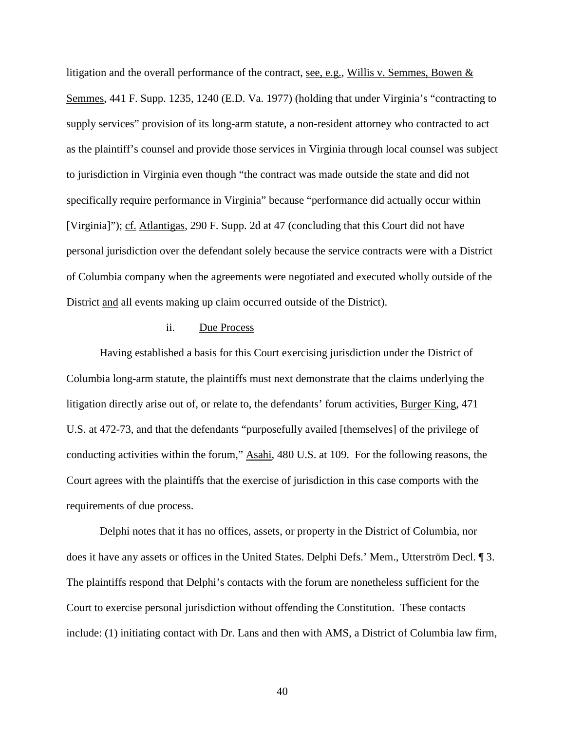litigation and the overall performance of the contract, see, e.g., Willis v. Semmes, Bowen & Semmes, 441 F. Supp. 1235, 1240 (E.D. Va. 1977) (holding that under Virginia's "contracting to supply services" provision of its long-arm statute, a non-resident attorney who contracted to act as the plaintiff's counsel and provide those services in Virginia through local counsel was subject to jurisdiction in Virginia even though "the contract was made outside the state and did not specifically require performance in Virginia" because "performance did actually occur within [Virginia]"); cf. Atlantigas, 290 F. Supp. 2d at 47 (concluding that this Court did not have personal jurisdiction over the defendant solely because the service contracts were with a District of Columbia company when the agreements were negotiated and executed wholly outside of the District and all events making up claim occurred outside of the District).

### ii. Due Process

Having established a basis for this Court exercising jurisdiction under the District of Columbia long-arm statute, the plaintiffs must next demonstrate that the claims underlying the litigation directly arise out of, or relate to, the defendants' forum activities, Burger King, 471 U.S. at 472-73, and that the defendants "purposefully availed [themselves] of the privilege of conducting activities within the forum," Asahi, 480 U.S. at 109. For the following reasons, the Court agrees with the plaintiffs that the exercise of jurisdiction in this case comports with the requirements of due process.

Delphi notes that it has no offices, assets, or property in the District of Columbia, nor does it have any assets or offices in the United States. Delphi Defs.' Mem., Utterström Decl. ¶ 3. The plaintiffs respond that Delphi's contacts with the forum are nonetheless sufficient for the Court to exercise personal jurisdiction without offending the Constitution. These contacts include: (1) initiating contact with Dr. Lans and then with AMS, a District of Columbia law firm,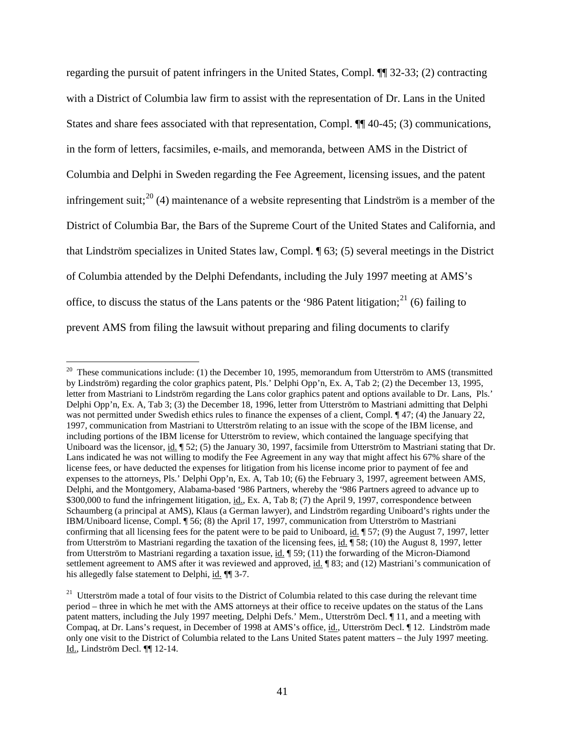regarding the pursuit of patent infringers in the United States, Compl. ¶¶ 32-33; (2) contracting with a District of Columbia law firm to assist with the representation of Dr. Lans in the United States and share fees associated with that representation, Compl. ¶¶ 40-45; (3) communications, in the form of letters, facsimiles, e-mails, and memoranda, between AMS in the District of Columbia and Delphi in Sweden regarding the Fee Agreement, licensing issues, and the patent infringement suit;<sup>[20](#page-36-0)</sup> (4) maintenance of a website representing that Lindström is a member of the District of Columbia Bar, the Bars of the Supreme Court of the United States and California, and that Lindström specializes in United States law, Compl. ¶ 63; (5) several meetings in the District of Columbia attended by the Delphi Defendants, including the July 1997 meeting at AMS's office, to discuss the status of the Lans patents or the '986 Patent litigation; $^{21}$  $^{21}$  $^{21}$  (6) failing to prevent AMS from filing the lawsuit without preparing and filing documents to clarify

<span id="page-40-1"></span><sup>&</sup>lt;sup>20</sup> These communications include: (1) the December 10, 1995, memorandum from Utterström to AMS (transmitted by Lindström) regarding the color graphics patent, Pls.' Delphi Opp'n, Ex. A, Tab 2; (2) the December 13, 1995, letter from Mastriani to Lindström regarding the Lans color graphics patent and options available to Dr. Lans, Pls.' Delphi Opp'n, Ex. A, Tab 3; (3) the December 18, 1996, letter from Utterström to Mastriani admitting that Delphi was not permitted under Swedish ethics rules to finance the expenses of a client, Compl. ¶ 47; (4) the January 22, 1997, communication from Mastriani to Utterström relating to an issue with the scope of the IBM license, and including portions of the IBM license for Utterström to review, which contained the language specifying that Uniboard was the licensor, id.  $\parallel$  52; (5) the January 30, 1997, facsimile from Utterström to Mastriani stating that Dr. Lans indicated he was not willing to modify the Fee Agreement in any way that might affect his 67% share of the license fees, or have deducted the expenses for litigation from his license income prior to payment of fee and expenses to the attorneys, Pls.' Delphi Opp'n, Ex. A, Tab 10; (6) the February 3, 1997, agreement between AMS, Delphi, and the Montgomery, Alabama-based '986 Partners, whereby the '986 Partners agreed to advance up to \$300,000 to fund the infringement litigation, id., Ex. A, Tab 8; (7) the April 9, 1997, correspondence between Schaumberg (a principal at AMS), Klaus (a German lawyer), and Lindström regarding Uniboard's rights under the IBM/Uniboard license, Compl. ¶ 56; (8) the April 17, 1997, communication from Utterström to Mastriani confirming that all licensing fees for the patent were to be paid to Uniboard, id.  $\parallel$  57; (9) the August 7, 1997, letter from Utterström to Mastriani regarding the taxation of the licensing fees, id. ¶ 58; (10) the August 8, 1997, letter from Utterström to Mastriani regarding a taxation issue, id.  $\parallel$  59; (11) the forwarding of the Micron-Diamond settlement agreement to AMS after it was reviewed and approved, id. [83; and (12) Mastriani's communication of his allegedly false statement to Delphi, id.  $\P$  3-7.

<span id="page-40-0"></span><sup>&</sup>lt;sup>21</sup> Utterström made a total of four visits to the District of Columbia related to this case during the relevant time period – three in which he met with the AMS attorneys at their office to receive updates on the status of the Lans patent matters, including the July 1997 meeting, Delphi Defs.' Mem., Utterström Decl. ¶ 11, and a meeting with Compaq, at Dr. Lans's request, in December of 1998 at AMS's office, id., Utterström Decl. ¶ 12. Lindström made only one visit to the District of Columbia related to the Lans United States patent matters – the July 1997 meeting. Id., Lindström Decl. ¶¶ 12-14.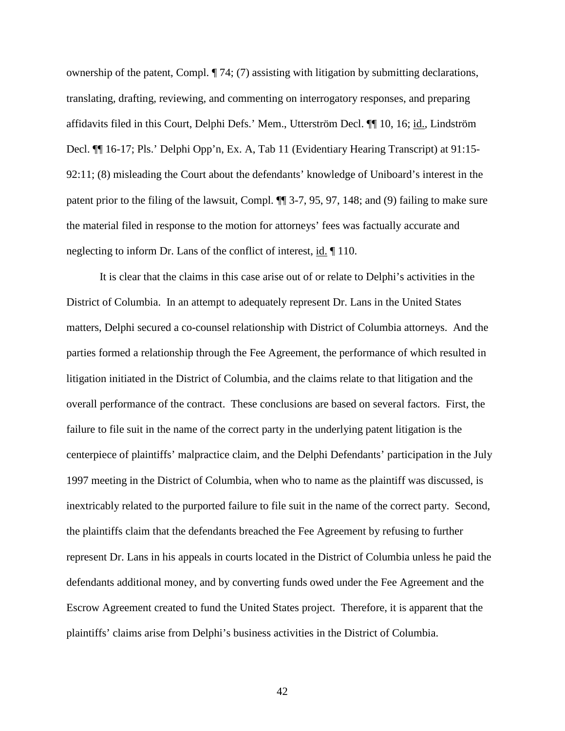ownership of the patent, Compl. ¶ 74; (7) assisting with litigation by submitting declarations, translating, drafting, reviewing, and commenting on interrogatory responses, and preparing affidavits filed in this Court, Delphi Defs.' Mem., Utterström Decl. ¶¶ 10, 16; id., Lindström Decl. ¶¶ 16-17; Pls.' Delphi Opp'n, Ex. A, Tab 11 (Evidentiary Hearing Transcript) at 91:15- 92:11; (8) misleading the Court about the defendants' knowledge of Uniboard's interest in the patent prior to the filing of the lawsuit, Compl. ¶¶ 3-7, 95, 97, 148; and (9) failing to make sure the material filed in response to the motion for attorneys' fees was factually accurate and neglecting to inform Dr. Lans of the conflict of interest, id. ¶ 110.

It is clear that the claims in this case arise out of or relate to Delphi's activities in the District of Columbia. In an attempt to adequately represent Dr. Lans in the United States matters, Delphi secured a co-counsel relationship with District of Columbia attorneys. And the parties formed a relationship through the Fee Agreement, the performance of which resulted in litigation initiated in the District of Columbia, and the claims relate to that litigation and the overall performance of the contract. These conclusions are based on several factors. First, the failure to file suit in the name of the correct party in the underlying patent litigation is the centerpiece of plaintiffs' malpractice claim, and the Delphi Defendants' participation in the July 1997 meeting in the District of Columbia, when who to name as the plaintiff was discussed, is inextricably related to the purported failure to file suit in the name of the correct party. Second, the plaintiffs claim that the defendants breached the Fee Agreement by refusing to further represent Dr. Lans in his appeals in courts located in the District of Columbia unless he paid the defendants additional money, and by converting funds owed under the Fee Agreement and the Escrow Agreement created to fund the United States project. Therefore, it is apparent that the plaintiffs' claims arise from Delphi's business activities in the District of Columbia.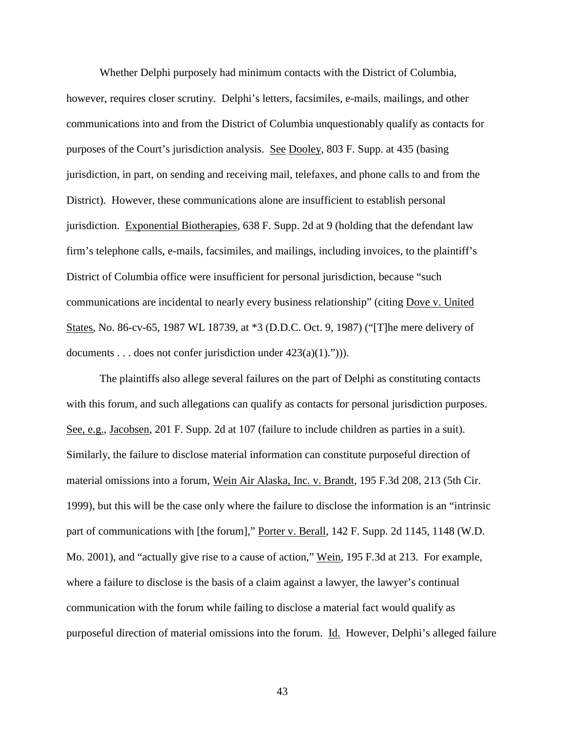Whether Delphi purposely had minimum contacts with the District of Columbia, however, requires closer scrutiny. Delphi's letters, facsimiles, e-mails, mailings, and other communications into and from the District of Columbia unquestionably qualify as contacts for purposes of the Court's jurisdiction analysis. See Dooley, 803 F. Supp. at 435 (basing jurisdiction, in part, on sending and receiving mail, telefaxes, and phone calls to and from the District). However, these communications alone are insufficient to establish personal jurisdiction. Exponential Biotherapies, 638 F. Supp. 2d at 9 (holding that the defendant law firm's telephone calls, e-mails, facsimiles, and mailings, including invoices, to the plaintiff's District of Columbia office were insufficient for personal jurisdiction, because "such communications are incidental to nearly every business relationship" (citing Dove v. United States, No. 86-cv-65, 1987 WL 18739, at \*3 (D.D.C. Oct. 9, 1987) ("[T]he mere delivery of documents . . . does not confer jurisdiction under  $423(a)(1)$ .")).

The plaintiffs also allege several failures on the part of Delphi as constituting contacts with this forum, and such allegations can qualify as contacts for personal jurisdiction purposes. See, e.g., Jacobsen, 201 F. Supp. 2d at 107 (failure to include children as parties in a suit). Similarly, the failure to disclose material information can constitute purposeful direction of material omissions into a forum, Wein Air Alaska, Inc. v. Brandt, 195 F.3d 208, 213 (5th Cir. 1999), but this will be the case only where the failure to disclose the information is an "intrinsic part of communications with [the forum]," Porter v. Berall, 142 F. Supp. 2d 1145, 1148 (W.D. Mo. 2001), and "actually give rise to a cause of action," Wein, 195 F.3d at 213. For example, where a failure to disclose is the basis of a claim against a lawyer, the lawyer's continual communication with the forum while failing to disclose a material fact would qualify as purposeful direction of material omissions into the forum. Id. However, Delphi's alleged failure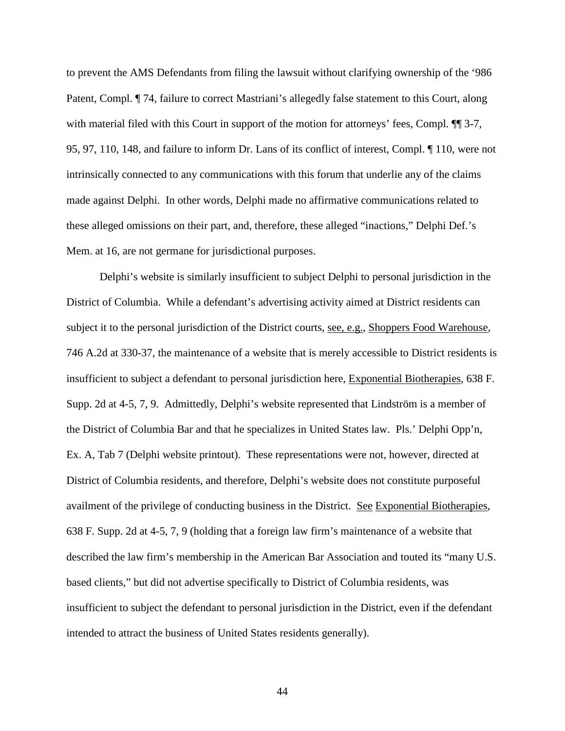to prevent the AMS Defendants from filing the lawsuit without clarifying ownership of the '986 Patent, Compl. ¶ 74, failure to correct Mastriani's allegedly false statement to this Court, along with material filed with this Court in support of the motion for attorneys' fees, Compl.  $\P$  3-7, 95, 97, 110, 148, and failure to inform Dr. Lans of its conflict of interest, Compl. ¶ 110, were not intrinsically connected to any communications with this forum that underlie any of the claims made against Delphi. In other words, Delphi made no affirmative communications related to these alleged omissions on their part, and, therefore, these alleged "inactions," Delphi Def.'s Mem. at 16, are not germane for jurisdictional purposes.

Delphi's website is similarly insufficient to subject Delphi to personal jurisdiction in the District of Columbia. While a defendant's advertising activity aimed at District residents can subject it to the personal jurisdiction of the District courts, see, e.g., Shoppers Food Warehouse, 746 A.2d at 330-37, the maintenance of a website that is merely accessible to District residents is insufficient to subject a defendant to personal jurisdiction here, Exponential Biotherapies, 638 F. Supp. 2d at 4-5, 7, 9. Admittedly, Delphi's website represented that Lindström is a member of the District of Columbia Bar and that he specializes in United States law. Pls.' Delphi Opp'n, Ex. A, Tab 7 (Delphi website printout). These representations were not, however, directed at District of Columbia residents, and therefore, Delphi's website does not constitute purposeful availment of the privilege of conducting business in the District. See Exponential Biotherapies, 638 F. Supp. 2d at 4-5, 7, 9 (holding that a foreign law firm's maintenance of a website that described the law firm's membership in the American Bar Association and touted its "many U.S. based clients," but did not advertise specifically to District of Columbia residents, was insufficient to subject the defendant to personal jurisdiction in the District, even if the defendant intended to attract the business of United States residents generally).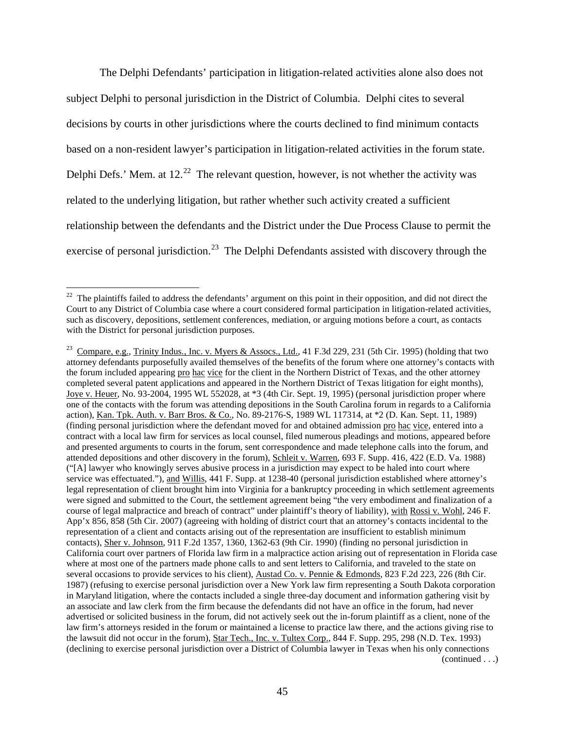The Delphi Defendants' participation in litigation-related activities alone also does not subject Delphi to personal jurisdiction in the District of Columbia. Delphi cites to several decisions by courts in other jurisdictions where the courts declined to find minimum contacts based on a non-resident lawyer's participation in litigation-related activities in the forum state. Delphi Defs.' Mem. at  $12^{22}$  $12^{22}$  $12^{22}$  The relevant question, however, is not whether the activity was related to the underlying litigation, but rather whether such activity created a sufficient relationship between the defendants and the District under the Due Process Clause to permit the exercise of personal jurisdiction.<sup>[23](#page-44-0)</sup> The Delphi Defendants assisted with discovery through the

<sup>&</sup>lt;sup>22</sup> The plaintiffs failed to address the defendants' argument on this point in their opposition, and did not direct the Court to any District of Columbia case where a court considered formal participation in litigation-related activities, such as discovery, depositions, settlement conferences, mediation, or arguing motions before a court, as contacts with the District for personal jurisdiction purposes.

<span id="page-44-1"></span><span id="page-44-0"></span><sup>&</sup>lt;sup>23</sup> Compare, e.g., Trinity Indus., Inc. v. Myers & Assocs., Ltd., 41 F.3d 229, 231 (5th Cir. 1995) (holding that two attorney defendants purposefully availed themselves of the benefits of the forum where one attorney's contacts with the forum included appearing pro hac vice for the client in the Northern District of Texas, and the other attorney completed several patent applications and appeared in the Northern District of Texas litigation for eight months), Joye v. Heuer, No. 93-2004, 1995 WL 552028, at \*3 (4th Cir. Sept. 19, 1995) (personal jurisdiction proper where one of the contacts with the forum was attending depositions in the South Carolina forum in regards to a California action), Kan. Tpk. Auth. v. Barr Bros. & Co., No. 89-2176-S, 1989 WL 117314, at \*2 (D. Kan. Sept. 11, 1989) (finding personal jurisdiction where the defendant moved for and obtained admission pro hac vice, entered into a contract with a local law firm for services as local counsel, filed numerous pleadings and motions, appeared before and presented arguments to courts in the forum, sent correspondence and made telephone calls into the forum, and attended depositions and other discovery in the forum), Schleit v. Warren, 693 F. Supp. 416, 422 (E.D. Va. 1988) ("[A] lawyer who knowingly serves abusive process in a jurisdiction may expect to be haled into court where service was effectuated."), and Willis, 441 F. Supp. at 1238-40 (personal jurisdiction established where attorney's legal representation of client brought him into Virginia for a bankruptcy proceeding in which settlement agreements were signed and submitted to the Court, the settlement agreement being "the very embodiment and finalization of a course of legal malpractice and breach of contract" under plaintiff's theory of liability), with Rossi v. Wohl, 246 F. App'x 856, 858 (5th Cir. 2007) (agreeing with holding of district court that an attorney's contacts incidental to the representation of a client and contacts arising out of the representation are insufficient to establish minimum contacts), Sher v. Johnson, 911 F.2d 1357, 1360, 1362-63 (9th Cir. 1990) (finding no personal jurisdiction in California court over partners of Florida law firm in a malpractice action arising out of representation in Florida case where at most one of the partners made phone calls to and sent letters to California, and traveled to the state on several occasions to provide services to his client), Austad Co. v. Pennie & Edmonds, 823 F.2d 223, 226 (8th Cir. 1987) (refusing to exercise personal jurisdiction over a New York law firm representing a South Dakota corporation in Maryland litigation, where the contacts included a single three-day document and information gathering visit by an associate and law clerk from the firm because the defendants did not have an office in the forum, had never advertised or solicited business in the forum, did not actively seek out the in-forum plaintiff as a client, none of the law firm's attorneys resided in the forum or maintained a license to practice law there, and the actions giving rise to the lawsuit did not occur in the forum), Star Tech., Inc. v. Tultex Corp., 844 F. Supp. 295, 298 (N.D. Tex. 1993) (declining to exercise personal jurisdiction over a District of Columbia lawyer in Texas when his only connections (continued . . .)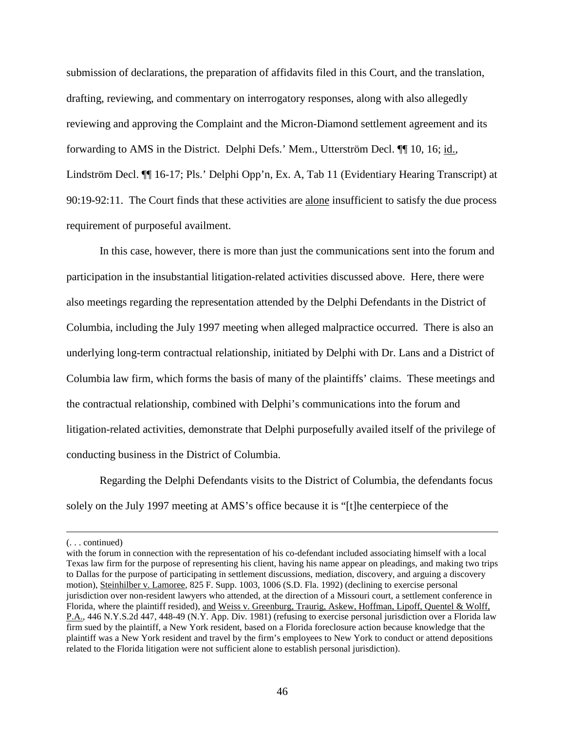submission of declarations, the preparation of affidavits filed in this Court, and the translation, drafting, reviewing, and commentary on interrogatory responses, along with also allegedly reviewing and approving the Complaint and the Micron-Diamond settlement agreement and its forwarding to AMS in the District. Delphi Defs.' Mem., Utterström Decl. <sup>[1]</sup> 10, 16; id., Lindström Decl. ¶¶ 16-17; Pls.' Delphi Opp'n, Ex. A, Tab 11 (Evidentiary Hearing Transcript) at 90:19-92:11. The Court finds that these activities are alone insufficient to satisfy the due process requirement of purposeful availment.

In this case, however, there is more than just the communications sent into the forum and participation in the insubstantial litigation-related activities discussed above. Here, there were also meetings regarding the representation attended by the Delphi Defendants in the District of Columbia, including the July 1997 meeting when alleged malpractice occurred. There is also an underlying long-term contractual relationship, initiated by Delphi with Dr. Lans and a District of Columbia law firm, which forms the basis of many of the plaintiffs' claims. These meetings and the contractual relationship, combined with Delphi's communications into the forum and litigation-related activities, demonstrate that Delphi purposefully availed itself of the privilege of conducting business in the District of Columbia.

Regarding the Delphi Defendants visits to the District of Columbia, the defendants focus solely on the July 1997 meeting at AMS's office because it is "[t]he centerpiece of the

 $\overline{a}$ 

<sup>(. . .</sup> continued)

with the forum in connection with the representation of his co-defendant included associating himself with a local Texas law firm for the purpose of representing his client, having his name appear on pleadings, and making two trips to Dallas for the purpose of participating in settlement discussions, mediation, discovery, and arguing a discovery motion), Steinhilber v. Lamoree, 825 F. Supp. 1003, 1006 (S.D. Fla. 1992) (declining to exercise personal jurisdiction over non-resident lawyers who attended, at the direction of a Missouri court, a settlement conference in Florida, where the plaintiff resided), and Weiss v. Greenburg, Traurig, Askew, Hoffman, Lipoff, Quentel & Wolff, P.A., 446 N.Y.S.2d 447, 448-49 (N.Y. App. Div. 1981) (refusing to exercise personal jurisdiction over a Florida law firm sued by the plaintiff, a New York resident, based on a Florida foreclosure action because knowledge that the plaintiff was a New York resident and travel by the firm's employees to New York to conduct or attend depositions related to the Florida litigation were not sufficient alone to establish personal jurisdiction).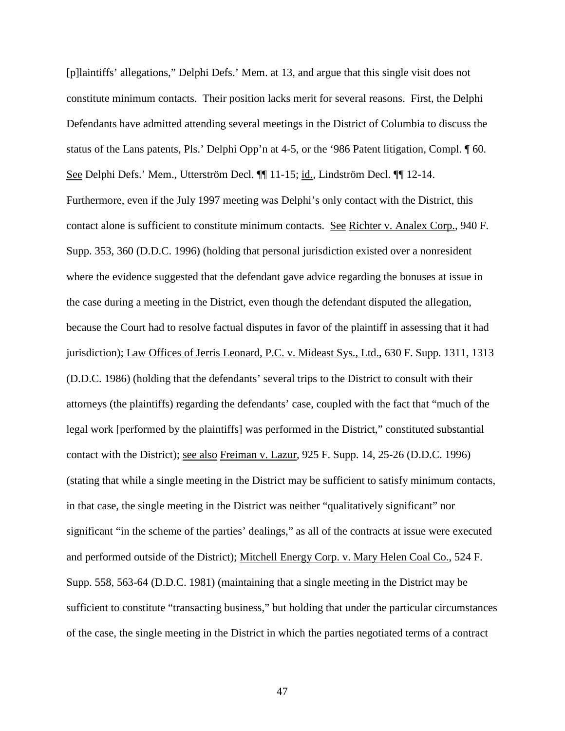[p]laintiffs' allegations," Delphi Defs.' Mem. at 13, and argue that this single visit does not constitute minimum contacts. Their position lacks merit for several reasons. First, the Delphi Defendants have admitted attending several meetings in the District of Columbia to discuss the status of the Lans patents, Pls.' Delphi Opp'n at 4-5, or the '986 Patent litigation, Compl. ¶ 60. See Delphi Defs.' Mem., Utterström Decl. ¶¶ 11-15; id., Lindström Decl. ¶¶ 12-14. Furthermore, even if the July 1997 meeting was Delphi's only contact with the District, this contact alone is sufficient to constitute minimum contacts. See Richter v. Analex Corp., 940 F. Supp. 353, 360 (D.D.C. 1996) (holding that personal jurisdiction existed over a nonresident where the evidence suggested that the defendant gave advice regarding the bonuses at issue in the case during a meeting in the District, even though the defendant disputed the allegation, because the Court had to resolve factual disputes in favor of the plaintiff in assessing that it had jurisdiction); Law Offices of Jerris Leonard, P.C. v. Mideast Sys., Ltd., 630 F. Supp. 1311, 1313 (D.D.C. 1986) (holding that the defendants' several trips to the District to consult with their attorneys (the plaintiffs) regarding the defendants' case, coupled with the fact that "much of the legal work [performed by the plaintiffs] was performed in the District," constituted substantial contact with the District); see also Freiman v. Lazur, 925 F. Supp. 14, 25-26 (D.D.C. 1996) (stating that while a single meeting in the District may be sufficient to satisfy minimum contacts, in that case, the single meeting in the District was neither "qualitatively significant" nor significant "in the scheme of the parties' dealings," as all of the contracts at issue were executed and performed outside of the District); Mitchell Energy Corp. v. Mary Helen Coal Co., 524 F. Supp. 558, 563-64 (D.D.C. 1981) (maintaining that a single meeting in the District may be sufficient to constitute "transacting business," but holding that under the particular circumstances of the case, the single meeting in the District in which the parties negotiated terms of a contract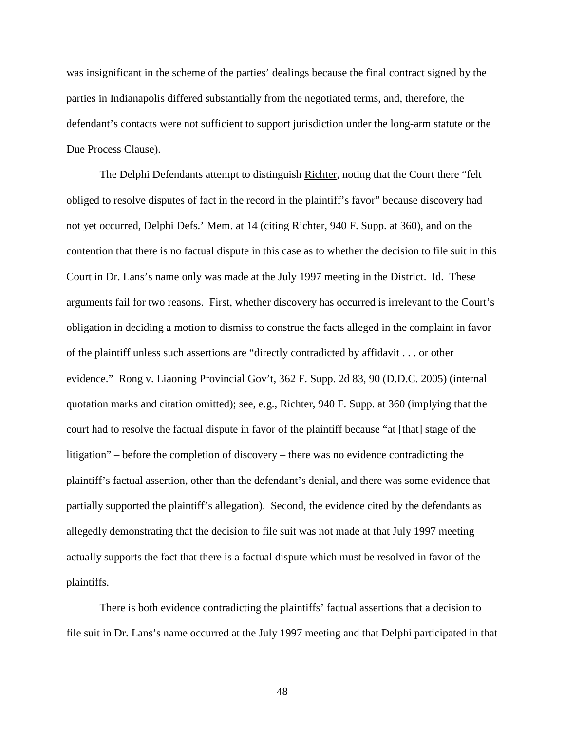was insignificant in the scheme of the parties' dealings because the final contract signed by the parties in Indianapolis differed substantially from the negotiated terms, and, therefore, the defendant's contacts were not sufficient to support jurisdiction under the long-arm statute or the Due Process Clause).

The Delphi Defendants attempt to distinguish Richter, noting that the Court there "felt obliged to resolve disputes of fact in the record in the plaintiff's favor" because discovery had not yet occurred, Delphi Defs.' Mem. at 14 (citing Richter, 940 F. Supp. at 360), and on the contention that there is no factual dispute in this case as to whether the decision to file suit in this Court in Dr. Lans's name only was made at the July 1997 meeting in the District. Id. These arguments fail for two reasons. First, whether discovery has occurred is irrelevant to the Court's obligation in deciding a motion to dismiss to construe the facts alleged in the complaint in favor of the plaintiff unless such assertions are "directly contradicted by affidavit . . . or other evidence." Rong v. Liaoning Provincial Gov't, 362 F. Supp. 2d 83, 90 (D.D.C. 2005) (internal quotation marks and citation omitted); see, e.g., Richter, 940 F. Supp. at 360 (implying that the court had to resolve the factual dispute in favor of the plaintiff because "at [that] stage of the litigation" – before the completion of discovery – there was no evidence contradicting the plaintiff's factual assertion, other than the defendant's denial, and there was some evidence that partially supported the plaintiff's allegation). Second, the evidence cited by the defendants as allegedly demonstrating that the decision to file suit was not made at that July 1997 meeting actually supports the fact that there is a factual dispute which must be resolved in favor of the plaintiffs.

There is both evidence contradicting the plaintiffs' factual assertions that a decision to file suit in Dr. Lans's name occurred at the July 1997 meeting and that Delphi participated in that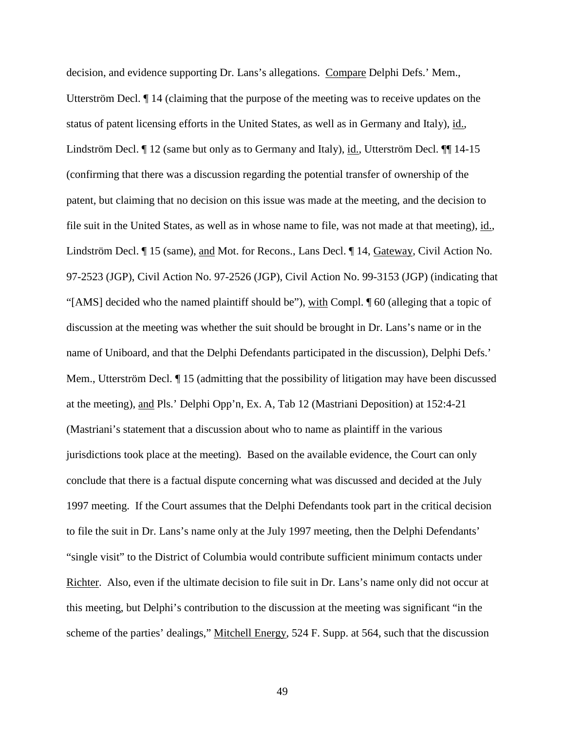decision, and evidence supporting Dr. Lans's allegations. Compare Delphi Defs.' Mem., Utterström Decl. ¶ 14 (claiming that the purpose of the meeting was to receive updates on the status of patent licensing efforts in the United States, as well as in Germany and Italy), id., Lindström Decl. ¶ 12 (same but only as to Germany and Italy), id., Utterström Decl. ¶¶ 14-15 (confirming that there was a discussion regarding the potential transfer of ownership of the patent, but claiming that no decision on this issue was made at the meeting, and the decision to file suit in the United States, as well as in whose name to file, was not made at that meeting), id., Lindström Decl. ¶ 15 (same), and Mot. for Recons., Lans Decl. ¶ 14, Gateway, Civil Action No. 97-2523 (JGP), Civil Action No. 97-2526 (JGP), Civil Action No. 99-3153 (JGP) (indicating that "[AMS] decided who the named plaintiff should be"), with Compl. ¶ 60 (alleging that a topic of discussion at the meeting was whether the suit should be brought in Dr. Lans's name or in the name of Uniboard, and that the Delphi Defendants participated in the discussion), Delphi Defs.' Mem., Utterström Decl. ¶ 15 (admitting that the possibility of litigation may have been discussed at the meeting), and Pls.' Delphi Opp'n, Ex. A, Tab 12 (Mastriani Deposition) at 152:4-21 (Mastriani's statement that a discussion about who to name as plaintiff in the various jurisdictions took place at the meeting). Based on the available evidence, the Court can only conclude that there is a factual dispute concerning what was discussed and decided at the July 1997 meeting. If the Court assumes that the Delphi Defendants took part in the critical decision to file the suit in Dr. Lans's name only at the July 1997 meeting, then the Delphi Defendants' "single visit" to the District of Columbia would contribute sufficient minimum contacts under Richter. Also, even if the ultimate decision to file suit in Dr. Lans's name only did not occur at this meeting, but Delphi's contribution to the discussion at the meeting was significant "in the scheme of the parties' dealings," Mitchell Energy, 524 F. Supp. at 564, such that the discussion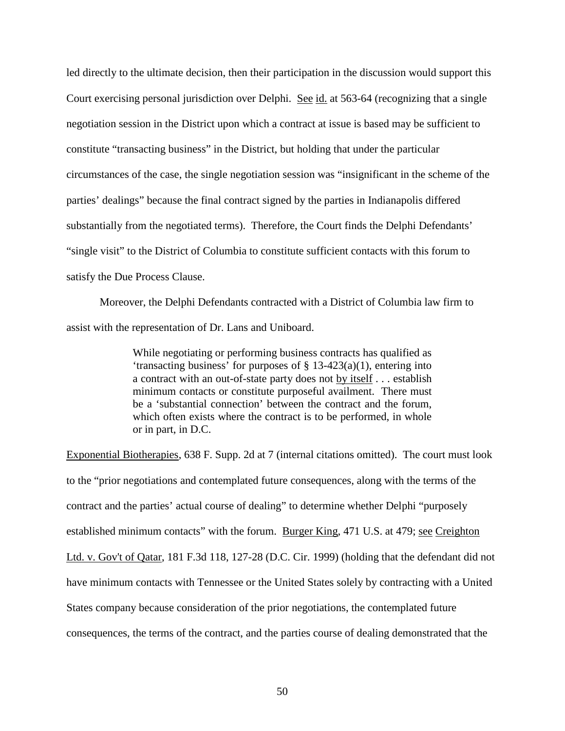led directly to the ultimate decision, then their participation in the discussion would support this Court exercising personal jurisdiction over Delphi. See id. at 563-64 (recognizing that a single negotiation session in the District upon which a contract at issue is based may be sufficient to constitute "transacting business" in the District, but holding that under the particular circumstances of the case, the single negotiation session was "insignificant in the scheme of the parties' dealings" because the final contract signed by the parties in Indianapolis differed substantially from the negotiated terms). Therefore, the Court finds the Delphi Defendants' "single visit" to the District of Columbia to constitute sufficient contacts with this forum to satisfy the Due Process Clause.

Moreover, the Delphi Defendants contracted with a District of Columbia law firm to assist with the representation of Dr. Lans and Uniboard.

> While negotiating or performing business contracts has qualified as 'transacting business' for purposes of  $\S$  13-423(a)(1), entering into a contract with an out-of-state party does not by itself . . . establish minimum contacts or constitute purposeful availment. There must be a 'substantial connection' between the contract and the forum, which often exists where the contract is to be performed, in whole or in part, in D.C.

Exponential Biotherapies, 638 F. Supp. 2d at 7 (internal citations omitted). The court must look to the "prior negotiations and contemplated future consequences, along with the terms of the contract and the parties' actual course of dealing" to determine whether Delphi "purposely established minimum contacts" with the forum. Burger King, 471 U.S. at 479; see Creighton Ltd. v. Gov't of Qatar, 181 F.3d 118, 127-28 (D.C. Cir. 1999) (holding that the defendant did not have minimum contacts with Tennessee or the United States solely by contracting with a United States company because consideration of the prior negotiations, the contemplated future consequences, the terms of the contract, and the parties course of dealing demonstrated that the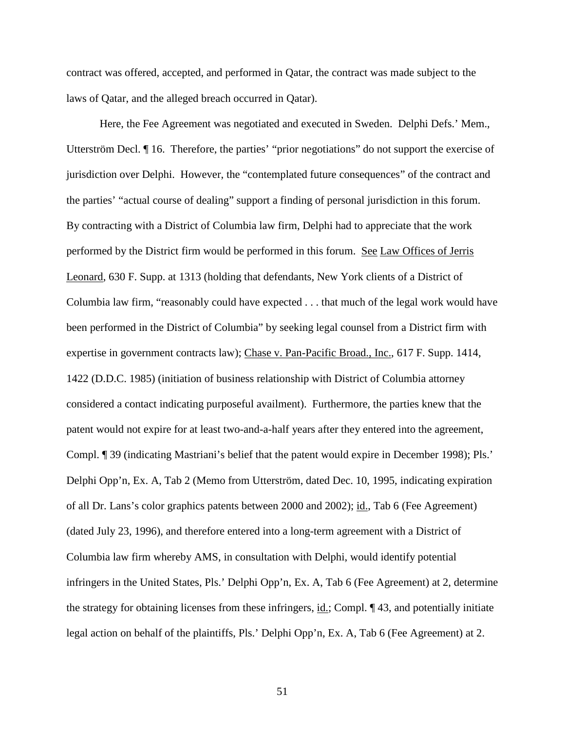contract was offered, accepted, and performed in Qatar, the contract was made subject to the laws of Qatar, and the alleged breach occurred in Qatar).

Here, the Fee Agreement was negotiated and executed in Sweden. Delphi Defs.' Mem., Utterström Decl. ¶ 16. Therefore, the parties' "prior negotiations" do not support the exercise of jurisdiction over Delphi. However, the "contemplated future consequences" of the contract and the parties' "actual course of dealing" support a finding of personal jurisdiction in this forum. By contracting with a District of Columbia law firm, Delphi had to appreciate that the work performed by the District firm would be performed in this forum. See Law Offices of Jerris Leonard, 630 F. Supp. at 1313 (holding that defendants, New York clients of a District of Columbia law firm, "reasonably could have expected . . . that much of the legal work would have been performed in the District of Columbia" by seeking legal counsel from a District firm with expertise in government contracts law); Chase v. Pan-Pacific Broad., Inc., 617 F. Supp. 1414, 1422 (D.D.C. 1985) (initiation of business relationship with District of Columbia attorney considered a contact indicating purposeful availment). Furthermore, the parties knew that the patent would not expire for at least two-and-a-half years after they entered into the agreement, Compl. ¶ 39 (indicating Mastriani's belief that the patent would expire in December 1998); Pls.' Delphi Opp'n, Ex. A, Tab 2 (Memo from Utterström, dated Dec. 10, 1995, indicating expiration of all Dr. Lans's color graphics patents between 2000 and 2002); id., Tab 6 (Fee Agreement) (dated July 23, 1996), and therefore entered into a long-term agreement with a District of Columbia law firm whereby AMS, in consultation with Delphi, would identify potential infringers in the United States, Pls.' Delphi Opp'n, Ex. A, Tab 6 (Fee Agreement) at 2, determine the strategy for obtaining licenses from these infringers, id.; Compl. ¶ 43, and potentially initiate legal action on behalf of the plaintiffs, Pls.' Delphi Opp'n, Ex. A, Tab 6 (Fee Agreement) at 2.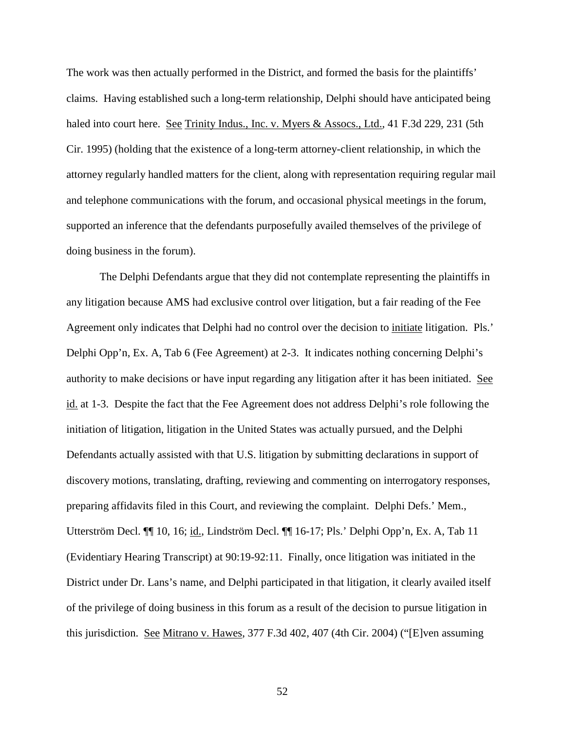The work was then actually performed in the District, and formed the basis for the plaintiffs' claims. Having established such a long-term relationship, Delphi should have anticipated being haled into court here. See Trinity Indus., Inc. v. Myers & Assocs., Ltd., 41 F.3d 229, 231 (5th Cir. 1995) (holding that the existence of a long-term attorney-client relationship, in which the attorney regularly handled matters for the client, along with representation requiring regular mail and telephone communications with the forum, and occasional physical meetings in the forum, supported an inference that the defendants purposefully availed themselves of the privilege of doing business in the forum).

The Delphi Defendants argue that they did not contemplate representing the plaintiffs in any litigation because AMS had exclusive control over litigation, but a fair reading of the Fee Agreement only indicates that Delphi had no control over the decision to initiate litigation. Pls.' Delphi Opp'n, Ex. A, Tab 6 (Fee Agreement) at 2-3. It indicates nothing concerning Delphi's authority to make decisions or have input regarding any litigation after it has been initiated. See id. at 1-3. Despite the fact that the Fee Agreement does not address Delphi's role following the initiation of litigation, litigation in the United States was actually pursued, and the Delphi Defendants actually assisted with that U.S. litigation by submitting declarations in support of discovery motions, translating, drafting, reviewing and commenting on interrogatory responses, preparing affidavits filed in this Court, and reviewing the complaint. Delphi Defs.' Mem., Utterström Decl. ¶¶ 10, 16; id., Lindström Decl. ¶¶ 16-17; Pls.' Delphi Opp'n, Ex. A, Tab 11 (Evidentiary Hearing Transcript) at 90:19-92:11. Finally, once litigation was initiated in the District under Dr. Lans's name, and Delphi participated in that litigation, it clearly availed itself of the privilege of doing business in this forum as a result of the decision to pursue litigation in this jurisdiction. See Mitrano v. Hawes, 377 F.3d 402, 407 (4th Cir. 2004) ("[E]ven assuming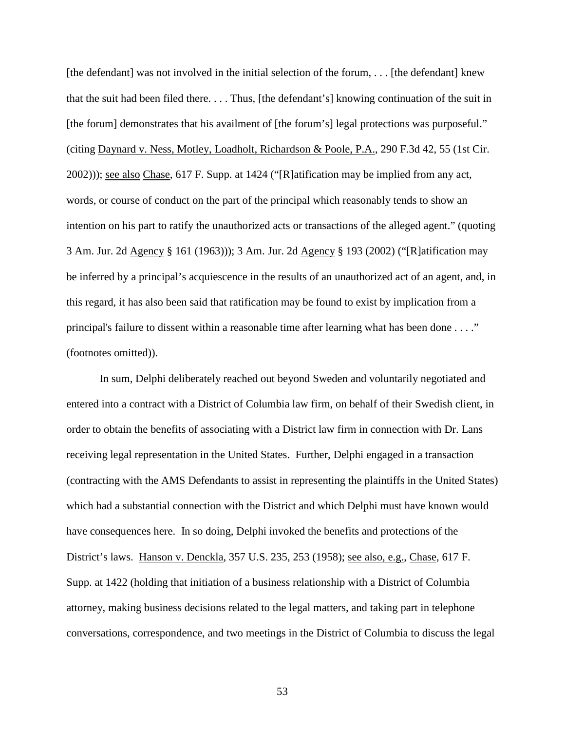[the defendant] was not involved in the initial selection of the forum,  $\dots$ . [the defendant] knew that the suit had been filed there. . . . Thus, [the defendant's] knowing continuation of the suit in [the forum] demonstrates that his availment of [the forum's] legal protections was purposeful." (citing Daynard v. Ness, Motley, Loadholt, Richardson & Poole, P.A., 290 F.3d 42, 55 (1st Cir. 2002))); see also Chase, 617 F. Supp. at 1424 ("[R]atification may be implied from any act, words, or course of conduct on the part of the principal which reasonably tends to show an intention on his part to ratify the unauthorized acts or transactions of the alleged agent." (quoting 3 Am. Jur. 2d Agency § 161 (1963))); 3 Am. Jur. 2d Agency § 193 (2002) ("[R]atification may be inferred by a principal's acquiescence in the results of an unauthorized act of an agent, and, in this regard, it has also been said that ratification may be found to exist by implication from a principal's failure to dissent within a reasonable time after learning what has been done . . . ." (footnotes omitted)).

In sum, Delphi deliberately reached out beyond Sweden and voluntarily negotiated and entered into a contract with a District of Columbia law firm, on behalf of their Swedish client, in order to obtain the benefits of associating with a District law firm in connection with Dr. Lans receiving legal representation in the United States. Further, Delphi engaged in a transaction (contracting with the AMS Defendants to assist in representing the plaintiffs in the United States) which had a substantial connection with the District and which Delphi must have known would have consequences here. In so doing, Delphi invoked the benefits and protections of the District's laws. Hanson v. Denckla, 357 U.S. 235, 253 (1958); see also, e.g., Chase, 617 F. Supp. at 1422 (holding that initiation of a business relationship with a District of Columbia attorney, making business decisions related to the legal matters, and taking part in telephone conversations, correspondence, and two meetings in the District of Columbia to discuss the legal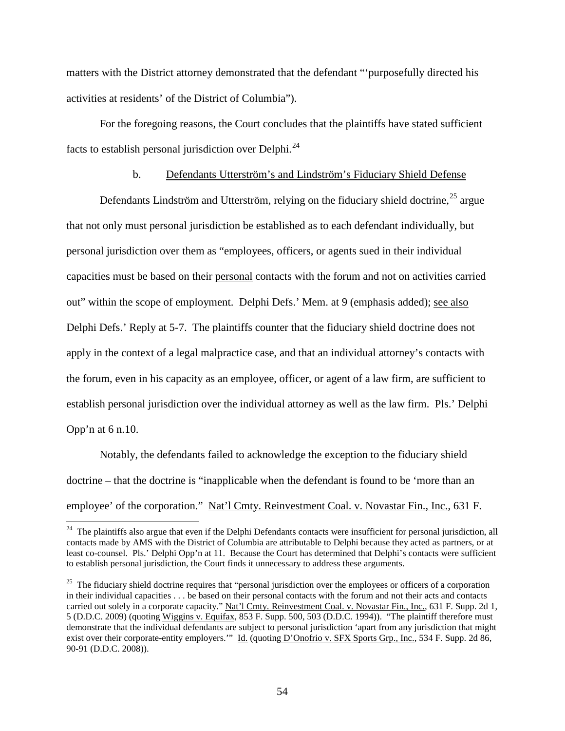matters with the District attorney demonstrated that the defendant "'purposefully directed his activities at residents' of the District of Columbia").

For the foregoing reasons, the Court concludes that the plaintiffs have stated sufficient facts to establish personal jurisdiction over Delphi.[24](#page-44-1) 

# b. Defendants Utterström's and Lindström's Fiduciary Shield Defense

Defendants Lindström and Utterström, relying on the fiduciary shield doctrine,  $25$  argue that not only must personal jurisdiction be established as to each defendant individually, but personal jurisdiction over them as "employees, officers, or agents sued in their individual capacities must be based on their personal contacts with the forum and not on activities carried out" within the scope of employment. Delphi Defs.' Mem. at 9 (emphasis added); <u>see also</u> Delphi Defs.' Reply at 5-7. The plaintiffs counter that the fiduciary shield doctrine does not apply in the context of a legal malpractice case, and that an individual attorney's contacts with the forum, even in his capacity as an employee, officer, or agent of a law firm, are sufficient to establish personal jurisdiction over the individual attorney as well as the law firm. Pls.' Delphi Opp'n at 6 n.10.

<span id="page-53-1"></span>Notably, the defendants failed to acknowledge the exception to the fiduciary shield doctrine – that the doctrine is "inapplicable when the defendant is found to be 'more than an employee' of the corporation." Nat'l Cmty. Reinvestment Coal. v. Novastar Fin., Inc., 631 F.

<sup>&</sup>lt;sup>24</sup> The plaintiffs also argue that even if the Delphi Defendants contacts were insufficient for personal jurisdiction, all contacts made by AMS with the District of Columbia are attributable to Delphi because they acted as partners, or at least co-counsel. Pls.' Delphi Opp'n at 11. Because the Court has determined that Delphi's contacts were sufficient to establish personal jurisdiction, the Court finds it unnecessary to address these arguments.

<span id="page-53-0"></span> $25$  The fiduciary shield doctrine requires that "personal jurisdiction over the employees or officers of a corporation in their individual capacities . . . be based on their personal contacts with the forum and not their acts and contacts carried out solely in a corporate capacity." Nat'l Cmty. Reinvestment Coal. v. Novastar Fin., Inc., 631 F. Supp. 2d 1, 5 (D.D.C. 2009) (quoting Wiggins v. Equifax, 853 F. Supp. 500, 503 (D.D.C. 1994)). "The plaintiff therefore must demonstrate that the individual defendants are subject to personal jurisdiction 'apart from any jurisdiction that might exist over their corporate-entity employers." Id. (quoting D'Onofrio v. SFX Sports Grp., Inc., 534 F. Supp. 2d 86, 90-91 (D.D.C. 2008)).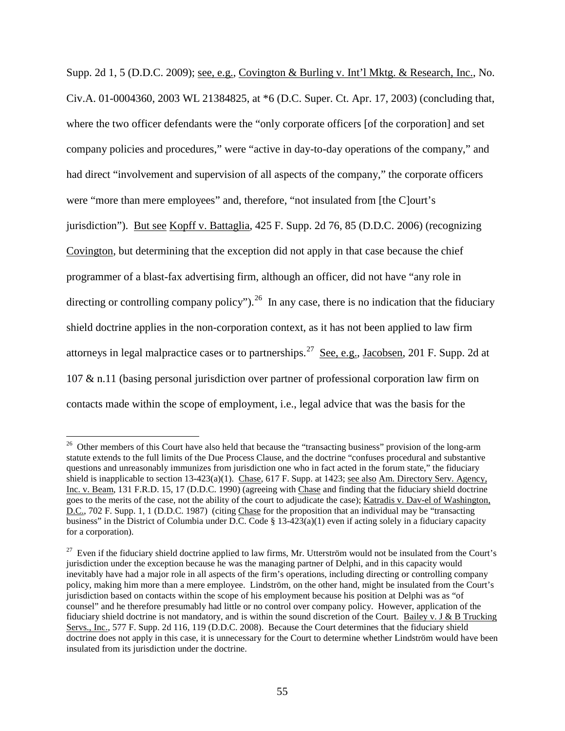Supp. 2d 1, 5 (D.D.C. 2009); see, e.g., Covington & Burling v. Int'l Mktg. & Research, Inc., No. Civ.A. 01-0004360, 2003 WL 21384825, at \*6 (D.C. Super. Ct. Apr. 17, 2003) (concluding that, where the two officer defendants were the "only corporate officers [of the corporation] and set company policies and procedures," were "active in day-to-day operations of the company," and had direct "involvement and supervision of all aspects of the company," the corporate officers were "more than mere employees" and, therefore, "not insulated from [the C]ourt's jurisdiction"). But see Kopff v. Battaglia, 425 F. Supp. 2d 76, 85 (D.D.C. 2006) (recognizing Covington, but determining that the exception did not apply in that case because the chief programmer of a blast-fax advertising firm, although an officer, did not have "any role in directing or controlling company policy").<sup>[26](#page-53-1)</sup> In any case, there is no indication that the fiduciary shield doctrine applies in the non-corporation context, as it has not been applied to law firm attorneys in legal malpractice cases or to partnerships.<sup>27</sup> See, e.g., Jacobsen, 201 F. Supp. 2d at 107 & n.11 (basing personal jurisdiction over partner of professional corporation law firm on contacts made within the scope of employment, i.e., legal advice that was the basis for the

<sup>&</sup>lt;sup>26</sup> Other members of this Court have also held that because the "transacting business" provision of the long-arm statute extends to the full limits of the Due Process Clause, and the doctrine "confuses procedural and substantive questions and unreasonably immunizes from jurisdiction one who in fact acted in the forum state," the fiduciary shield is inapplicable to section  $13-423(a)(1)$ . Chase, 617 F. Supp. at 1423; see also Am. Directory Serv. Agency, Inc. v. Beam, 131 F.R.D. 15, 17 (D.D.C. 1990) (agreeing with Chase and finding that the fiduciary shield doctrine goes to the merits of the case, not the ability of the court to adjudicate the case); Katradis v. Dav-el of Washington, D.C., 702 F. Supp. 1, 1 (D.D.C. 1987) (citing Chase for the proposition that an individual may be "transacting business" in the District of Columbia under D.C. Code  $\S$  13-423(a)(1) even if acting solely in a fiduciary capacity for a corporation).

<span id="page-54-1"></span><span id="page-54-0"></span> $27$  Even if the fiduciary shield doctrine applied to law firms, Mr. Utterström would not be insulated from the Court's jurisdiction under the exception because he was the managing partner of Delphi, and in this capacity would inevitably have had a major role in all aspects of the firm's operations, including directing or controlling company policy, making him more than a mere employee. Lindström, on the other hand, might be insulated from the Court's jurisdiction based on contacts within the scope of his employment because his position at Delphi was as "of counsel" and he therefore presumably had little or no control over company policy. However, application of the fiduciary shield doctrine is not mandatory, and is within the sound discretion of the Court. Bailey v. J & B Trucking Servs., Inc., 577 F. Supp. 2d 116, 119 (D.D.C. 2008). Because the Court determines that the fiduciary shield doctrine does not apply in this case, it is unnecessary for the Court to determine whether Lindström would have been insulated from its jurisdiction under the doctrine.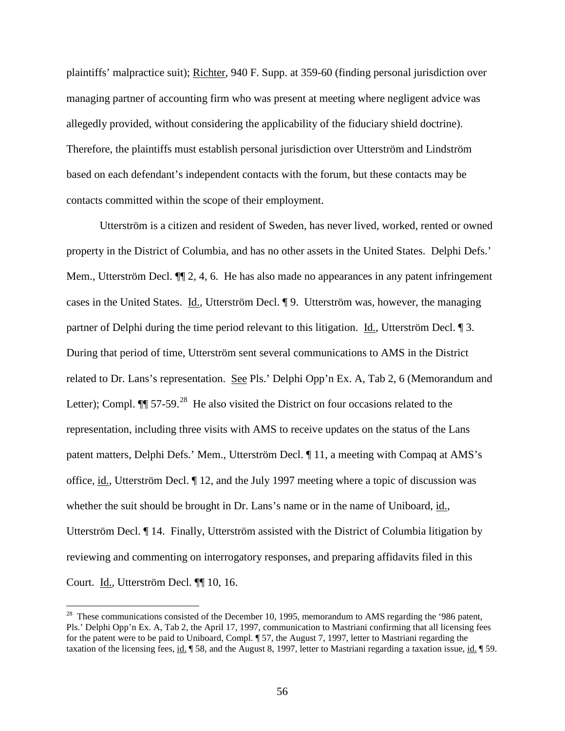plaintiffs' malpractice suit); Richter, 940 F. Supp. at 359-60 (finding personal jurisdiction over managing partner of accounting firm who was present at meeting where negligent advice was allegedly provided, without considering the applicability of the fiduciary shield doctrine). Therefore, the plaintiffs must establish personal jurisdiction over Utterström and Lindström based on each defendant's independent contacts with the forum, but these contacts may be contacts committed within the scope of their employment.

Utterström is a citizen and resident of Sweden, has never lived, worked, rented or owned property in the District of Columbia, and has no other assets in the United States. Delphi Defs.' Mem., Utterström Decl.  $\P$  2, 4, 6. He has also made no appearances in any patent infringement cases in the United States. Id., Utterström Decl. ¶ 9. Utterström was, however, the managing partner of Delphi during the time period relevant to this litigation. Id., Utterström Decl. ¶ 3. During that period of time, Utterström sent several communications to AMS in the District related to Dr. Lans's representation. See Pls.' Delphi Opp'n Ex. A, Tab 2, 6 (Memorandum and Letter); Compl.  $\P$  57-59.<sup>[28](#page-54-1)</sup> He also visited the District on four occasions related to the representation, including three visits with AMS to receive updates on the status of the Lans patent matters, Delphi Defs.' Mem., Utterström Decl. ¶ 11, a meeting with Compaq at AMS's office, id., Utterström Decl. ¶ 12, and the July 1997 meeting where a topic of discussion was whether the suit should be brought in Dr. Lans's name or in the name of Uniboard, id., Utterström Decl. ¶ 14. Finally, Utterström assisted with the District of Columbia litigation by reviewing and commenting on interrogatory responses, and preparing affidavits filed in this Court. Id., Utterström Decl. ¶¶ 10, 16.

<span id="page-55-0"></span> $28$  These communications consisted of the December 10, 1995, memorandum to AMS regarding the '986 patent, Pls.' Delphi Opp'n Ex. A, Tab 2, the April 17, 1997, communication to Mastriani confirming that all licensing fees for the patent were to be paid to Uniboard, Compl. ¶ 57, the August 7, 1997, letter to Mastriani regarding the taxation of the licensing fees, id.  $\parallel$  58, and the August 8, 1997, letter to Mastriani regarding a taxation issue, id.  $\parallel$  59.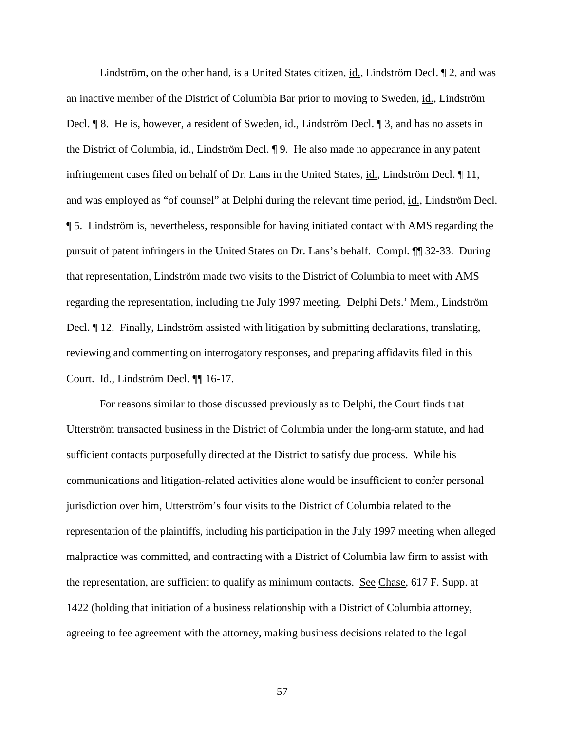Lindström, on the other hand, is a United States citizen, id., Lindström Decl. 12, and was an inactive member of the District of Columbia Bar prior to moving to Sweden, id., Lindström Decl. ¶ 8. He is, however, a resident of Sweden, id., Lindström Decl. ¶ 3, and has no assets in the District of Columbia, id., Lindström Decl. ¶ 9. He also made no appearance in any patent infringement cases filed on behalf of Dr. Lans in the United States, id., Lindström Decl. ¶ 11, and was employed as "of counsel" at Delphi during the relevant time period, id., Lindström Decl. ¶ 5. Lindström is, nevertheless, responsible for having initiated contact with AMS regarding the pursuit of patent infringers in the United States on Dr. Lans's behalf. Compl. ¶¶ 32-33. During that representation, Lindström made two visits to the District of Columbia to meet with AMS regarding the representation, including the July 1997 meeting. Delphi Defs.' Mem., Lindström Decl.  $\parallel$  12. Finally, Lindström assisted with litigation by submitting declarations, translating, reviewing and commenting on interrogatory responses, and preparing affidavits filed in this Court. Id., Lindström Decl. ¶¶ 16-17.

For reasons similar to those discussed previously as to Delphi, the Court finds that Utterström transacted business in the District of Columbia under the long-arm statute, and had sufficient contacts purposefully directed at the District to satisfy due process. While his communications and litigation-related activities alone would be insufficient to confer personal jurisdiction over him, Utterström's four visits to the District of Columbia related to the representation of the plaintiffs, including his participation in the July 1997 meeting when alleged malpractice was committed, and contracting with a District of Columbia law firm to assist with the representation, are sufficient to qualify as minimum contacts. See Chase, 617 F. Supp. at 1422 (holding that initiation of a business relationship with a District of Columbia attorney, agreeing to fee agreement with the attorney, making business decisions related to the legal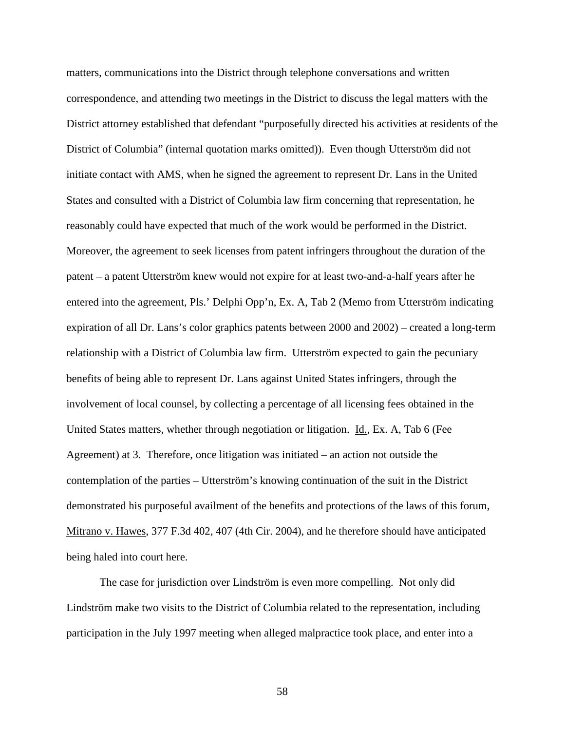matters, communications into the District through telephone conversations and written correspondence, and attending two meetings in the District to discuss the legal matters with the District attorney established that defendant "purposefully directed his activities at residents of the District of Columbia" (internal quotation marks omitted)). Even though Utterström did not initiate contact with AMS, when he signed the agreement to represent Dr. Lans in the United States and consulted with a District of Columbia law firm concerning that representation, he reasonably could have expected that much of the work would be performed in the District. Moreover, the agreement to seek licenses from patent infringers throughout the duration of the patent – a patent Utterström knew would not expire for at least two-and-a-half years after he entered into the agreement, Pls.' Delphi Opp'n, Ex. A, Tab 2 (Memo from Utterström indicating expiration of all Dr. Lans's color graphics patents between 2000 and 2002) – created a long-term relationship with a District of Columbia law firm. Utterström expected to gain the pecuniary benefits of being able to represent Dr. Lans against United States infringers, through the involvement of local counsel, by collecting a percentage of all licensing fees obtained in the United States matters, whether through negotiation or litigation. Id., Ex. A, Tab 6 (Fee Agreement) at 3. Therefore, once litigation was initiated – an action not outside the contemplation of the parties – Utterström's knowing continuation of the suit in the District demonstrated his purposeful availment of the benefits and protections of the laws of this forum, Mitrano v. Hawes, 377 F.3d 402, 407 (4th Cir. 2004), and he therefore should have anticipated being haled into court here.

The case for jurisdiction over Lindström is even more compelling. Not only did Lindström make two visits to the District of Columbia related to the representation, including participation in the July 1997 meeting when alleged malpractice took place, and enter into a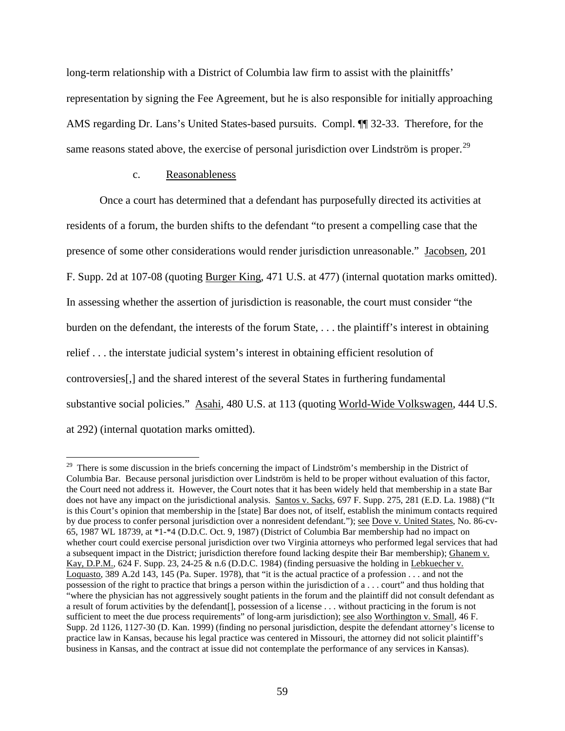long-term relationship with a District of Columbia law firm to assist with the plainitffs' representation by signing the Fee Agreement, but he is also responsible for initially approaching AMS regarding Dr. Lans's United States-based pursuits. Compl. ¶¶ 32-33. Therefore, for the same reasons stated above, the exercise of personal jurisdiction over Lindström is proper.<sup>29</sup>

### c. Reasonableness

Once a court has determined that a defendant has purposefully directed its activities at residents of a forum, the burden shifts to the defendant "to present a compelling case that the presence of some other considerations would render jurisdiction unreasonable." Jacobsen, 201 F. Supp. 2d at 107-08 (quoting Burger King, 471 U.S. at 477) (internal quotation marks omitted). In assessing whether the assertion of jurisdiction is reasonable, the court must consider "the burden on the defendant, the interests of the forum State, . . . the plaintiff's interest in obtaining relief . . . the interstate judicial system's interest in obtaining efficient resolution of controversies[,] and the shared interest of the several States in furthering fundamental substantive social policies." Asahi, 480 U.S. at 113 (quoting World-Wide Volkswagen, 444 U.S. at 292) (internal quotation marks omitted).

<span id="page-58-0"></span><sup>&</sup>lt;sup>29</sup> There is some discussion in the briefs concerning the impact of Lindström's membership in the District of Columbia Bar. Because personal jurisdiction over Lindström is held to be proper without evaluation of this factor, the Court need not address it. However, the Court notes that it has been widely held that membership in a state Bar does not have any impact on the jurisdictional analysis. Santos v. Sacks, 697 F. Supp. 275, 281 (E.D. La. 1988) ("It is this Court's opinion that membership in the [state] Bar does not, of itself, establish the minimum contacts required by due process to confer personal jurisdiction over a nonresident defendant."); see Dove v. United States, No. 86-cv-65, 1987 WL 18739, at \*1-\*4 (D.D.C. Oct. 9, 1987) (District of Columbia Bar membership had no impact on whether court could exercise personal jurisdiction over two Virginia attorneys who performed legal services that had a subsequent impact in the District; jurisdiction therefore found lacking despite their Bar membership); Ghanem v. Kay, D.P.M., 624 F. Supp. 23, 24-25 & n.6 (D.D.C. 1984) (finding persuasive the holding in Lebkuecher v. Loquasto, 389 A.2d 143, 145 (Pa. Super. 1978), that "it is the actual practice of a profession . . . and not the possession of the right to practice that brings a person within the jurisdiction of a . . . court" and thus holding that "where the physician has not aggressively sought patients in the forum and the plaintiff did not consult defendant as a result of forum activities by the defendant[], possession of a license . . . without practicing in the forum is not sufficient to meet the due process requirements" of long-arm jurisdiction); see also Worthington v. Small, 46 F. Supp. 2d 1126, 1127-30 (D. Kan. 1999) (finding no personal jurisdiction, despite the defendant attorney's license to practice law in Kansas, because his legal practice was centered in Missouri, the attorney did not solicit plaintiff's business in Kansas, and the contract at issue did not contemplate the performance of any services in Kansas).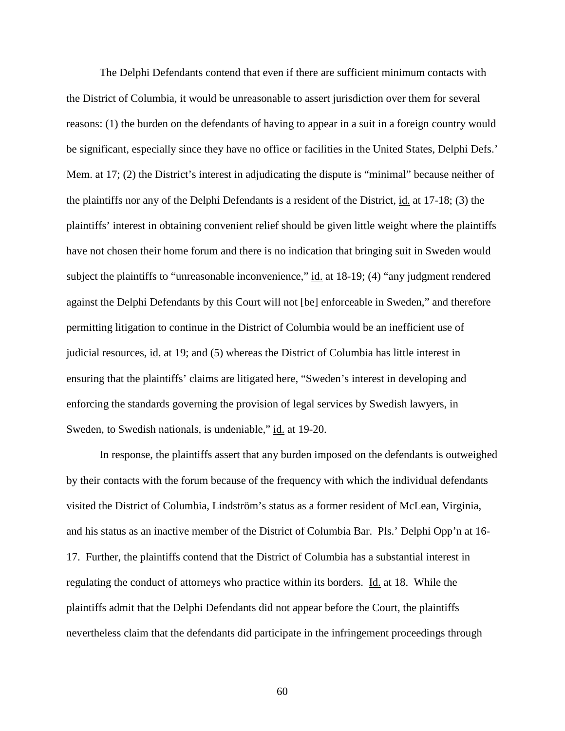The Delphi Defendants contend that even if there are sufficient minimum contacts with the District of Columbia, it would be unreasonable to assert jurisdiction over them for several reasons: (1) the burden on the defendants of having to appear in a suit in a foreign country would be significant, especially since they have no office or facilities in the United States, Delphi Defs.' Mem. at 17; (2) the District's interest in adjudicating the dispute is "minimal" because neither of the plaintiffs nor any of the Delphi Defendants is a resident of the District, id. at 17-18; (3) the plaintiffs' interest in obtaining convenient relief should be given little weight where the plaintiffs have not chosen their home forum and there is no indication that bringing suit in Sweden would subject the plaintiffs to "unreasonable inconvenience," id. at 18-19; (4) "any judgment rendered against the Delphi Defendants by this Court will not [be] enforceable in Sweden," and therefore permitting litigation to continue in the District of Columbia would be an inefficient use of judicial resources, id. at 19; and (5) whereas the District of Columbia has little interest in ensuring that the plaintiffs' claims are litigated here, "Sweden's interest in developing and enforcing the standards governing the provision of legal services by Swedish lawyers, in Sweden, to Swedish nationals, is undeniable," id. at 19-20.

In response, the plaintiffs assert that any burden imposed on the defendants is outweighed by their contacts with the forum because of the frequency with which the individual defendants visited the District of Columbia, Lindström's status as a former resident of McLean, Virginia, and his status as an inactive member of the District of Columbia Bar. Pls.' Delphi Opp'n at 16- 17. Further, the plaintiffs contend that the District of Columbia has a substantial interest in regulating the conduct of attorneys who practice within its borders. Id. at 18. While the plaintiffs admit that the Delphi Defendants did not appear before the Court, the plaintiffs nevertheless claim that the defendants did participate in the infringement proceedings through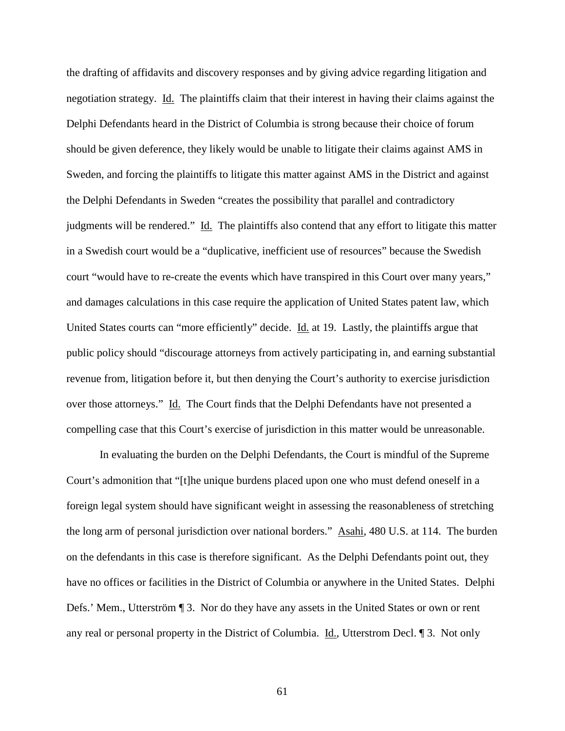the drafting of affidavits and discovery responses and by giving advice regarding litigation and negotiation strategy. Id. The plaintiffs claim that their interest in having their claims against the Delphi Defendants heard in the District of Columbia is strong because their choice of forum should be given deference, they likely would be unable to litigate their claims against AMS in Sweden, and forcing the plaintiffs to litigate this matter against AMS in the District and against the Delphi Defendants in Sweden "creates the possibility that parallel and contradictory judgments will be rendered." Id. The plaintiffs also contend that any effort to litigate this matter in a Swedish court would be a "duplicative, inefficient use of resources" because the Swedish court "would have to re-create the events which have transpired in this Court over many years," and damages calculations in this case require the application of United States patent law, which United States courts can "more efficiently" decide. Id. at 19. Lastly, the plaintiffs argue that public policy should "discourage attorneys from actively participating in, and earning substantial revenue from, litigation before it, but then denying the Court's authority to exercise jurisdiction over those attorneys." Id. The Court finds that the Delphi Defendants have not presented a compelling case that this Court's exercise of jurisdiction in this matter would be unreasonable.

In evaluating the burden on the Delphi Defendants, the Court is mindful of the Supreme Court's admonition that "[t]he unique burdens placed upon one who must defend oneself in a foreign legal system should have significant weight in assessing the reasonableness of stretching the long arm of personal jurisdiction over national borders." Asahi, 480 U.S. at 114. The burden on the defendants in this case is therefore significant. As the Delphi Defendants point out, they have no offices or facilities in the District of Columbia or anywhere in the United States. Delphi Defs.' Mem., Utterström ¶ 3. Nor do they have any assets in the United States or own or rent any real or personal property in the District of Columbia. Id., Utterstrom Decl. ¶ 3. Not only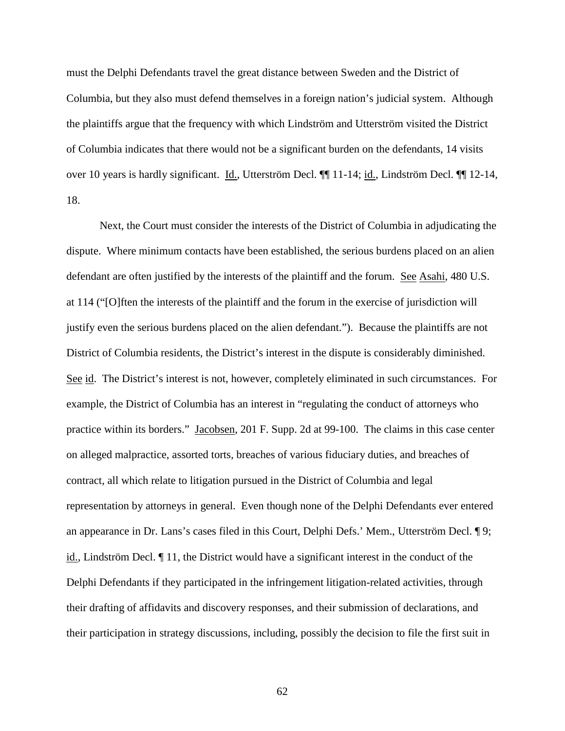must the Delphi Defendants travel the great distance between Sweden and the District of Columbia, but they also must defend themselves in a foreign nation's judicial system. Although the plaintiffs argue that the frequency with which Lindström and Utterström visited the District of Columbia indicates that there would not be a significant burden on the defendants, 14 visits over 10 years is hardly significant. Id., Utterström Decl. ¶¶ 11-14; id., Lindström Decl. ¶¶ 12-14, 18.

Next, the Court must consider the interests of the District of Columbia in adjudicating the dispute. Where minimum contacts have been established, the serious burdens placed on an alien defendant are often justified by the interests of the plaintiff and the forum. See Asahi, 480 U.S. at 114 ("[O]ften the interests of the plaintiff and the forum in the exercise of jurisdiction will justify even the serious burdens placed on the alien defendant."). Because the plaintiffs are not District of Columbia residents, the District's interest in the dispute is considerably diminished. See id. The District's interest is not, however, completely eliminated in such circumstances. For example, the District of Columbia has an interest in "regulating the conduct of attorneys who practice within its borders." Jacobsen, 201 F. Supp. 2d at 99-100. The claims in this case center on alleged malpractice, assorted torts, breaches of various fiduciary duties, and breaches of contract, all which relate to litigation pursued in the District of Columbia and legal representation by attorneys in general. Even though none of the Delphi Defendants ever entered an appearance in Dr. Lans's cases filed in this Court, Delphi Defs.' Mem., Utterström Decl. ¶ 9; id., Lindström Decl. ¶ 11, the District would have a significant interest in the conduct of the Delphi Defendants if they participated in the infringement litigation-related activities, through their drafting of affidavits and discovery responses, and their submission of declarations, and their participation in strategy discussions, including, possibly the decision to file the first suit in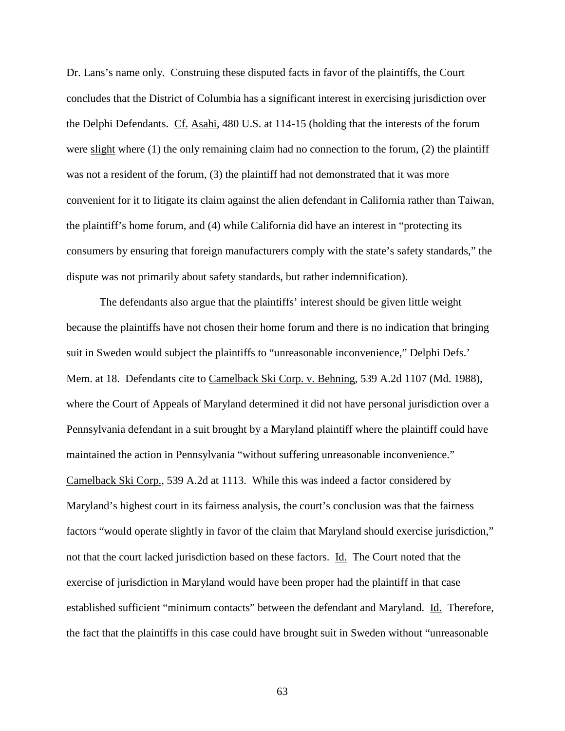Dr. Lans's name only. Construing these disputed facts in favor of the plaintiffs, the Court concludes that the District of Columbia has a significant interest in exercising jurisdiction over the Delphi Defendants. Cf. Asahi, 480 U.S. at 114-15 (holding that the interests of the forum were slight where (1) the only remaining claim had no connection to the forum, (2) the plaintiff was not a resident of the forum, (3) the plaintiff had not demonstrated that it was more convenient for it to litigate its claim against the alien defendant in California rather than Taiwan, the plaintiff's home forum, and (4) while California did have an interest in "protecting its consumers by ensuring that foreign manufacturers comply with the state's safety standards," the dispute was not primarily about safety standards, but rather indemnification).

The defendants also argue that the plaintiffs' interest should be given little weight because the plaintiffs have not chosen their home forum and there is no indication that bringing suit in Sweden would subject the plaintiffs to "unreasonable inconvenience," Delphi Defs.' Mem. at 18. Defendants cite to Camelback Ski Corp. v. Behning, 539 A.2d 1107 (Md. 1988), where the Court of Appeals of Maryland determined it did not have personal jurisdiction over a Pennsylvania defendant in a suit brought by a Maryland plaintiff where the plaintiff could have maintained the action in Pennsylvania "without suffering unreasonable inconvenience." Camelback Ski Corp., 539 A.2d at 1113. While this was indeed a factor considered by Maryland's highest court in its fairness analysis, the court's conclusion was that the fairness factors "would operate slightly in favor of the claim that Maryland should exercise jurisdiction," not that the court lacked jurisdiction based on these factors. Id. The Court noted that the exercise of jurisdiction in Maryland would have been proper had the plaintiff in that case established sufficient "minimum contacts" between the defendant and Maryland. Id. Therefore, the fact that the plaintiffs in this case could have brought suit in Sweden without "unreasonable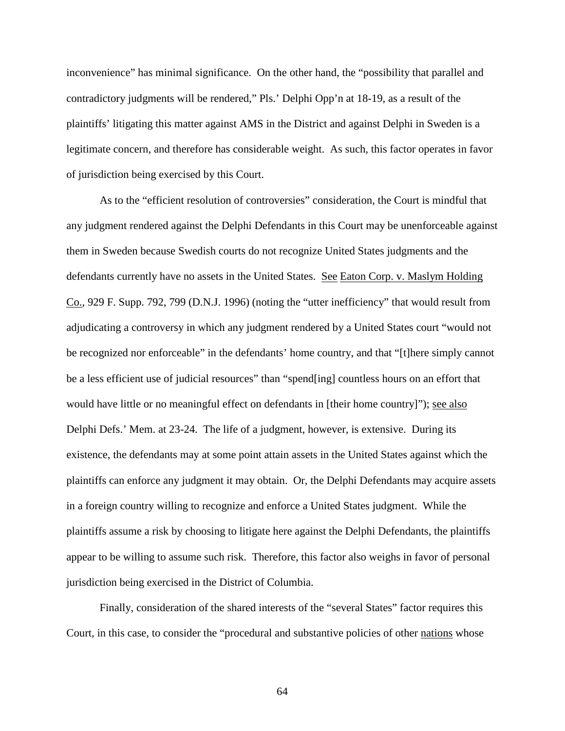inconvenience" has minimal significance. On the other hand, the "possibility that parallel and contradictory judgments will be rendered," Pls.' Delphi Opp'n at 18-19, as a result of the plaintiffs' litigating this matter against AMS in the District and against Delphi in Sweden is a legitimate concern, and therefore has considerable weight. As such, this factor operates in favor of jurisdiction being exercised by this Court.

As to the "efficient resolution of controversies" consideration, the Court is mindful that any judgment rendered against the Delphi Defendants in this Court may be unenforceable against them in Sweden because Swedish courts do not recognize United States judgments and the defendants currently have no assets in the United States. See Eaton Corp. v. Maslym Holding Co., 929 F. Supp. 792, 799 (D.N.J. 1996) (noting the "utter inefficiency" that would result from adjudicating a controversy in which any judgment rendered by a United States court "would not be recognized nor enforceable" in the defendants' home country, and that "[t]here simply cannot be a less efficient use of judicial resources" than "spend[ing] countless hours on an effort that would have little or no meaningful effect on defendants in [their home country]"); see also Delphi Defs.' Mem. at 23-24. The life of a judgment, however, is extensive. During its existence, the defendants may at some point attain assets in the United States against which the plaintiffs can enforce any judgment it may obtain. Or, the Delphi Defendants may acquire assets in a foreign country willing to recognize and enforce a United States judgment. While the plaintiffs assume a risk by choosing to litigate here against the Delphi Defendants, the plaintiffs appear to be willing to assume such risk. Therefore, this factor also weighs in favor of personal jurisdiction being exercised in the District of Columbia.

Finally, consideration of the shared interests of the "several States" factor requires this Court, in this case, to consider the "procedural and substantive policies of other nations whose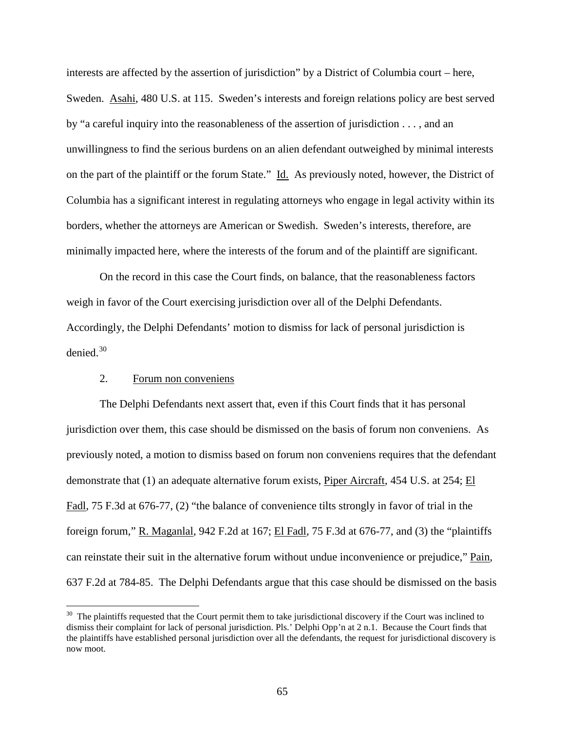interests are affected by the assertion of jurisdiction" by a District of Columbia court – here, Sweden. Asahi, 480 U.S. at 115. Sweden's interests and foreign relations policy are best served by "a careful inquiry into the reasonableness of the assertion of jurisdiction . . . , and an unwillingness to find the serious burdens on an alien defendant outweighed by minimal interests on the part of the plaintiff or the forum State." Id. As previously noted, however, the District of Columbia has a significant interest in regulating attorneys who engage in legal activity within its borders, whether the attorneys are American or Swedish. Sweden's interests, therefore, are minimally impacted here, where the interests of the forum and of the plaintiff are significant.

On the record in this case the Court finds, on balance, that the reasonableness factors weigh in favor of the Court exercising jurisdiction over all of the Delphi Defendants. Accordingly, the Delphi Defendants' motion to dismiss for lack of personal jurisdiction is denied.[30](#page-58-0)

## 2. Forum non conveniens

The Delphi Defendants next assert that, even if this Court finds that it has personal jurisdiction over them, this case should be dismissed on the basis of forum non conveniens. As previously noted, a motion to dismiss based on forum non conveniens requires that the defendant demonstrate that (1) an adequate alternative forum exists, Piper Aircraft, 454 U.S. at 254; El Fadl, 75 F.3d at 676-77, (2) "the balance of convenience tilts strongly in favor of trial in the foreign forum," R. Maganlal, 942 F.2d at 167; El Fadl, 75 F.3d at 676-77, and (3) the "plaintiffs can reinstate their suit in the alternative forum without undue inconvenience or prejudice," Pain, 637 F.2d at 784-85. The Delphi Defendants argue that this case should be dismissed on the basis

<span id="page-64-0"></span> $30$  The plaintiffs requested that the Court permit them to take jurisdictional discovery if the Court was inclined to dismiss their complaint for lack of personal jurisdiction. Pls.' Delphi Opp'n at 2 n.1. Because the Court finds that the plaintiffs have established personal jurisdiction over all the defendants, the request for jurisdictional discovery is now moot.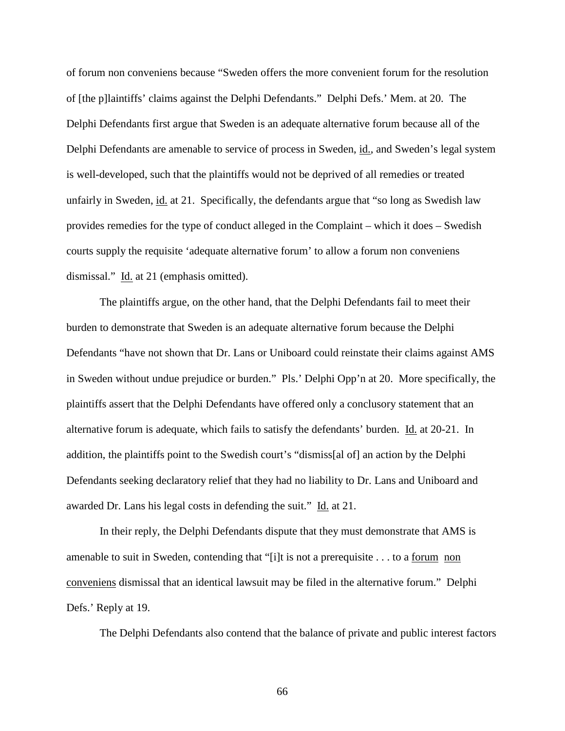of forum non conveniens because "Sweden offers the more convenient forum for the resolution of [the p]laintiffs' claims against the Delphi Defendants." Delphi Defs.' Mem. at 20. The Delphi Defendants first argue that Sweden is an adequate alternative forum because all of the Delphi Defendants are amenable to service of process in Sweden, id., and Sweden's legal system is well-developed, such that the plaintiffs would not be deprived of all remedies or treated unfairly in Sweden, id. at 21. Specifically, the defendants argue that "so long as Swedish law provides remedies for the type of conduct alleged in the Complaint – which it does – Swedish courts supply the requisite 'adequate alternative forum' to allow a forum non conveniens dismissal." Id. at 21 (emphasis omitted).

The plaintiffs argue, on the other hand, that the Delphi Defendants fail to meet their burden to demonstrate that Sweden is an adequate alternative forum because the Delphi Defendants "have not shown that Dr. Lans or Uniboard could reinstate their claims against AMS in Sweden without undue prejudice or burden." Pls.' Delphi Opp'n at 20. More specifically, the plaintiffs assert that the Delphi Defendants have offered only a conclusory statement that an alternative forum is adequate, which fails to satisfy the defendants' burden. Id. at 20-21. In addition, the plaintiffs point to the Swedish court's "dismiss[al of] an action by the Delphi Defendants seeking declaratory relief that they had no liability to Dr. Lans and Uniboard and awarded Dr. Lans his legal costs in defending the suit." Id. at 21.

In their reply, the Delphi Defendants dispute that they must demonstrate that AMS is amenable to suit in Sweden, contending that "[i]t is not a prerequisite . . . to a forum non conveniens dismissal that an identical lawsuit may be filed in the alternative forum." Delphi Defs.' Reply at 19.

The Delphi Defendants also contend that the balance of private and public interest factors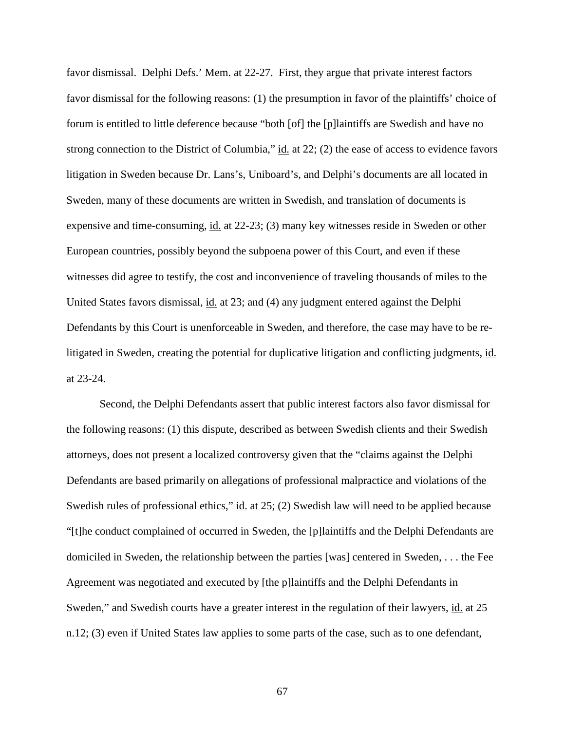favor dismissal. Delphi Defs.' Mem. at 22-27. First, they argue that private interest factors favor dismissal for the following reasons: (1) the presumption in favor of the plaintiffs' choice of forum is entitled to little deference because "both [of] the [p]laintiffs are Swedish and have no strong connection to the District of Columbia," id. at 22; (2) the ease of access to evidence favors litigation in Sweden because Dr. Lans's, Uniboard's, and Delphi's documents are all located in Sweden, many of these documents are written in Swedish, and translation of documents is expensive and time-consuming, id. at 22-23; (3) many key witnesses reside in Sweden or other European countries, possibly beyond the subpoena power of this Court, and even if these witnesses did agree to testify, the cost and inconvenience of traveling thousands of miles to the United States favors dismissal, id. at 23; and (4) any judgment entered against the Delphi Defendants by this Court is unenforceable in Sweden, and therefore, the case may have to be relitigated in Sweden, creating the potential for duplicative litigation and conflicting judgments, id. at 23-24.

Second, the Delphi Defendants assert that public interest factors also favor dismissal for the following reasons: (1) this dispute, described as between Swedish clients and their Swedish attorneys, does not present a localized controversy given that the "claims against the Delphi Defendants are based primarily on allegations of professional malpractice and violations of the Swedish rules of professional ethics," id. at 25; (2) Swedish law will need to be applied because "[t]he conduct complained of occurred in Sweden, the [p]laintiffs and the Delphi Defendants are domiciled in Sweden, the relationship between the parties [was] centered in Sweden, . . . the Fee Agreement was negotiated and executed by [the p]laintiffs and the Delphi Defendants in Sweden," and Swedish courts have a greater interest in the regulation of their lawyers, id. at 25 n.12; (3) even if United States law applies to some parts of the case, such as to one defendant,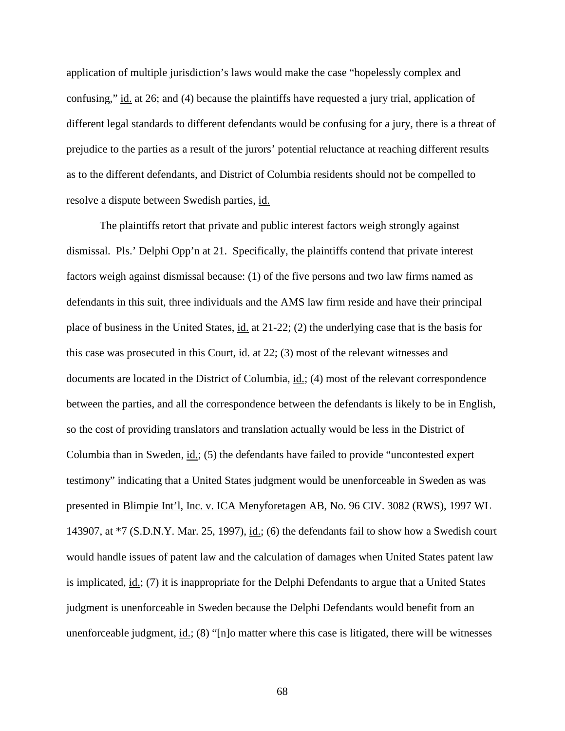application of multiple jurisdiction's laws would make the case "hopelessly complex and confusing," id. at 26; and (4) because the plaintiffs have requested a jury trial, application of different legal standards to different defendants would be confusing for a jury, there is a threat of prejudice to the parties as a result of the jurors' potential reluctance at reaching different results as to the different defendants, and District of Columbia residents should not be compelled to resolve a dispute between Swedish parties, id.

The plaintiffs retort that private and public interest factors weigh strongly against dismissal. Pls.' Delphi Opp'n at 21. Specifically, the plaintiffs contend that private interest factors weigh against dismissal because: (1) of the five persons and two law firms named as defendants in this suit, three individuals and the AMS law firm reside and have their principal place of business in the United States, id. at 21-22; (2) the underlying case that is the basis for this case was prosecuted in this Court, id. at 22; (3) most of the relevant witnesses and documents are located in the District of Columbia,  $\underline{\text{id}}$ ; (4) most of the relevant correspondence between the parties, and all the correspondence between the defendants is likely to be in English, so the cost of providing translators and translation actually would be less in the District of Columbia than in Sweden, id.; (5) the defendants have failed to provide "uncontested expert testimony" indicating that a United States judgment would be unenforceable in Sweden as was presented in Blimpie Int'l, Inc. v. ICA Menyforetagen AB, No. 96 CIV. 3082 (RWS), 1997 WL 143907, at  $*7$  (S.D.N.Y. Mar. 25, 1997),  $\underline{id}$ ; (6) the defendants fail to show how a Swedish court would handle issues of patent law and the calculation of damages when United States patent law is implicated, id.; (7) it is inappropriate for the Delphi Defendants to argue that a United States judgment is unenforceable in Sweden because the Delphi Defendants would benefit from an unenforceable judgment,  $\underline{\text{id}}$ ; (8) "[n]o matter where this case is litigated, there will be witnesses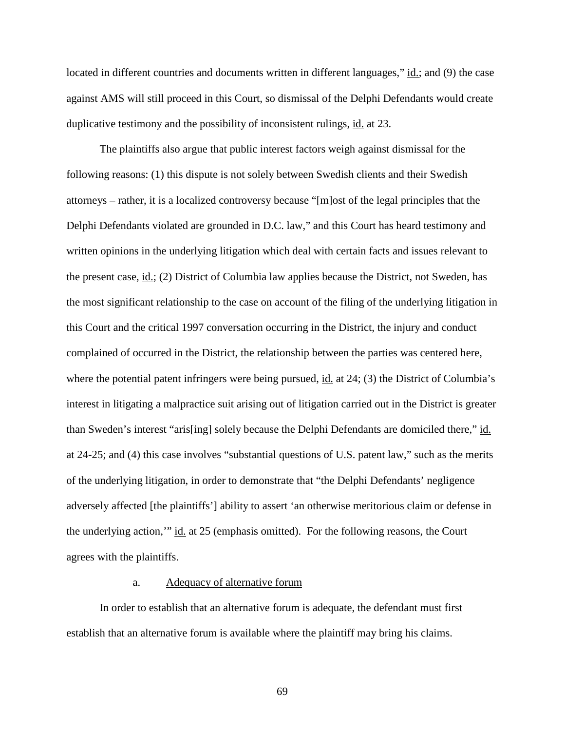located in different countries and documents written in different languages," id.; and (9) the case against AMS will still proceed in this Court, so dismissal of the Delphi Defendants would create duplicative testimony and the possibility of inconsistent rulings, id. at 23.

The plaintiffs also argue that public interest factors weigh against dismissal for the following reasons: (1) this dispute is not solely between Swedish clients and their Swedish attorneys – rather, it is a localized controversy because "[m]ost of the legal principles that the Delphi Defendants violated are grounded in D.C. law," and this Court has heard testimony and written opinions in the underlying litigation which deal with certain facts and issues relevant to the present case, id.; (2) District of Columbia law applies because the District, not Sweden, has the most significant relationship to the case on account of the filing of the underlying litigation in this Court and the critical 1997 conversation occurring in the District, the injury and conduct complained of occurred in the District, the relationship between the parties was centered here, where the potential patent infringers were being pursued, id. at 24; (3) the District of Columbia's interest in litigating a malpractice suit arising out of litigation carried out in the District is greater than Sweden's interest "aris[ing] solely because the Delphi Defendants are domiciled there," id. at 24-25; and (4) this case involves "substantial questions of U.S. patent law," such as the merits of the underlying litigation, in order to demonstrate that "the Delphi Defendants' negligence adversely affected [the plaintiffs'] ability to assert 'an otherwise meritorious claim or defense in the underlying action,'" id. at 25 (emphasis omitted). For the following reasons, the Court agrees with the plaintiffs.

#### a. Adequacy of alternative forum

In order to establish that an alternative forum is adequate, the defendant must first establish that an alternative forum is available where the plaintiff may bring his claims.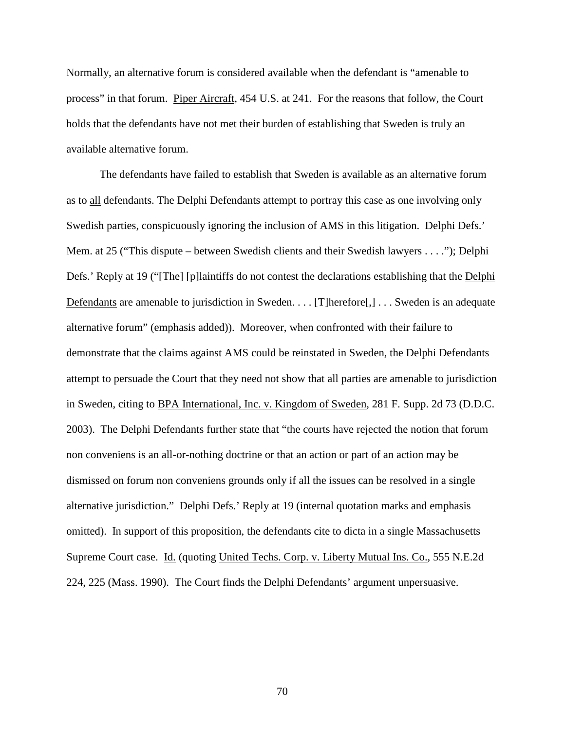Normally, an alternative forum is considered available when the defendant is "amenable to process" in that forum. Piper Aircraft, 454 U.S. at 241. For the reasons that follow, the Court holds that the defendants have not met their burden of establishing that Sweden is truly an available alternative forum.

The defendants have failed to establish that Sweden is available as an alternative forum as to all defendants. The Delphi Defendants attempt to portray this case as one involving only Swedish parties, conspicuously ignoring the inclusion of AMS in this litigation. Delphi Defs.' Mem. at 25 ("This dispute – between Swedish clients and their Swedish lawyers . . . ."); Delphi Defs.' Reply at 19 ("[The] [p]laintiffs do not contest the declarations establishing that the Delphi Defendants are amenable to jurisdiction in Sweden. . . . [T]herefore[,] . . . Sweden is an adequate alternative forum" (emphasis added)). Moreover, when confronted with their failure to demonstrate that the claims against AMS could be reinstated in Sweden, the Delphi Defendants attempt to persuade the Court that they need not show that all parties are amenable to jurisdiction in Sweden, citing to BPA International, Inc. v. Kingdom of Sweden, 281 F. Supp. 2d 73 (D.D.C. 2003). The Delphi Defendants further state that "the courts have rejected the notion that forum non conveniens is an all-or-nothing doctrine or that an action or part of an action may be dismissed on forum non conveniens grounds only if all the issues can be resolved in a single alternative jurisdiction." Delphi Defs.' Reply at 19 (internal quotation marks and emphasis omitted). In support of this proposition, the defendants cite to dicta in a single Massachusetts Supreme Court case. Id. (quoting United Techs. Corp. v. Liberty Mutual Ins. Co., 555 N.E.2d 224, 225 (Mass. 1990). The Court finds the Delphi Defendants' argument unpersuasive.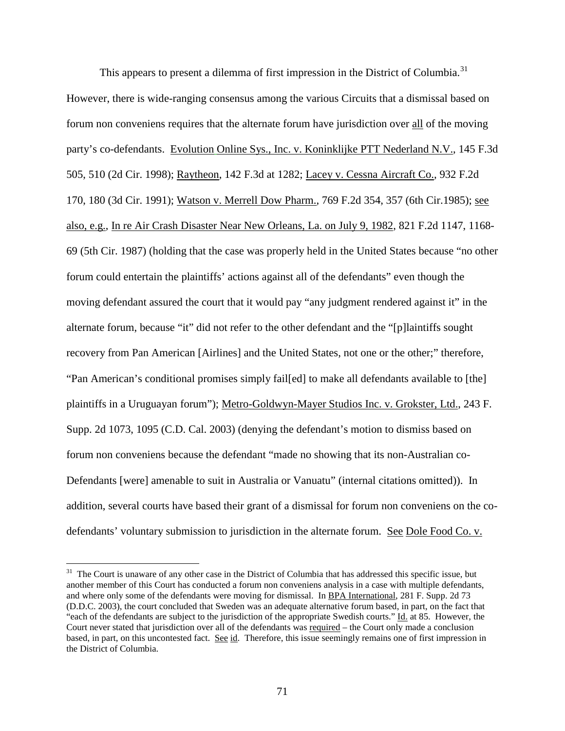This appears to present a dilemma of first impression in the District of Columbia.<sup>[31](#page-64-0)</sup> However, there is wide-ranging consensus among the various Circuits that a dismissal based on forum non conveniens requires that the alternate forum have jurisdiction over all of the moving party's co-defendants. Evolution Online Sys., Inc. v. Koninklijke PTT Nederland N.V., 145 F.3d 505, 510 (2d Cir. 1998); Raytheon, 142 F.3d at 1282; Lacey v. Cessna Aircraft Co., 932 F.2d 170, 180 (3d Cir. 1991); Watson v. Merrell Dow Pharm., 769 F.2d 354, 357 (6th Cir.1985); see also, e.g., In re Air Crash Disaster Near New Orleans, La. on July 9, 1982, 821 F.2d 1147, 1168- 69 (5th Cir. 1987) (holding that the case was properly held in the United States because "no other forum could entertain the plaintiffs' actions against all of the defendants" even though the moving defendant assured the court that it would pay "any judgment rendered against it" in the alternate forum, because "it" did not refer to the other defendant and the "[p]laintiffs sought recovery from Pan American [Airlines] and the United States, not one or the other;" therefore, "Pan American's conditional promises simply fail[ed] to make all defendants available to [the] plaintiffs in a Uruguayan forum"); Metro-Goldwyn-Mayer Studios Inc. v. Grokster, Ltd., 243 F. Supp. 2d 1073, 1095 (C.D. Cal. 2003) (denying the defendant's motion to dismiss based on forum non conveniens because the defendant "made no showing that its non-Australian co-Defendants [were] amenable to suit in Australia or Vanuatu" (internal citations omitted)). In addition, several courts have based their grant of a dismissal for forum non conveniens on the codefendants' voluntary submission to jurisdiction in the alternate forum. See Dole Food Co. v.

 $31$  The Court is unaware of any other case in the District of Columbia that has addressed this specific issue, but another member of this Court has conducted a forum non conveniens analysis in a case with multiple defendants, and where only some of the defendants were moving for dismissal. In BPA International, 281 F. Supp. 2d 73 (D.D.C. 2003), the court concluded that Sweden was an adequate alternative forum based, in part, on the fact that "each of the defendants are subject to the jurisdiction of the appropriate Swedish courts." Id. at 85. However, the Court never stated that jurisdiction over all of the defendants was required – the Court only made a conclusion based, in part, on this uncontested fact. See id. Therefore, this issue seemingly remains one of first impression in the District of Columbia.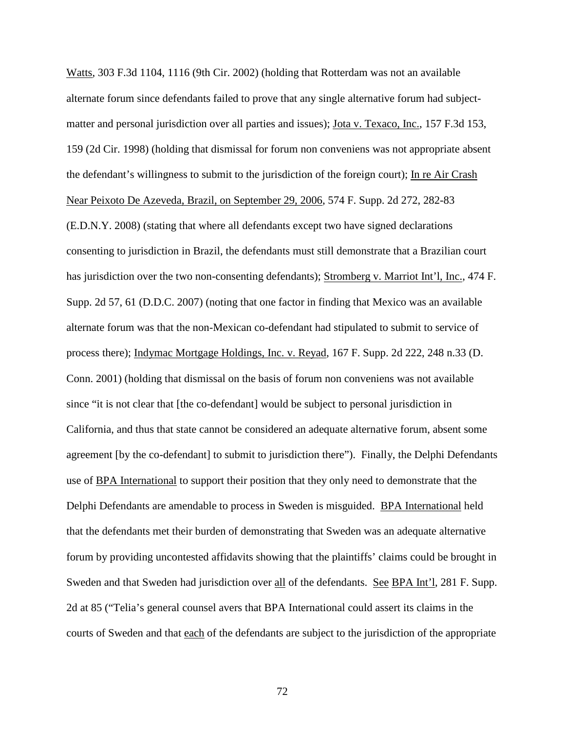Watts, 303 F.3d 1104, 1116 (9th Cir. 2002) (holding that Rotterdam was not an available alternate forum since defendants failed to prove that any single alternative forum had subjectmatter and personal jurisdiction over all parties and issues); Jota v. Texaco, Inc., 157 F.3d 153, 159 (2d Cir. 1998) (holding that dismissal for forum non conveniens was not appropriate absent the defendant's willingness to submit to the jurisdiction of the foreign court); In re Air Crash Near Peixoto De Azeveda, Brazil, on September 29, 2006, 574 F. Supp. 2d 272, 282-83 (E.D.N.Y. 2008) (stating that where all defendants except two have signed declarations consenting to jurisdiction in Brazil, the defendants must still demonstrate that a Brazilian court has jurisdiction over the two non-consenting defendants); Stromberg v. Marriot Int'l, Inc., 474 F. Supp. 2d 57, 61 (D.D.C. 2007) (noting that one factor in finding that Mexico was an available alternate forum was that the non-Mexican co-defendant had stipulated to submit to service of process there); Indymac Mortgage Holdings, Inc. v. Reyad, 167 F. Supp. 2d 222, 248 n.33 (D. Conn. 2001) (holding that dismissal on the basis of forum non conveniens was not available since "it is not clear that [the co-defendant] would be subject to personal jurisdiction in California, and thus that state cannot be considered an adequate alternative forum, absent some agreement [by the co-defendant] to submit to jurisdiction there"). Finally, the Delphi Defendants use of BPA International to support their position that they only need to demonstrate that the Delphi Defendants are amendable to process in Sweden is misguided. BPA International held that the defendants met their burden of demonstrating that Sweden was an adequate alternative forum by providing uncontested affidavits showing that the plaintiffs' claims could be brought in Sweden and that Sweden had jurisdiction over all of the defendants. See BPA Int'l, 281 F. Supp. 2d at 85 ("Telia's general counsel avers that BPA International could assert its claims in the courts of Sweden and that each of the defendants are subject to the jurisdiction of the appropriate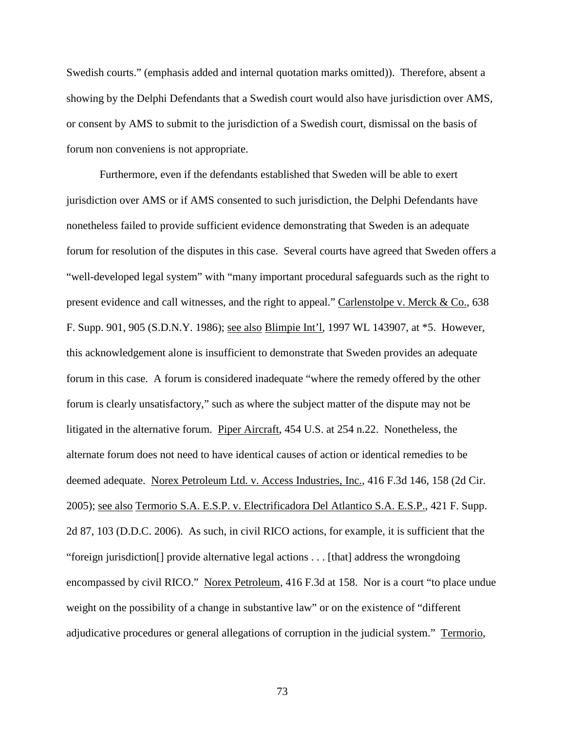Swedish courts." (emphasis added and internal quotation marks omitted)). Therefore, absent a showing by the Delphi Defendants that a Swedish court would also have jurisdiction over AMS, or consent by AMS to submit to the jurisdiction of a Swedish court, dismissal on the basis of forum non conveniens is not appropriate.

Furthermore, even if the defendants established that Sweden will be able to exert jurisdiction over AMS or if AMS consented to such jurisdiction, the Delphi Defendants have nonetheless failed to provide sufficient evidence demonstrating that Sweden is an adequate forum for resolution of the disputes in this case. Several courts have agreed that Sweden offers a "well-developed legal system" with "many important procedural safeguards such as the right to present evidence and call witnesses, and the right to appeal." Carlenstolpe v. Merck & Co., 638 F. Supp. 901, 905 (S.D.N.Y. 1986); see also Blimpie Int'l, 1997 WL 143907, at \*5. However, this acknowledgement alone is insufficient to demonstrate that Sweden provides an adequate forum in this case. A forum is considered inadequate "where the remedy offered by the other forum is clearly unsatisfactory," such as where the subject matter of the dispute may not be litigated in the alternative forum. Piper Aircraft, 454 U.S. at 254 n.22. Nonetheless, the alternate forum does not need to have identical causes of action or identical remedies to be deemed adequate. Norex Petroleum Ltd. v. Access Industries, Inc., 416 F.3d 146, 158 (2d Cir. 2005); see also Termorio S.A. E.S.P. v. Electrificadora Del Atlantico S.A. E.S.P., 421 F. Supp. 2d 87, 103 (D.D.C. 2006). As such, in civil RICO actions, for example, it is sufficient that the "foreign jurisdiction[] provide alternative legal actions . . . [that] address the wrongdoing encompassed by civil RICO." Norex Petroleum, 416 F.3d at 158. Nor is a court "to place undue weight on the possibility of a change in substantive law" or on the existence of "different adjudicative procedures or general allegations of corruption in the judicial system." Termorio,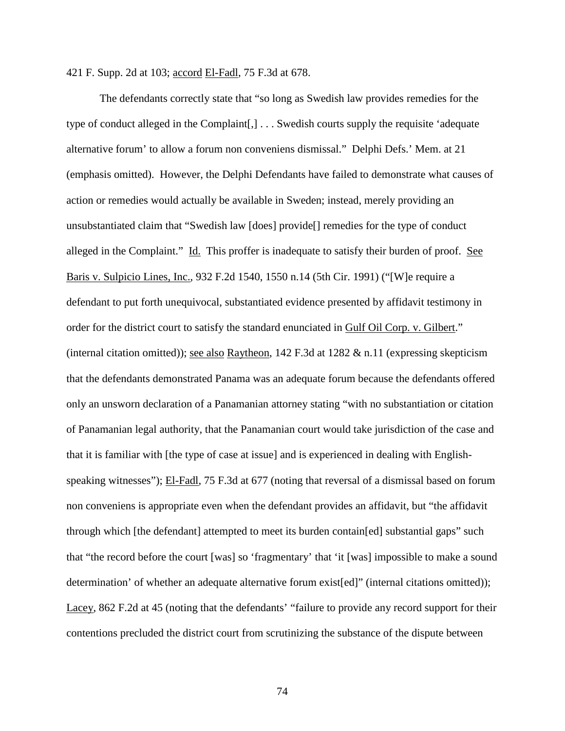421 F. Supp. 2d at 103; accord El-Fadl, 75 F.3d at 678.

The defendants correctly state that "so long as Swedish law provides remedies for the type of conduct alleged in the Complaint[,] . . . Swedish courts supply the requisite 'adequate alternative forum' to allow a forum non conveniens dismissal." Delphi Defs.' Mem. at 21 (emphasis omitted). However, the Delphi Defendants have failed to demonstrate what causes of action or remedies would actually be available in Sweden; instead, merely providing an unsubstantiated claim that "Swedish law [does] provide[] remedies for the type of conduct alleged in the Complaint." Id. This proffer is inadequate to satisfy their burden of proof. See Baris v. Sulpicio Lines, Inc., 932 F.2d 1540, 1550 n.14 (5th Cir. 1991) ("[W]e require a defendant to put forth unequivocal, substantiated evidence presented by affidavit testimony in order for the district court to satisfy the standard enunciated in Gulf Oil Corp. v. Gilbert." (internal citation omitted)); see also Raytheon,  $142$  F.3d at  $1282 \& n.11$  (expressing skepticism that the defendants demonstrated Panama was an adequate forum because the defendants offered only an unsworn declaration of a Panamanian attorney stating "with no substantiation or citation of Panamanian legal authority, that the Panamanian court would take jurisdiction of the case and that it is familiar with [the type of case at issue] and is experienced in dealing with Englishspeaking witnesses"); El-Fadl, 75 F.3d at 677 (noting that reversal of a dismissal based on forum non conveniens is appropriate even when the defendant provides an affidavit, but "the affidavit through which [the defendant] attempted to meet its burden contain[ed] substantial gaps" such that "the record before the court [was] so 'fragmentary' that 'it [was] impossible to make a sound determination' of whether an adequate alternative forum exist[ed]" (internal citations omitted)); Lacey, 862 F.2d at 45 (noting that the defendants' "failure to provide any record support for their contentions precluded the district court from scrutinizing the substance of the dispute between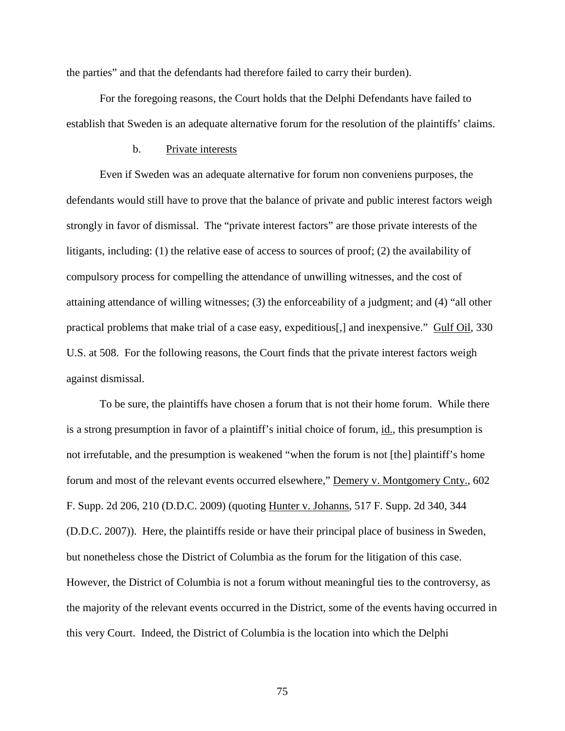the parties" and that the defendants had therefore failed to carry their burden).

For the foregoing reasons, the Court holds that the Delphi Defendants have failed to establish that Sweden is an adequate alternative forum for the resolution of the plaintiffs' claims.

### b. Private interests

Even if Sweden was an adequate alternative for forum non conveniens purposes, the defendants would still have to prove that the balance of private and public interest factors weigh strongly in favor of dismissal. The "private interest factors" are those private interests of the litigants, including: (1) the relative ease of access to sources of proof; (2) the availability of compulsory process for compelling the attendance of unwilling witnesses, and the cost of attaining attendance of willing witnesses; (3) the enforceability of a judgment; and (4) "all other practical problems that make trial of a case easy, expeditious[,] and inexpensive." Gulf Oil, 330 U.S. at 508. For the following reasons, the Court finds that the private interest factors weigh against dismissal.

To be sure, the plaintiffs have chosen a forum that is not their home forum. While there is a strong presumption in favor of a plaintiff's initial choice of forum, id., this presumption is not irrefutable, and the presumption is weakened "when the forum is not [the] plaintiff's home forum and most of the relevant events occurred elsewhere," Demery v. Montgomery Cnty., 602 F. Supp. 2d 206, 210 (D.D.C. 2009) (quoting Hunter v. Johanns, 517 F. Supp. 2d 340, 344 (D.D.C. 2007)). Here, the plaintiffs reside or have their principal place of business in Sweden, but nonetheless chose the District of Columbia as the forum for the litigation of this case. However, the District of Columbia is not a forum without meaningful ties to the controversy, as the majority of the relevant events occurred in the District, some of the events having occurred in this very Court. Indeed, the District of Columbia is the location into which the Delphi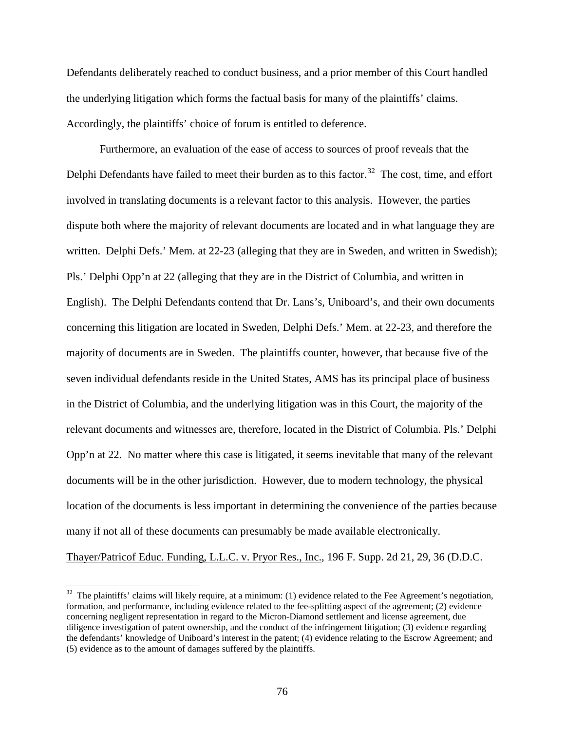Defendants deliberately reached to conduct business, and a prior member of this Court handled the underlying litigation which forms the factual basis for many of the plaintiffs' claims. Accordingly, the plaintiffs' choice of forum is entitled to deference.

Furthermore, an evaluation of the ease of access to sources of proof reveals that the Delphi Defendants have failed to meet their burden as to this factor.<sup>32</sup> The cost, time, and effort involved in translating documents is a relevant factor to this analysis. However, the parties dispute both where the majority of relevant documents are located and in what language they are written. Delphi Defs.' Mem. at 22-23 (alleging that they are in Sweden, and written in Swedish); Pls.' Delphi Opp'n at 22 (alleging that they are in the District of Columbia, and written in English). The Delphi Defendants contend that Dr. Lans's, Uniboard's, and their own documents concerning this litigation are located in Sweden, Delphi Defs.' Mem. at 22-23, and therefore the majority of documents are in Sweden. The plaintiffs counter, however, that because five of the seven individual defendants reside in the United States, AMS has its principal place of business in the District of Columbia, and the underlying litigation was in this Court, the majority of the relevant documents and witnesses are, therefore, located in the District of Columbia. Pls.' Delphi Opp'n at 22. No matter where this case is litigated, it seems inevitable that many of the relevant documents will be in the other jurisdiction. However, due to modern technology, the physical location of the documents is less important in determining the convenience of the parties because many if not all of these documents can presumably be made available electronically.

Thayer/Patricof Educ. Funding, L.L.C. v. Pryor Res., Inc., 196 F. Supp. 2d 21, 29, 36 (D.D.C.

<span id="page-75-0"></span> $32$  The plaintiffs' claims will likely require, at a minimum: (1) evidence related to the Fee Agreement's negotiation, formation, and performance, including evidence related to the fee-splitting aspect of the agreement; (2) evidence concerning negligent representation in regard to the Micron-Diamond settlement and license agreement, due diligence investigation of patent ownership, and the conduct of the infringement litigation; (3) evidence regarding the defendants' knowledge of Uniboard's interest in the patent; (4) evidence relating to the Escrow Agreement; and (5) evidence as to the amount of damages suffered by the plaintiffs.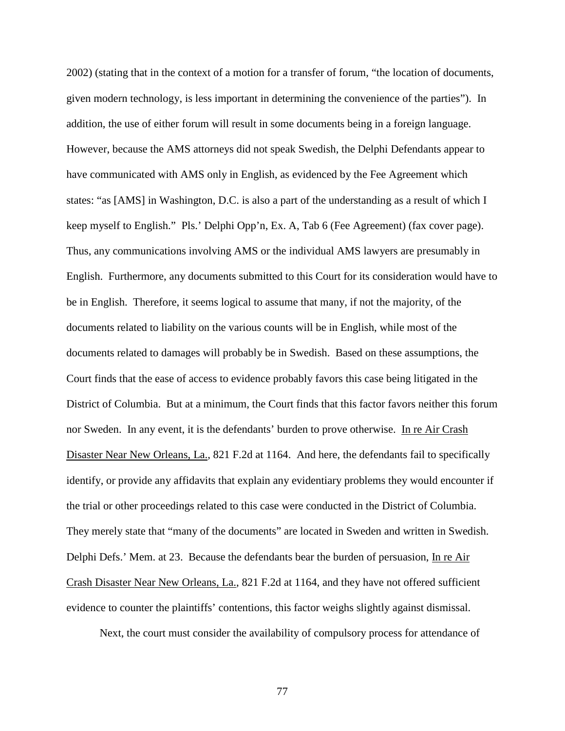2002) (stating that in the context of a motion for a transfer of forum, "the location of documents, given modern technology, is less important in determining the convenience of the parties"). In addition, the use of either forum will result in some documents being in a foreign language. However, because the AMS attorneys did not speak Swedish, the Delphi Defendants appear to have communicated with AMS only in English, as evidenced by the Fee Agreement which states: "as [AMS] in Washington, D.C. is also a part of the understanding as a result of which I keep myself to English." Pls.' Delphi Opp'n, Ex. A, Tab 6 (Fee Agreement) (fax cover page). Thus, any communications involving AMS or the individual AMS lawyers are presumably in English. Furthermore, any documents submitted to this Court for its consideration would have to be in English. Therefore, it seems logical to assume that many, if not the majority, of the documents related to liability on the various counts will be in English, while most of the documents related to damages will probably be in Swedish. Based on these assumptions, the Court finds that the ease of access to evidence probably favors this case being litigated in the District of Columbia. But at a minimum, the Court finds that this factor favors neither this forum nor Sweden. In any event, it is the defendants' burden to prove otherwise. In re Air Crash Disaster Near New Orleans, La., 821 F.2d at 1164. And here, the defendants fail to specifically identify, or provide any affidavits that explain any evidentiary problems they would encounter if the trial or other proceedings related to this case were conducted in the District of Columbia. They merely state that "many of the documents" are located in Sweden and written in Swedish. Delphi Defs.' Mem. at 23. Because the defendants bear the burden of persuasion, In re Air Crash Disaster Near New Orleans, La., 821 F.2d at 1164, and they have not offered sufficient evidence to counter the plaintiffs' contentions, this factor weighs slightly against dismissal.

Next, the court must consider the availability of compulsory process for attendance of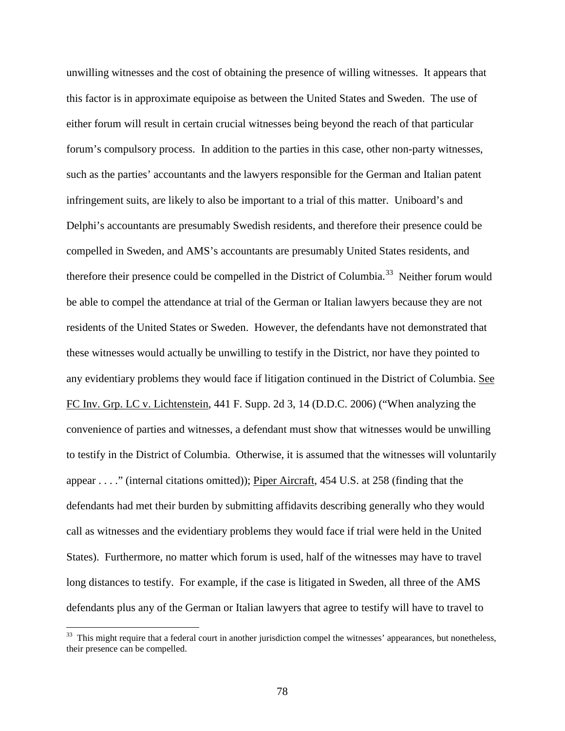unwilling witnesses and the cost of obtaining the presence of willing witnesses. It appears that this factor is in approximate equipoise as between the United States and Sweden. The use of either forum will result in certain crucial witnesses being beyond the reach of that particular forum's compulsory process. In addition to the parties in this case, other non-party witnesses, such as the parties' accountants and the lawyers responsible for the German and Italian patent infringement suits, are likely to also be important to a trial of this matter. Uniboard's and Delphi's accountants are presumably Swedish residents, and therefore their presence could be compelled in Sweden, and AMS's accountants are presumably United States residents, and therefore their presence could be compelled in the District of Columbia.<sup>[33](#page-75-0)</sup> Neither forum would be able to compel the attendance at trial of the German or Italian lawyers because they are not residents of the United States or Sweden. However, the defendants have not demonstrated that these witnesses would actually be unwilling to testify in the District, nor have they pointed to any evidentiary problems they would face if litigation continued in the District of Columbia. See FC Inv. Grp. LC v. Lichtenstein, 441 F. Supp. 2d 3, 14 (D.D.C. 2006) ("When analyzing the convenience of parties and witnesses, a defendant must show that witnesses would be unwilling to testify in the District of Columbia. Otherwise, it is assumed that the witnesses will voluntarily appear . . . ." (internal citations omitted)); Piper Aircraft, 454 U.S. at 258 (finding that the defendants had met their burden by submitting affidavits describing generally who they would call as witnesses and the evidentiary problems they would face if trial were held in the United States). Furthermore, no matter which forum is used, half of the witnesses may have to travel long distances to testify. For example, if the case is litigated in Sweden, all three of the AMS defendants plus any of the German or Italian lawyers that agree to testify will have to travel to

<span id="page-77-0"></span><sup>&</sup>lt;sup>33</sup> This might require that a federal court in another jurisdiction compel the witnesses' appearances, but nonetheless, their presence can be compelled.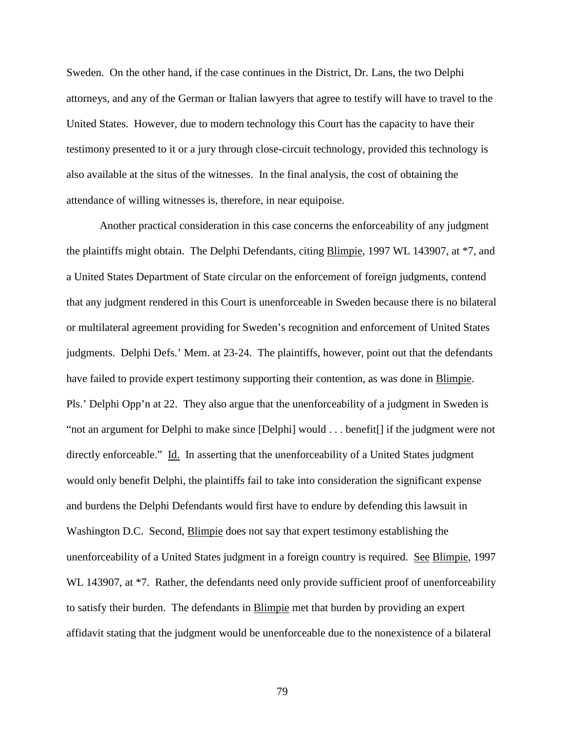Sweden. On the other hand, if the case continues in the District, Dr. Lans, the two Delphi attorneys, and any of the German or Italian lawyers that agree to testify will have to travel to the United States. However, due to modern technology this Court has the capacity to have their testimony presented to it or a jury through close-circuit technology, provided this technology is also available at the situs of the witnesses. In the final analysis, the cost of obtaining the attendance of willing witnesses is, therefore, in near equipoise.

Another practical consideration in this case concerns the enforceability of any judgment the plaintiffs might obtain. The Delphi Defendants, citing Blimpie, 1997 WL 143907, at \*7, and a United States Department of State circular on the enforcement of foreign judgments, contend that any judgment rendered in this Court is unenforceable in Sweden because there is no bilateral or multilateral agreement providing for Sweden's recognition and enforcement of United States judgments. Delphi Defs.' Mem. at 23-24. The plaintiffs, however, point out that the defendants have failed to provide expert testimony supporting their contention, as was done in **Blimpie**. Pls.' Delphi Opp'n at 22. They also argue that the unenforceability of a judgment in Sweden is "not an argument for Delphi to make since [Delphi] would . . . benefit[] if the judgment were not directly enforceable." Id. In asserting that the unenforceability of a United States judgment would only benefit Delphi, the plaintiffs fail to take into consideration the significant expense and burdens the Delphi Defendants would first have to endure by defending this lawsuit in Washington D.C. Second, Blimpie does not say that expert testimony establishing the unenforceability of a United States judgment in a foreign country is required. See Blimpie, 1997 WL 143907, at  $*7$ . Rather, the defendants need only provide sufficient proof of unenforceability to satisfy their burden. The defendants in **Blimpie** met that burden by providing an expert affidavit stating that the judgment would be unenforceable due to the nonexistence of a bilateral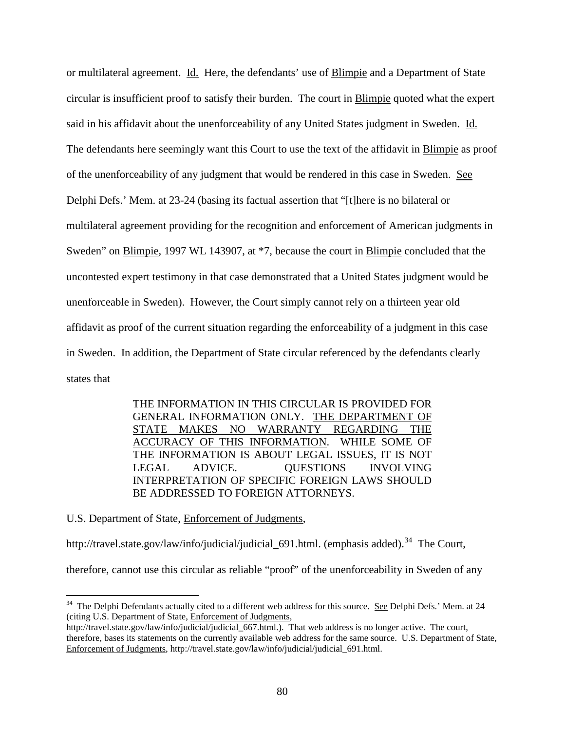or multilateral agreement. Id. Here, the defendants' use of Blimpie and a Department of State circular is insufficient proof to satisfy their burden. The court in Blimpie quoted what the expert said in his affidavit about the unenforceability of any United States judgment in Sweden. Id. The defendants here seemingly want this Court to use the text of the affidavit in Blimpie as proof of the unenforceability of any judgment that would be rendered in this case in Sweden. See Delphi Defs.' Mem. at 23-24 (basing its factual assertion that "[t]here is no bilateral or multilateral agreement providing for the recognition and enforcement of American judgments in Sweden" on Blimpie, 1997 WL 143907, at \*7, because the court in Blimpie concluded that the uncontested expert testimony in that case demonstrated that a United States judgment would be unenforceable in Sweden). However, the Court simply cannot rely on a thirteen year old affidavit as proof of the current situation regarding the enforceability of a judgment in this case in Sweden. In addition, the Department of State circular referenced by the defendants clearly states that

> THE INFORMATION IN THIS CIRCULAR IS PROVIDED FOR GENERAL INFORMATION ONLY. THE DEPARTMENT OF STATE MAKES NO WARRANTY REGARDING THE ACCURACY OF THIS INFORMATION. WHILE SOME OF THE INFORMATION IS ABOUT LEGAL ISSUES, IT IS NOT LEGAL ADVICE. QUESTIONS INVOLVING INTERPRETATION OF SPECIFIC FOREIGN LAWS SHOULD BE ADDRESSED TO FOREIGN ATTORNEYS.

U.S. Department of State, Enforcement of Judgments,

http://travel.state.gov/law/info/judicial/judicial 691.html. (emphasis added).<sup>34</sup> The Court,

<span id="page-79-0"></span>therefore, cannot use this circular as reliable "proof" of the unenforceability in Sweden of any

<sup>&</sup>lt;sup>34</sup> The Delphi Defendants actually cited to a different web address for this source. See Delphi Defs.' Mem. at 24 (citing U.S. Department of State, Enforcement of Judgments,

http://travel.state.gov/law/info/judicial/judicial\_667.html.). That web address is no longer active. The court, therefore, bases its statements on the currently available web address for the same source. U.S. Department of State, Enforcement of Judgments, http://travel.state.gov/law/info/judicial/judicial\_691.html.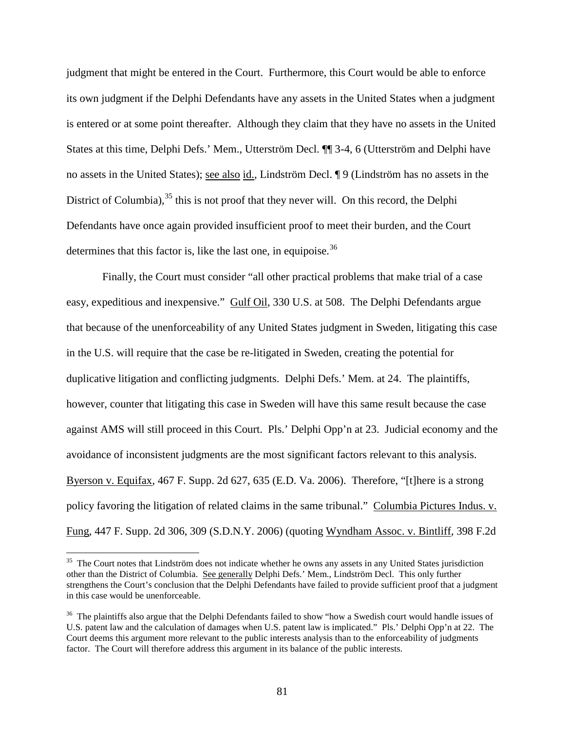judgment that might be entered in the Court. Furthermore, this Court would be able to enforce its own judgment if the Delphi Defendants have any assets in the United States when a judgment is entered or at some point thereafter. Although they claim that they have no assets in the United States at this time, Delphi Defs.' Mem., Utterström Decl. ¶¶ 3-4, 6 (Utterström and Delphi have no assets in the United States); see also id., Lindström Decl. ¶ 9 (Lindström has no assets in the District of Columbia),<sup>[35](#page-79-0)</sup> this is not proof that they never will. On this record, the Delphi Defendants have once again provided insufficient proof to meet their burden, and the Court determines that this factor is, like the last one, in equipoise.  $36$ 

Finally, the Court must consider "all other practical problems that make trial of a case easy, expeditious and inexpensive." Gulf Oil, 330 U.S. at 508. The Delphi Defendants argue that because of the unenforceability of any United States judgment in Sweden, litigating this case in the U.S. will require that the case be re-litigated in Sweden, creating the potential for duplicative litigation and conflicting judgments. Delphi Defs.' Mem. at 24. The plaintiffs, however, counter that litigating this case in Sweden will have this same result because the case against AMS will still proceed in this Court. Pls.' Delphi Opp'n at 23. Judicial economy and the avoidance of inconsistent judgments are the most significant factors relevant to this analysis. Byerson v. Equifax, 467 F. Supp. 2d 627, 635 (E.D. Va. 2006). Therefore, "[t]here is a strong policy favoring the litigation of related claims in the same tribunal." Columbia Pictures Indus. v. Fung, 447 F. Supp. 2d 306, 309 (S.D.N.Y. 2006) (quoting Wyndham Assoc. v. Bintliff, 398 F.2d

<sup>&</sup>lt;sup>35</sup> The Court notes that Lindström does not indicate whether he owns any assets in any United States jurisdiction other than the District of Columbia. See generally Delphi Defs.' Mem., Lindström Decl. This only further strengthens the Court's conclusion that the Delphi Defendants have failed to provide sufficient proof that a judgment in this case would be unenforceable.

<span id="page-80-0"></span><sup>&</sup>lt;sup>36</sup> The plaintiffs also argue that the Delphi Defendants failed to show "how a Swedish court would handle issues of U.S. patent law and the calculation of damages when U.S. patent law is implicated." Pls.' Delphi Opp'n at 22. The Court deems this argument more relevant to the public interests analysis than to the enforceability of judgments factor. The Court will therefore address this argument in its balance of the public interests.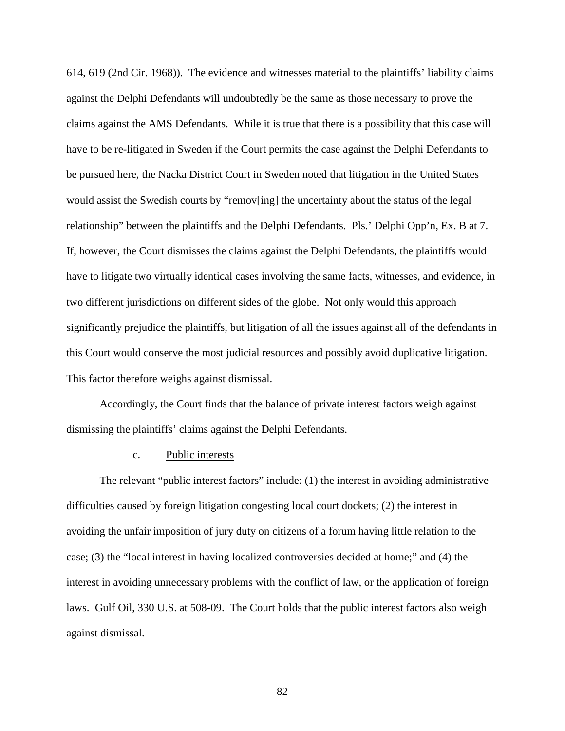614, 619 (2nd Cir. 1968)). The evidence and witnesses material to the plaintiffs' liability claims against the Delphi Defendants will undoubtedly be the same as those necessary to prove the claims against the AMS Defendants. While it is true that there is a possibility that this case will have to be re-litigated in Sweden if the Court permits the case against the Delphi Defendants to be pursued here, the Nacka District Court in Sweden noted that litigation in the United States would assist the Swedish courts by "remov[ing] the uncertainty about the status of the legal relationship" between the plaintiffs and the Delphi Defendants. Pls.' Delphi Opp'n, Ex. B at 7. If, however, the Court dismisses the claims against the Delphi Defendants, the plaintiffs would have to litigate two virtually identical cases involving the same facts, witnesses, and evidence, in two different jurisdictions on different sides of the globe. Not only would this approach significantly prejudice the plaintiffs, but litigation of all the issues against all of the defendants in this Court would conserve the most judicial resources and possibly avoid duplicative litigation. This factor therefore weighs against dismissal.

Accordingly, the Court finds that the balance of private interest factors weigh against dismissing the plaintiffs' claims against the Delphi Defendants.

## c. Public interests

The relevant "public interest factors" include: (1) the interest in avoiding administrative difficulties caused by foreign litigation congesting local court dockets; (2) the interest in avoiding the unfair imposition of jury duty on citizens of a forum having little relation to the case; (3) the "local interest in having localized controversies decided at home;" and (4) the interest in avoiding unnecessary problems with the conflict of law, or the application of foreign laws. Gulf Oil, 330 U.S. at 508-09. The Court holds that the public interest factors also weigh against dismissal.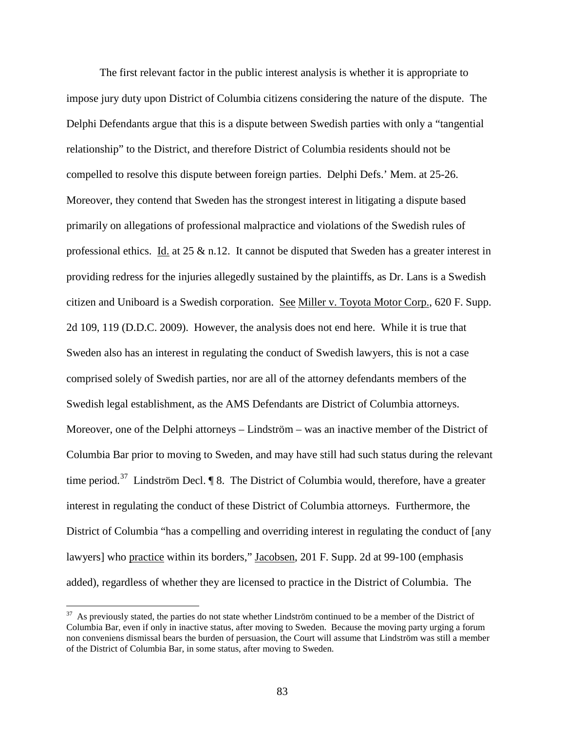The first relevant factor in the public interest analysis is whether it is appropriate to impose jury duty upon District of Columbia citizens considering the nature of the dispute. The Delphi Defendants argue that this is a dispute between Swedish parties with only a "tangential relationship" to the District, and therefore District of Columbia residents should not be compelled to resolve this dispute between foreign parties. Delphi Defs.' Mem. at 25-26. Moreover, they contend that Sweden has the strongest interest in litigating a dispute based primarily on allegations of professional malpractice and violations of the Swedish rules of professional ethics. Id. at 25  $\&$  n.12. It cannot be disputed that Sweden has a greater interest in providing redress for the injuries allegedly sustained by the plaintiffs, as Dr. Lans is a Swedish citizen and Uniboard is a Swedish corporation. See Miller v. Toyota Motor Corp., 620 F. Supp. 2d 109, 119 (D.D.C. 2009). However, the analysis does not end here. While it is true that Sweden also has an interest in regulating the conduct of Swedish lawyers, this is not a case comprised solely of Swedish parties, nor are all of the attorney defendants members of the Swedish legal establishment, as the AMS Defendants are District of Columbia attorneys. Moreover, one of the Delphi attorneys – Lindström – was an inactive member of the District of Columbia Bar prior to moving to Sweden, and may have still had such status during the relevant time period.<sup>37</sup> Lindström Decl.  $\P$  8. The District of Columbia would, therefore, have a greater interest in regulating the conduct of these District of Columbia attorneys. Furthermore, the District of Columbia "has a compelling and overriding interest in regulating the conduct of [any lawyers] who practice within its borders," Jacobsen, 201 F. Supp. 2d at 99-100 (emphasis added), regardless of whether they are licensed to practice in the District of Columbia. The

<span id="page-82-0"></span><sup>&</sup>lt;sup>37</sup> As previously stated, the parties do not state whether Lindström continued to be a member of the District of Columbia Bar, even if only in inactive status, after moving to Sweden. Because the moving party urging a forum non conveniens dismissal bears the burden of persuasion, the Court will assume that Lindström was still a member of the District of Columbia Bar, in some status, after moving to Sweden.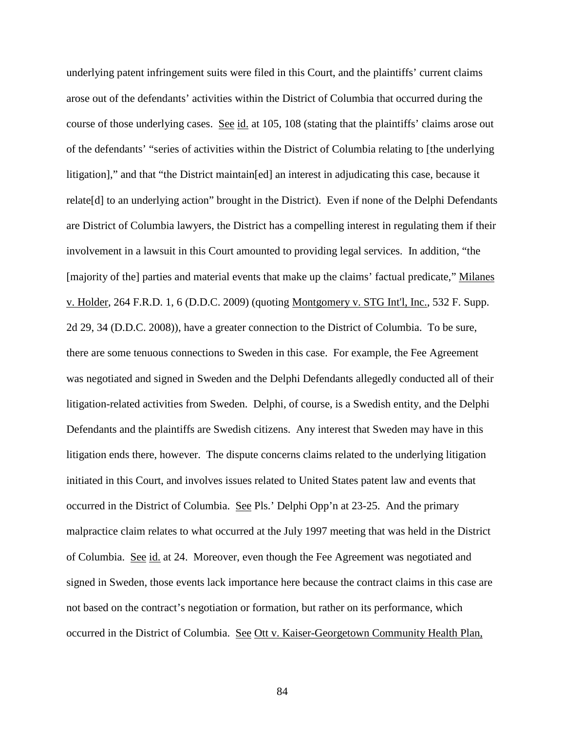underlying patent infringement suits were filed in this Court, and the plaintiffs' current claims arose out of the defendants' activities within the District of Columbia that occurred during the course of those underlying cases. See id. at 105, 108 (stating that the plaintiffs' claims arose out of the defendants' "series of activities within the District of Columbia relating to [the underlying litigation]," and that "the District maintain[ed] an interest in adjudicating this case, because it relate[d] to an underlying action" brought in the District). Even if none of the Delphi Defendants are District of Columbia lawyers, the District has a compelling interest in regulating them if their involvement in a lawsuit in this Court amounted to providing legal services. In addition, "the [majority of the] parties and material events that make up the claims' factual predicate," Milanes v. Holder, 264 F.R.D. 1, 6 (D.D.C. 2009) (quoting Montgomery v. STG Int'l, Inc., 532 F. Supp. 2d 29, 34 (D.D.C. 2008)), have a greater connection to the District of Columbia. To be sure, there are some tenuous connections to Sweden in this case. For example, the Fee Agreement was negotiated and signed in Sweden and the Delphi Defendants allegedly conducted all of their litigation-related activities from Sweden. Delphi, of course, is a Swedish entity, and the Delphi Defendants and the plaintiffs are Swedish citizens. Any interest that Sweden may have in this litigation ends there, however. The dispute concerns claims related to the underlying litigation initiated in this Court, and involves issues related to United States patent law and events that occurred in the District of Columbia. <u>See</u> Pls.' Delphi Opp'n at 23-25. And the primary malpractice claim relates to what occurred at the July 1997 meeting that was held in the District of Columbia. See id. at 24. Moreover, even though the Fee Agreement was negotiated and signed in Sweden, those events lack importance here because the contract claims in this case are not based on the contract's negotiation or formation, but rather on its performance, which occurred in the District of Columbia. See Ott v. Kaiser-Georgetown Community Health Plan,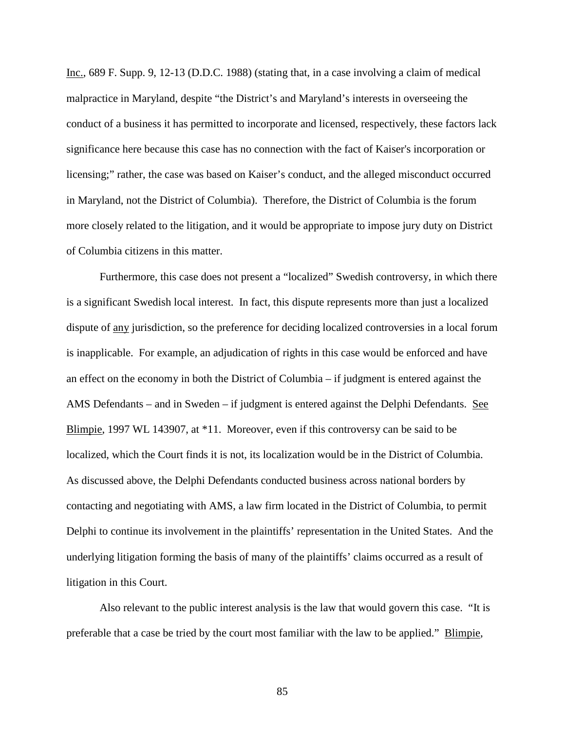Inc., 689 F. Supp. 9, 12-13 (D.D.C. 1988) (stating that, in a case involving a claim of medical malpractice in Maryland, despite "the District's and Maryland's interests in overseeing the conduct of a business it has permitted to incorporate and licensed, respectively, these factors lack significance here because this case has no connection with the fact of Kaiser's incorporation or licensing;" rather, the case was based on Kaiser's conduct, and the alleged misconduct occurred in Maryland, not the District of Columbia). Therefore, the District of Columbia is the forum more closely related to the litigation, and it would be appropriate to impose jury duty on District of Columbia citizens in this matter.

Furthermore, this case does not present a "localized" Swedish controversy, in which there is a significant Swedish local interest. In fact, this dispute represents more than just a localized dispute of any jurisdiction, so the preference for deciding localized controversies in a local forum is inapplicable. For example, an adjudication of rights in this case would be enforced and have an effect on the economy in both the District of Columbia – if judgment is entered against the AMS Defendants – and in Sweden – if judgment is entered against the Delphi Defendants. See Blimpie, 1997 WL 143907, at \*11. Moreover, even if this controversy can be said to be localized, which the Court finds it is not, its localization would be in the District of Columbia. As discussed above, the Delphi Defendants conducted business across national borders by contacting and negotiating with AMS, a law firm located in the District of Columbia, to permit Delphi to continue its involvement in the plaintiffs' representation in the United States. And the underlying litigation forming the basis of many of the plaintiffs' claims occurred as a result of litigation in this Court.

Also relevant to the public interest analysis is the law that would govern this case. "It is preferable that a case be tried by the court most familiar with the law to be applied." Blimpie,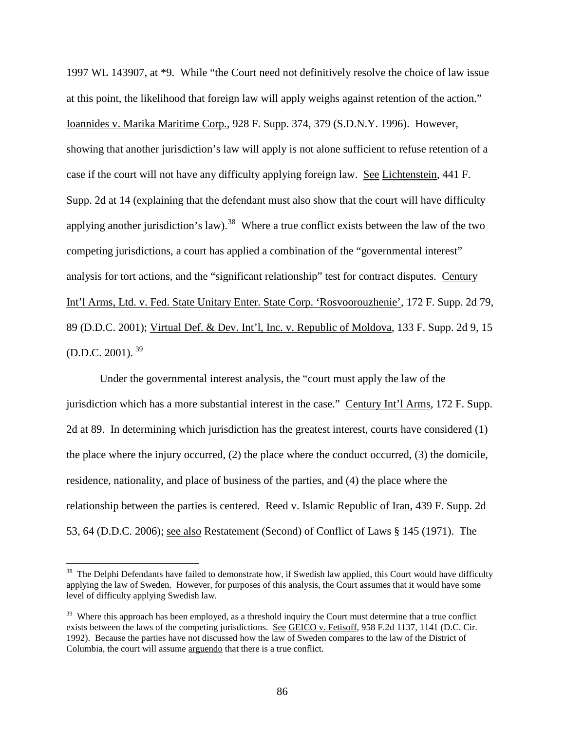1997 WL 143907, at \*9. While "the Court need not definitively resolve the choice of law issue at this point, the likelihood that foreign law will apply weighs against retention of the action." Ioannides v. Marika Maritime Corp., 928 F. Supp. 374, 379 (S.D.N.Y. 1996). However, showing that another jurisdiction's law will apply is not alone sufficient to refuse retention of a case if the court will not have any difficulty applying foreign law. See Lichtenstein, 441 F. Supp. 2d at 14 (explaining that the defendant must also show that the court will have difficulty applying another jurisdiction's law).<sup>[38](#page-82-0)</sup> Where a true conflict exists between the law of the two competing jurisdictions, a court has applied a combination of the "governmental interest" analysis for tort actions, and the "significant relationship" test for contract disputes. Century Int'l Arms, Ltd. v. Fed. State Unitary Enter. State Corp. 'Rosvoorouzhenie', 172 F. Supp. 2d 79, 89 (D.D.C. 2001); Virtual Def. & Dev. Int'l, Inc. v. Republic of Moldova, 133 F. Supp. 2d 9, 15  $(D.D.C. 2001).$ <sup>[39](#page-85-0)</sup>

Under the governmental interest analysis, the "court must apply the law of the jurisdiction which has a more substantial interest in the case." Century Int'l Arms, 172 F. Supp. 2d at 89. In determining which jurisdiction has the greatest interest, courts have considered (1) the place where the injury occurred, (2) the place where the conduct occurred, (3) the domicile, residence, nationality, and place of business of the parties, and (4) the place where the relationship between the parties is centered. Reed v. Islamic Republic of Iran, 439 F. Supp. 2d 53, 64 (D.D.C. 2006); see also Restatement (Second) of Conflict of Laws § 145 (1971). The

 $38$  The Delphi Defendants have failed to demonstrate how, if Swedish law applied, this Court would have difficulty applying the law of Sweden. However, for purposes of this analysis, the Court assumes that it would have some level of difficulty applying Swedish law.

<span id="page-85-0"></span><sup>&</sup>lt;sup>39</sup> Where this approach has been employed, as a threshold inquiry the Court must determine that a true conflict exists between the laws of the competing jurisdictions. See GEICO v. Fetisoff, 958 F.2d 1137, 1141 (D.C. Cir. 1992). Because the parties have not discussed how the law of Sweden compares to the law of the District of Columbia, the court will assume arguendo that there is a true conflict.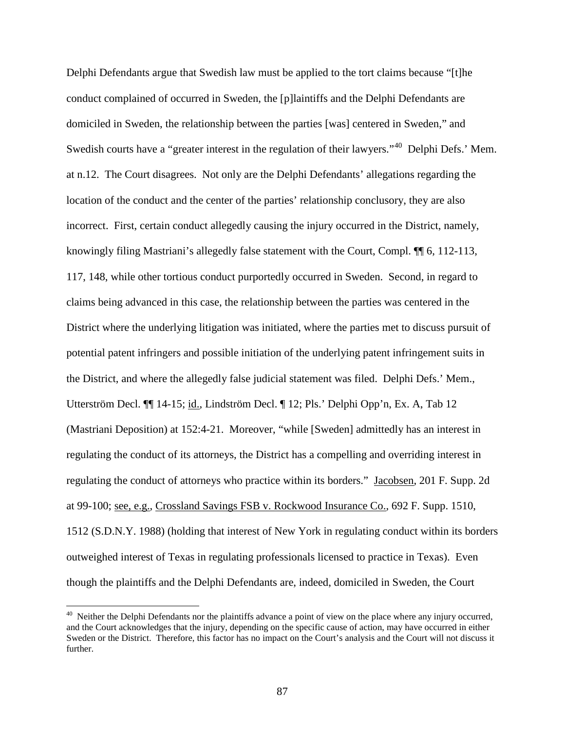Delphi Defendants argue that Swedish law must be applied to the tort claims because "[t]he conduct complained of occurred in Sweden, the [p]laintiffs and the Delphi Defendants are domiciled in Sweden, the relationship between the parties [was] centered in Sweden," and Swedish courts have a "greater interest in the regulation of their lawyers."<sup>40</sup> Delphi Defs.' Mem. at n.12. The Court disagrees. Not only are the Delphi Defendants' allegations regarding the location of the conduct and the center of the parties' relationship conclusory, they are also incorrect. First, certain conduct allegedly causing the injury occurred in the District, namely, knowingly filing Mastriani's allegedly false statement with the Court, Compl. ¶¶ 6, 112-113, 117, 148, while other tortious conduct purportedly occurred in Sweden. Second, in regard to claims being advanced in this case, the relationship between the parties was centered in the District where the underlying litigation was initiated, where the parties met to discuss pursuit of potential patent infringers and possible initiation of the underlying patent infringement suits in the District, and where the allegedly false judicial statement was filed. Delphi Defs.' Mem., Utterström Decl. ¶¶ 14-15; id., Lindström Decl. ¶ 12; Pls.' Delphi Opp'n, Ex. A, Tab 12 (Mastriani Deposition) at 152:4-21. Moreover, "while [Sweden] admittedly has an interest in regulating the conduct of its attorneys, the District has a compelling and overriding interest in regulating the conduct of attorneys who practice within its borders." Jacobsen, 201 F. Supp. 2d at 99-100; see, e.g., Crossland Savings FSB v. Rockwood Insurance Co., 692 F. Supp. 1510, 1512 (S.D.N.Y. 1988) (holding that interest of New York in regulating conduct within its borders outweighed interest of Texas in regulating professionals licensed to practice in Texas). Even though the plaintiffs and the Delphi Defendants are, indeed, domiciled in Sweden, the Court

<span id="page-86-0"></span> $40$  Neither the Delphi Defendants nor the plaintiffs advance a point of view on the place where any injury occurred, and the Court acknowledges that the injury, depending on the specific cause of action, may have occurred in either Sweden or the District. Therefore, this factor has no impact on the Court's analysis and the Court will not discuss it further.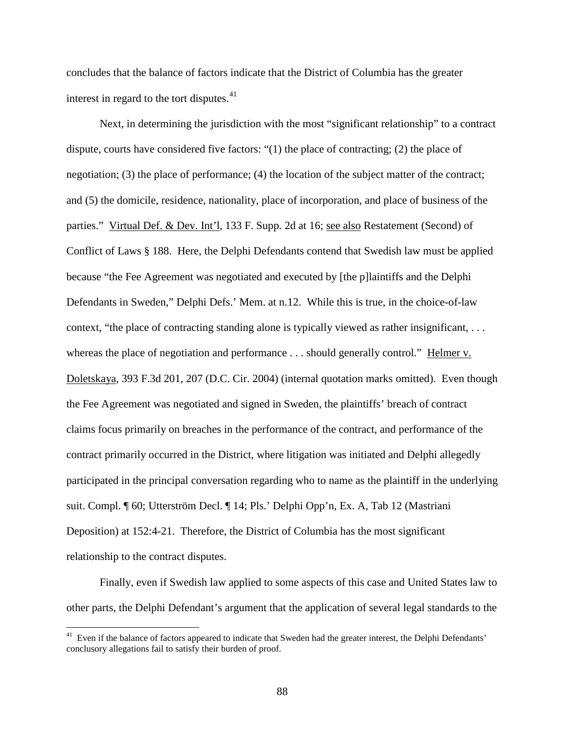concludes that the balance of factors indicate that the District of Columbia has the greater interest in regard to the tort disputes.<sup>41</sup>

Next, in determining the jurisdiction with the most "significant relationship" to a contract dispute, courts have considered five factors: "(1) the place of contracting; (2) the place of negotiation; (3) the place of performance; (4) the location of the subject matter of the contract; and (5) the domicile, residence, nationality, place of incorporation, and place of business of the parties." Virtual Def. & Dev. Int'l, 133 F. Supp. 2d at 16; see also Restatement (Second) of Conflict of Laws § 188. Here, the Delphi Defendants contend that Swedish law must be applied because "the Fee Agreement was negotiated and executed by [the p]laintiffs and the Delphi Defendants in Sweden," Delphi Defs.' Mem. at n.12. While this is true, in the choice-of-law context, "the place of contracting standing alone is typically viewed as rather insignificant, . . . whereas the place of negotiation and performance . . . should generally control." Helmer v. Doletskaya, 393 F.3d 201, 207 (D.C. Cir. 2004) (internal quotation marks omitted). Even though the Fee Agreement was negotiated and signed in Sweden, the plaintiffs' breach of contract claims focus primarily on breaches in the performance of the contract, and performance of the contract primarily occurred in the District, where litigation was initiated and Delphi allegedly participated in the principal conversation regarding who to name as the plaintiff in the underlying suit. Compl. ¶ 60; Utterström Decl. ¶ 14; Pls.' Delphi Opp'n, Ex. A, Tab 12 (Mastriani Deposition) at 152:4-21. Therefore, the District of Columbia has the most significant relationship to the contract disputes.

Finally, even if Swedish law applied to some aspects of this case and United States law to other parts, the Delphi Defendant's argument that the application of several legal standards to the

<span id="page-87-0"></span><sup>&</sup>lt;sup>41</sup> Even if the balance of factors appeared to indicate that Sweden had the greater interest, the Delphi Defendants' conclusory allegations fail to satisfy their burden of proof.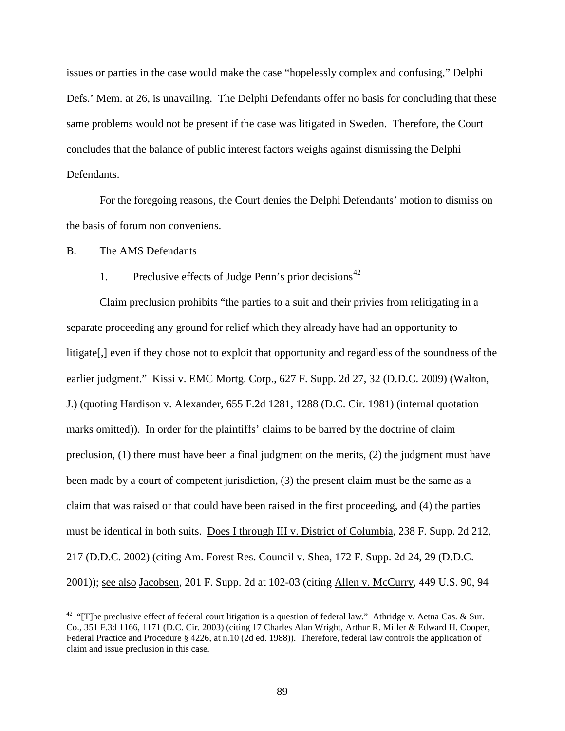issues or parties in the case would make the case "hopelessly complex and confusing," Delphi Defs.' Mem. at 26, is unavailing. The Delphi Defendants offer no basis for concluding that these same problems would not be present if the case was litigated in Sweden. Therefore, the Court concludes that the balance of public interest factors weighs against dismissing the Delphi Defendants.

For the foregoing reasons, the Court denies the Delphi Defendants' motion to dismiss on the basis of forum non conveniens.

#### B. The AMS Defendants

# 1. Preclusive effects of Judge Penn's prior decisions<sup>[42](#page-87-0)</sup>

Claim preclusion prohibits "the parties to a suit and their privies from relitigating in a separate proceeding any ground for relief which they already have had an opportunity to litigate[,] even if they chose not to exploit that opportunity and regardless of the soundness of the earlier judgment." Kissi v. EMC Mortg. Corp., 627 F. Supp. 2d 27, 32 (D.D.C. 2009) (Walton, J.) (quoting Hardison v. Alexander*,* 655 F.2d 1281, 1288 (D.C. Cir. 1981) (internal quotation marks omitted)). In order for the plaintiffs' claims to be barred by the doctrine of claim preclusion, (1) there must have been a final judgment on the merits, (2) the judgment must have been made by a court of competent jurisdiction, (3) the present claim must be the same as a claim that was raised or that could have been raised in the first proceeding, and (4) the parties must be identical in both suits. Does I through III v. District of Columbia, 238 F. Supp. 2d 212, 217 (D.D.C. 2002) (citing Am. Forest Res. Council v. Shea*,* 172 F. Supp. 2d 24, 29 (D.D.C. 2001)); see also Jacobsen, 201 F. Supp. 2d at 102-03 (citing Allen v. McCurry*,* 449 U.S. 90, 94

<span id="page-88-0"></span><sup>&</sup>lt;sup>42</sup> "The preclusive effect of federal court litigation is a question of federal law." Athridge v. Aetna Cas. & Sur. Co., 351 F.3d 1166, 1171 (D.C. Cir. 2003) (citing 17 Charles Alan Wright, Arthur R. Miller & Edward H. Cooper, Federal Practice and Procedure § 4226, at n.10 (2d ed. 1988)). Therefore, federal law controls the application of claim and issue preclusion in this case.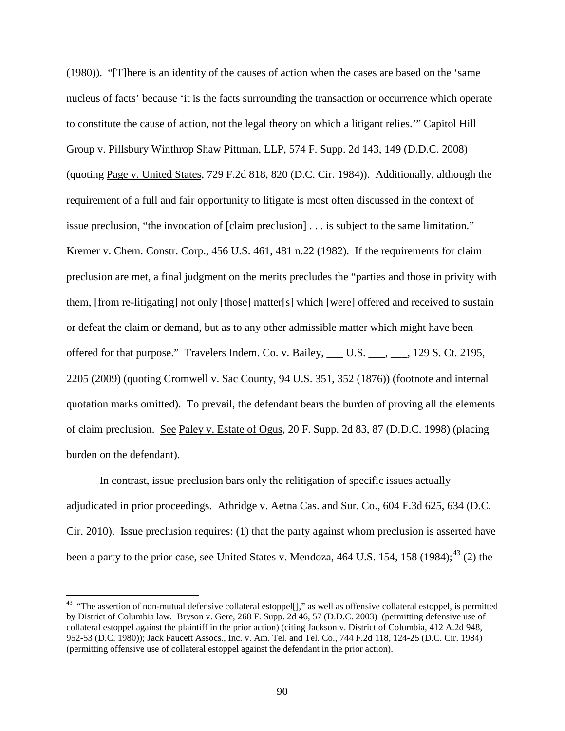(1980)). "[T]here is an identity of the causes of action when the cases are based on the 'same nucleus of facts' because 'it is the facts surrounding the transaction or occurrence which operate to constitute the cause of action, not the legal theory on which a litigant relies.'" Capitol Hill Group v. Pillsbury Winthrop Shaw Pittman, LLP*,* 574 F. Supp. 2d 143, 149 (D.D.C. 2008) (quoting Page v. United States, 729 F.2d 818, 820 (D.C. Cir. 1984)). Additionally, although the requirement of a full and fair opportunity to litigate is most often discussed in the context of issue preclusion, "the invocation of [claim preclusion] . . . is subject to the same limitation." Kremer v. Chem. Constr. Corp.*,* 456 U.S. 461, 481 n.22 (1982). If the requirements for claim preclusion are met, a final judgment on the merits precludes the "parties and those in privity with them, [from re-litigating] not only [those] matter[s] which [were] offered and received to sustain or defeat the claim or demand, but as to any other admissible matter which might have been offered for that purpose." Travelers Indem. Co. v. Bailey, \_\_\_ U.S. \_\_\_, \_\_\_, 129 S. Ct. 2195, 2205 (2009) (quoting Cromwell v. Sac County, 94 U.S. 351, 352 (1876)) (footnote and internal quotation marks omitted). To prevail, the defendant bears the burden of proving all the elements of claim preclusion. See Paley v. Estate of Ogus, 20 F. Supp. 2d 83, 87 (D.D.C. 1998) (placing burden on the defendant).

In contrast, issue preclusion bars only the relitigation of specific issues actually adjudicated in prior proceedings. Athridge v. Aetna Cas. and Sur. Co., 604 F.3d 625, 634 (D.C. Cir. 2010). Issue preclusion requires: (1) that the party against whom preclusion is asserted have been a party to the prior case, <u>see United States v. Mendoza</u>, 464 U.S. 154, 158 (1984);<sup>[43](#page-88-0)</sup> (2) the

<span id="page-89-0"></span><sup>&</sup>lt;sup>43</sup> "The assertion of non-mutual defensive collateral estoppel[]," as well as offensive collateral estoppel, is permitted by District of Columbia law. Bryson v. Gere, 268 F. Supp. 2d 46, 57 (D.D.C. 2003) (permitting defensive use of collateral estoppel against the plaintiff in the prior action) (citing Jackson v. District of Columbia, 412 A.2d 948, 952-53 (D.C. 1980)); Jack Faucett Assocs., Inc. v. Am. Tel. and Tel. Co., 744 F.2d 118, 124-25 (D.C. Cir. 1984) (permitting offensive use of collateral estoppel against the defendant in the prior action).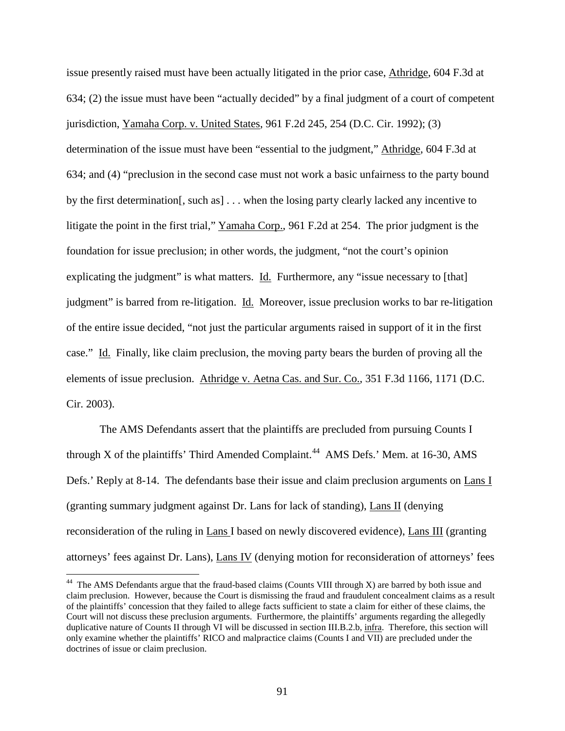issue presently raised must have been actually litigated in the prior case, Athridge, 604 F.3d at 634; (2) the issue must have been "actually decided" by a final judgment of a court of competent jurisdiction, Yamaha Corp. v. United States, 961 F.2d 245, 254 (D.C. Cir. 1992); (3) determination of the issue must have been "essential to the judgment," Athridge, 604 F.3d at 634; and (4) "preclusion in the second case must not work a basic unfairness to the party bound by the first determination[, such as] . . . when the losing party clearly lacked any incentive to litigate the point in the first trial," Yamaha Corp., 961 F.2d at 254. The prior judgment is the foundation for issue preclusion; in other words, the judgment, "not the court's opinion explicating the judgment" is what matters. Id. Furthermore, any "issue necessary to [that] judgment" is barred from re-litigation. Id. Moreover, issue preclusion works to bar re-litigation of the entire issue decided, "not just the particular arguments raised in support of it in the first case." Id. Finally, like claim preclusion, the moving party bears the burden of proving all the elements of issue preclusion. Athridge v. Aetna Cas. and Sur. Co., 351 F.3d 1166, 1171 (D.C. Cir. 2003).

The AMS Defendants assert that the plaintiffs are precluded from pursuing Counts I through X of the plaintiffs' Third Amended Complaint.<sup>44</sup> AMS Defs.' Mem. at 16-30, AMS Defs.' Reply at 8-14. The defendants base their issue and claim preclusion arguments on Lans I (granting summary judgment against Dr. Lans for lack of standing), Lans II (denying reconsideration of the ruling in Lans I based on newly discovered evidence), Lans III (granting attorneys' fees against Dr. Lans), Lans IV (denying motion for reconsideration of attorneys' fees

<span id="page-90-0"></span><sup>&</sup>lt;sup>44</sup> The AMS Defendants argue that the fraud-based claims (Counts VIII through X) are barred by both issue and claim preclusion. However, because the Court is dismissing the fraud and fraudulent concealment claims as a result of the plaintiffs' concession that they failed to allege facts sufficient to state a claim for either of these claims, the Court will not discuss these preclusion arguments. Furthermore, the plaintiffs' arguments regarding the allegedly duplicative nature of Counts II through VI will be discussed in section III.B.2.b, infra. Therefore, this section will only examine whether the plaintiffs' RICO and malpractice claims (Counts I and VII) are precluded under the doctrines of issue or claim preclusion.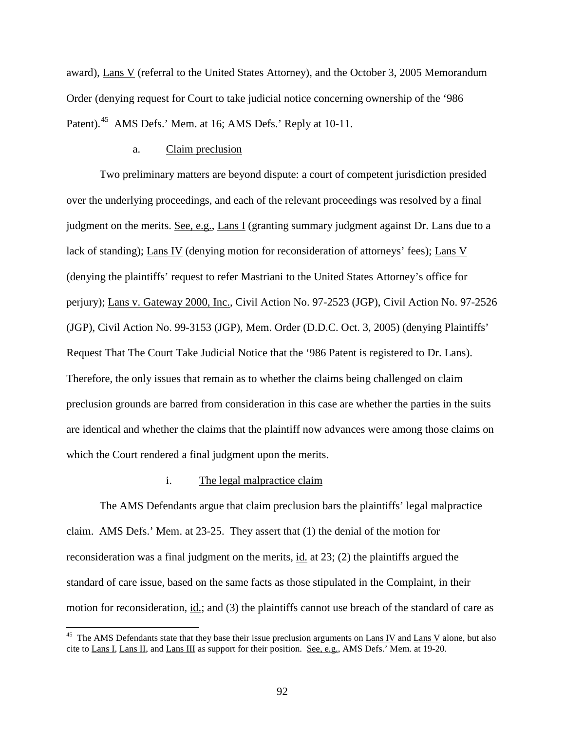award), Lans V (referral to the United States Attorney), and the October 3, 2005 Memorandum Order (denying request for Court to take judicial notice concerning ownership of the '986 Patent).<sup>45</sup> AMS Defs.' Mem. at 16; AMS Defs.' Reply at 10-11.

#### a. Claim preclusion

Two preliminary matters are beyond dispute: a court of competent jurisdiction presided over the underlying proceedings, and each of the relevant proceedings was resolved by a final judgment on the merits. See, e.g., Lans I (granting summary judgment against Dr. Lans due to a lack of standing); Lans IV (denying motion for reconsideration of attorneys' fees); Lans V (denying the plaintiffs' request to refer Mastriani to the United States Attorney's office for perjury); Lans v. Gateway 2000, Inc., Civil Action No. 97-2523 (JGP), Civil Action No. 97-2526 (JGP), Civil Action No. 99-3153 (JGP), Mem. Order (D.D.C. Oct. 3, 2005) (denying Plaintiffs' Request That The Court Take Judicial Notice that the '986 Patent is registered to Dr. Lans). Therefore, the only issues that remain as to whether the claims being challenged on claim preclusion grounds are barred from consideration in this case are whether the parties in the suits are identical and whether the claims that the plaintiff now advances were among those claims on which the Court rendered a final judgment upon the merits.

### i. The legal malpractice claim

The AMS Defendants argue that claim preclusion bars the plaintiffs' legal malpractice claim. AMS Defs.' Mem. at 23-25. They assert that (1) the denial of the motion for reconsideration was a final judgment on the merits, id. at 23; (2) the plaintiffs argued the standard of care issue, based on the same facts as those stipulated in the Complaint, in their motion for reconsideration, id.; and (3) the plaintiffs cannot use breach of the standard of care as

<span id="page-91-0"></span><sup>&</sup>lt;sup>45</sup> The AMS Defendants state that they base their issue preclusion arguments on  $\underline{Lans IV}$  and  $\underline{Lans V}$  alone, but also cite to Lans I, Lans II, and Lans III as support for their position. See, e.g., AMS Defs.' Mem. at 19-20.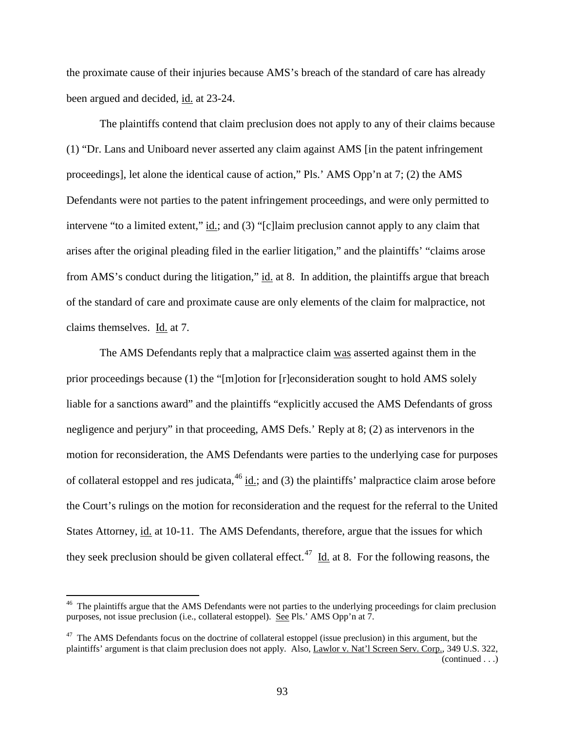the proximate cause of their injuries because AMS's breach of the standard of care has already been argued and decided, id. at 23-24.

The plaintiffs contend that claim preclusion does not apply to any of their claims because (1) "Dr. Lans and Uniboard never asserted any claim against AMS [in the patent infringement proceedings], let alone the identical cause of action," Pls.' AMS Opp'n at 7; (2) the AMS Defendants were not parties to the patent infringement proceedings, and were only permitted to intervene "to a limited extent," id.; and (3) "[c]laim preclusion cannot apply to any claim that arises after the original pleading filed in the earlier litigation," and the plaintiffs' "claims arose from AMS's conduct during the litigation," id. at 8. In addition, the plaintiffs argue that breach of the standard of care and proximate cause are only elements of the claim for malpractice, not claims themselves. Id. at 7.

The AMS Defendants reply that a malpractice claim was asserted against them in the prior proceedings because (1) the "[m]otion for [r]econsideration sought to hold AMS solely liable for a sanctions award" and the plaintiffs "explicitly accused the AMS Defendants of gross negligence and perjury" in that proceeding, AMS Defs.' Reply at 8; (2) as intervenors in the motion for reconsideration, the AMS Defendants were parties to the underlying case for purposes of collateral estoppel and res judicata,  $46$  id.; and (3) the plaintiffs' malpractice claim arose before the Court's rulings on the motion for reconsideration and the request for the referral to the United States Attorney, id. at 10-11. The AMS Defendants, therefore, argue that the issues for which they seek preclusion should be given collateral effect.<sup>[47](#page-92-0)</sup> Id. at 8. For the following reasons, the

<span id="page-92-1"></span><sup>&</sup>lt;sup>46</sup> The plaintiffs argue that the AMS Defendants were not parties to the underlying proceedings for claim preclusion purposes, not issue preclusion (i.e., collateral estoppel). See Pls.' AMS Opp'n at 7.

<span id="page-92-0"></span><sup>&</sup>lt;sup>47</sup> The AMS Defendants focus on the doctrine of collateral estoppel (issue preclusion) in this argument, but the plaintiffs' argument is that claim preclusion does not apply. Also, Lawlor v. Nat'l Screen Serv. Corp., 349 U.S. 322, (continued . . .)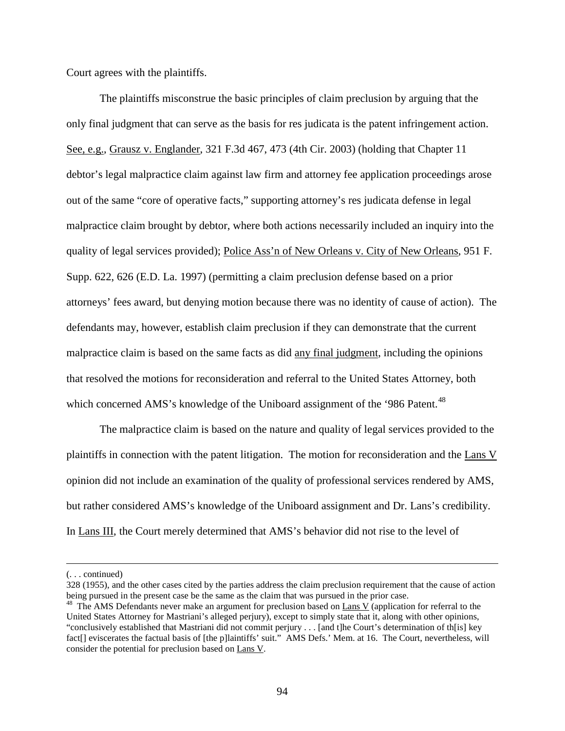Court agrees with the plaintiffs.

The plaintiffs misconstrue the basic principles of claim preclusion by arguing that the only final judgment that can serve as the basis for res judicata is the patent infringement action. See, e.g., Grausz v. Englander, 321 F.3d 467, 473 (4th Cir. 2003) (holding that Chapter 11 debtor's legal malpractice claim against law firm and attorney fee application proceedings arose out of the same "core of operative facts," supporting attorney's res judicata defense in legal malpractice claim brought by debtor, where both actions necessarily included an inquiry into the quality of legal services provided); Police Ass'n of New Orleans v. City of New Orleans, 951 F. Supp. 622, 626 (E.D. La. 1997) (permitting a claim preclusion defense based on a prior attorneys' fees award, but denying motion because there was no identity of cause of action). The defendants may, however, establish claim preclusion if they can demonstrate that the current malpractice claim is based on the same facts as did any final judgment, including the opinions that resolved the motions for reconsideration and referral to the United States Attorney, both which concerned AMS's knowledge of the Uniboard assignment of the '986 Patent.<sup>[48](#page-92-1)</sup>

The malpractice claim is based on the nature and quality of legal services provided to the plaintiffs in connection with the patent litigation. The motion for reconsideration and the Lans V opinion did not include an examination of the quality of professional services rendered by AMS, but rather considered AMS's knowledge of the Uniboard assignment and Dr. Lans's credibility. In Lans III, the Court merely determined that AMS's behavior did not rise to the level of

 $\overline{a}$ 

<sup>(. . .</sup> continued)

<sup>328 (1955),</sup> and the other cases cited by the parties address the claim preclusion requirement that the cause of action being pursued in the present case be the same as the claim that was pursued in the prior case.<br><sup>48</sup> The AMS Defendants never make an argument for preclusion based on <u>Lans V</u> (application for referral to the

<span id="page-93-0"></span>United States Attorney for Mastriani's alleged perjury), except to simply state that it, along with other opinions, "conclusively established that Mastriani did not commit perjury . . . [and t]he Court's determination of th[is] key fact[] eviscerates the factual basis of [the p]laintiffs' suit." AMS Defs.' Mem. at 16. The Court, nevertheless, will consider the potential for preclusion based on Lans V.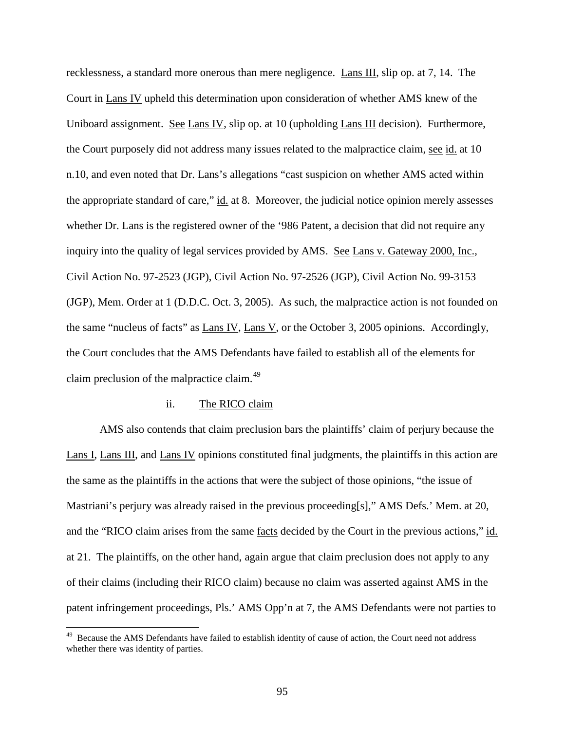recklessness, a standard more onerous than mere negligence. Lans III, slip op. at 7, 14. The Court in Lans IV upheld this determination upon consideration of whether AMS knew of the Uniboard assignment. See Lans IV, slip op. at 10 (upholding Lans III decision). Furthermore, the Court purposely did not address many issues related to the malpractice claim, see id. at 10 n.10, and even noted that Dr. Lans's allegations "cast suspicion on whether AMS acted within the appropriate standard of care," id. at 8. Moreover, the judicial notice opinion merely assesses whether Dr. Lans is the registered owner of the '986 Patent, a decision that did not require any inquiry into the quality of legal services provided by AMS. See Lans v. Gateway 2000, Inc., Civil Action No. 97-2523 (JGP), Civil Action No. 97-2526 (JGP), Civil Action No. 99-3153 (JGP), Mem. Order at 1 (D.D.C. Oct. 3, 2005). As such, the malpractice action is not founded on the same "nucleus of facts" as Lans IV, Lans V, or the October 3, 2005 opinions. Accordingly, the Court concludes that the AMS Defendants have failed to establish all of the elements for claim preclusion of the malpractice claim.<sup>[49](#page-93-0)</sup>

#### ii. The RICO claim

AMS also contends that claim preclusion bars the plaintiffs' claim of perjury because the Lans I, Lans III, and Lans IV opinions constituted final judgments, the plaintiffs in this action are the same as the plaintiffs in the actions that were the subject of those opinions, "the issue of Mastriani's perjury was already raised in the previous proceeding[s]," AMS Defs.' Mem. at 20, and the "RICO claim arises from the same <u>facts</u> decided by the Court in the previous actions," id. at 21. The plaintiffs, on the other hand, again argue that claim preclusion does not apply to any of their claims (including their RICO claim) because no claim was asserted against AMS in the patent infringement proceedings, Pls.' AMS Opp'n at 7, the AMS Defendants were not parties to

<span id="page-94-0"></span><sup>&</sup>lt;sup>49</sup> Because the AMS Defendants have failed to establish identity of cause of action, the Court need not address whether there was identity of parties.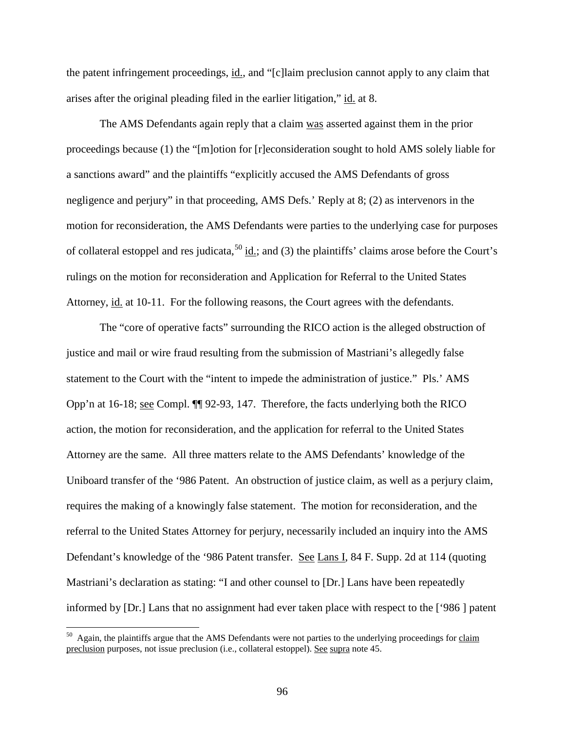the patent infringement proceedings, id., and "[c]laim preclusion cannot apply to any claim that arises after the original pleading filed in the earlier litigation," id. at 8.

The AMS Defendants again reply that a claim was asserted against them in the prior proceedings because (1) the "[m]otion for [r]econsideration sought to hold AMS solely liable for a sanctions award" and the plaintiffs "explicitly accused the AMS Defendants of gross negligence and perjury" in that proceeding, AMS Defs.' Reply at 8; (2) as intervenors in the motion for reconsideration, the AMS Defendants were parties to the underlying case for purposes of collateral estoppel and res judicata,  $^{50}$  $^{50}$  $^{50}$  id.; and (3) the plaintiffs' claims arose before the Court's rulings on the motion for reconsideration and Application for Referral to the United States Attorney, id. at 10-11. For the following reasons, the Court agrees with the defendants.

The "core of operative facts" surrounding the RICO action is the alleged obstruction of justice and mail or wire fraud resulting from the submission of Mastriani's allegedly false statement to the Court with the "intent to impede the administration of justice." Pls.' AMS Opp'n at 16-18; see Compl. ¶¶ 92-93, 147. Therefore, the facts underlying both the RICO action, the motion for reconsideration, and the application for referral to the United States Attorney are the same. All three matters relate to the AMS Defendants' knowledge of the Uniboard transfer of the '986 Patent. An obstruction of justice claim, as well as a perjury claim, requires the making of a knowingly false statement. The motion for reconsideration, and the referral to the United States Attorney for perjury, necessarily included an inquiry into the AMS Defendant's knowledge of the '986 Patent transfer. See Lans I, 84 F. Supp. 2d at 114 (quoting Mastriani's declaration as stating: "I and other counsel to [Dr.] Lans have been repeatedly informed by [Dr.] Lans that no assignment had ever taken place with respect to the ['986 ] patent

<span id="page-95-0"></span> $50$  Again, the plaintiffs argue that the AMS Defendants were not parties to the underlying proceedings for claim preclusion purposes, not issue preclusion (i.e., collateral estoppel). See supra note 45.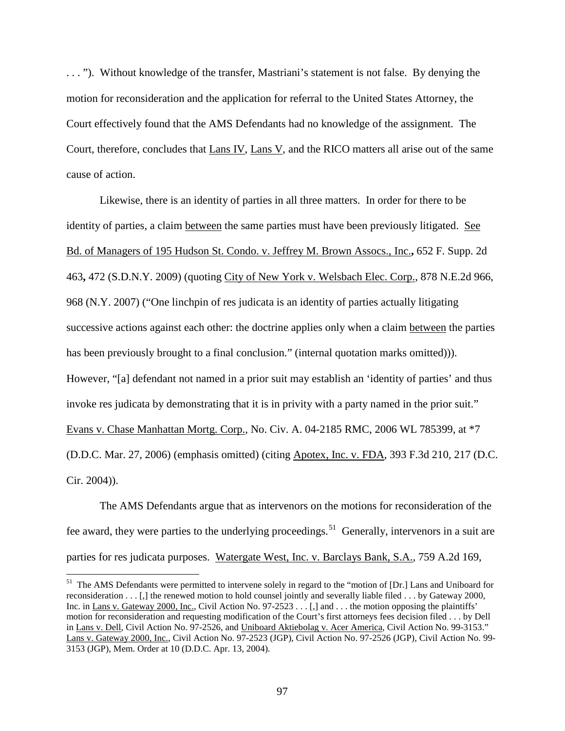. . . "). Without knowledge of the transfer, Mastriani's statement is not false. By denying the motion for reconsideration and the application for referral to the United States Attorney, the Court effectively found that the AMS Defendants had no knowledge of the assignment. The Court, therefore, concludes that Lans IV, Lans V, and the RICO matters all arise out of the same cause of action.

Likewise, there is an identity of parties in all three matters. In order for there to be identity of parties, a claim between the same parties must have been previously litigated. See Bd. of Managers of 195 Hudson St. Condo. v. Jeffrey M. Brown Assocs., Inc.**,** 652 F. Supp. 2d 463**,** 472 (S.D.N.Y. 2009) (quoting City of New York v. Welsbach Elec. Corp., 878 N.E.2d 966, 968 (N.Y. 2007) ("One linchpin of res judicata is an identity of parties actually litigating successive actions against each other: the doctrine applies only when a claim between the parties has been previously brought to a final conclusion." (internal quotation marks omitted))). However, "[a] defendant not named in a prior suit may establish an 'identity of parties' and thus invoke res judicata by demonstrating that it is in privity with a party named in the prior suit." Evans v. Chase Manhattan Mortg. Corp., No. Civ. A. 04-2185 RMC, 2006 WL 785399, at \*7 (D.D.C. Mar. 27, 2006) (emphasis omitted) (citing Apotex, Inc. v. FDA, 393 F.3d 210, 217 (D.C. Cir. 2004)).

<span id="page-96-0"></span>The AMS Defendants argue that as intervenors on the motions for reconsideration of the fee award, they were parties to the underlying proceedings.<sup>51</sup> Generally, intervenors in a suit are parties for res judicata purposes. Watergate West, Inc. v. Barclays Bank, S.A., 759 A.2d 169,

<sup>&</sup>lt;sup>51</sup> The AMS Defendants were permitted to intervene solely in regard to the "motion of [Dr.] Lans and Uniboard for reconsideration . . . [,] the renewed motion to hold counsel jointly and severally liable filed . . . by Gateway 2000, Inc. in Lans v. Gateway 2000, Inc., Civil Action No. 97-2523 . . . [,] and . . . the motion opposing the plaintiffs' motion for reconsideration and requesting modification of the Court's first attorneys fees decision filed . . . by Dell in Lans v. Dell, Civil Action No. 97-2526, and Uniboard Aktiebolag v. Acer America, Civil Action No. 99-3153." Lans v. Gateway 2000, Inc., Civil Action No. 97-2523 (JGP), Civil Action No. 97-2526 (JGP), Civil Action No. 99- 3153 (JGP), Mem. Order at 10 (D.D.C. Apr. 13, 2004).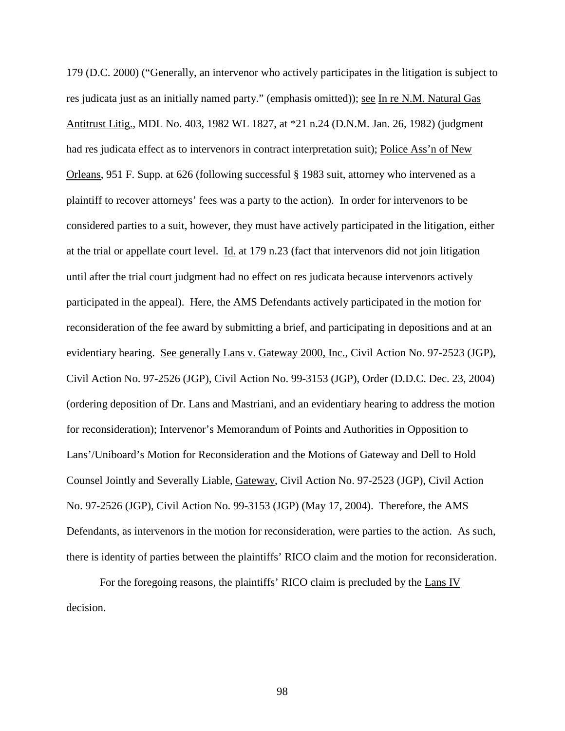179 (D.C. 2000) ("Generally, an intervenor who actively participates in the litigation is subject to res judicata just as an initially named party." (emphasis omitted)); see In re N.M. Natural Gas Antitrust Litig., MDL No. 403, 1982 WL 1827, at \*21 n.24 (D.N.M. Jan. 26, 1982) (judgment had res judicata effect as to intervenors in contract interpretation suit); Police Ass'n of New Orleans, 951 F. Supp. at 626 (following successful § 1983 suit, attorney who intervened as a plaintiff to recover attorneys' fees was a party to the action). In order for intervenors to be considered parties to a suit, however, they must have actively participated in the litigation, either at the trial or appellate court level. Id. at 179 n.23 (fact that intervenors did not join litigation until after the trial court judgment had no effect on res judicata because intervenors actively participated in the appeal). Here, the AMS Defendants actively participated in the motion for reconsideration of the fee award by submitting a brief, and participating in depositions and at an evidentiary hearing. See generally Lans v. Gateway 2000, Inc., Civil Action No. 97-2523 (JGP), Civil Action No. 97-2526 (JGP), Civil Action No. 99-3153 (JGP), Order (D.D.C. Dec. 23, 2004) (ordering deposition of Dr. Lans and Mastriani, and an evidentiary hearing to address the motion for reconsideration); Intervenor's Memorandum of Points and Authorities in Opposition to Lans'/Uniboard's Motion for Reconsideration and the Motions of Gateway and Dell to Hold Counsel Jointly and Severally Liable, Gateway, Civil Action No. 97-2523 (JGP), Civil Action No. 97-2526 (JGP), Civil Action No. 99-3153 (JGP) (May 17, 2004). Therefore, the AMS Defendants, as intervenors in the motion for reconsideration, were parties to the action. As such, there is identity of parties between the plaintiffs' RICO claim and the motion for reconsideration.

For the foregoing reasons, the plaintiffs' RICO claim is precluded by the Lans IV decision.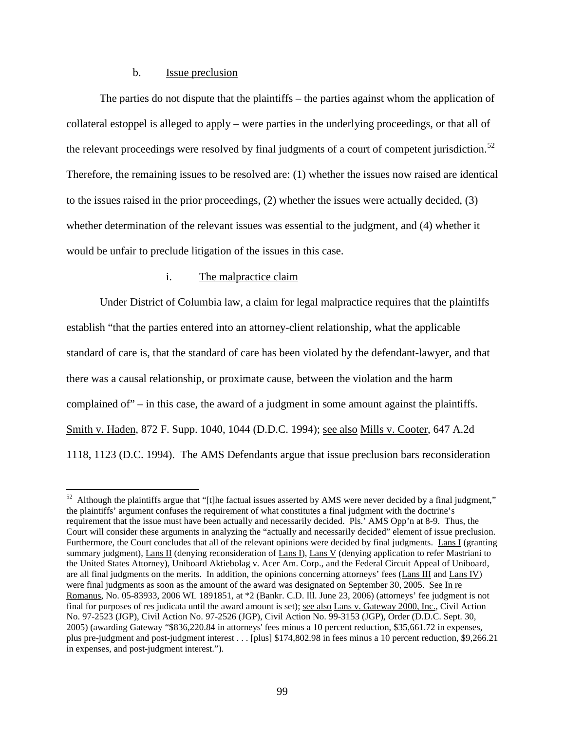### b. Issue preclusion

The parties do not dispute that the plaintiffs – the parties against whom the application of collateral estoppel is alleged to apply – were parties in the underlying proceedings, or that all of the relevant proceedings were resolved by final judgments of a court of competent jurisdiction.<sup>52</sup> Therefore, the remaining issues to be resolved are: (1) whether the issues now raised are identical to the issues raised in the prior proceedings, (2) whether the issues were actually decided, (3) whether determination of the relevant issues was essential to the judgment, and (4) whether it would be unfair to preclude litigation of the issues in this case.

## i. The malpractice claim

Under District of Columbia law, a claim for legal malpractice requires that the plaintiffs establish "that the parties entered into an attorney-client relationship, what the applicable standard of care is, that the standard of care has been violated by the defendant-lawyer, and that there was a causal relationship, or proximate cause, between the violation and the harm complained of" – in this case, the award of a judgment in some amount against the plaintiffs. Smith v. Haden, 872 F. Supp. 1040, 1044 (D.D.C. 1994); see also Mills v. Cooter, 647 A.2d 1118, 1123 (D.C. 1994). The AMS Defendants argue that issue preclusion bars reconsideration

<span id="page-98-0"></span> $52$  Although the plaintiffs argue that "[t]he factual issues asserted by AMS were never decided by a final judgment," the plaintiffs' argument confuses the requirement of what constitutes a final judgment with the doctrine's requirement that the issue must have been actually and necessarily decided. Pls.' AMS Opp'n at 8-9. Thus, the Court will consider these arguments in analyzing the "actually and necessarily decided" element of issue preclusion. Furthermore, the Court concludes that all of the relevant opinions were decided by final judgments. Lans I (granting summary judgment), Lans II (denying reconsideration of Lans I), Lans V (denying application to refer Mastriani to the United States Attorney), Uniboard Aktiebolag v. Acer Am. Corp., and the Federal Circuit Appeal of Uniboard, are all final judgments on the merits. In addition, the opinions concerning attorneys' fees (Lans III and Lans IV) were final judgments as soon as the amount of the award was designated on September 30, 2005. See In re Romanus, No. 05-83933, 2006 WL 1891851, at \*2 (Bankr. C.D. Ill. June 23, 2006) (attorneys' fee judgment is not final for purposes of res judicata until the award amount is set); see also Lans v. Gateway 2000, Inc., Civil Action No. 97-2523 (JGP), Civil Action No. 97-2526 (JGP), Civil Action No. 99-3153 (JGP), Order (D.D.C. Sept. 30, 2005) (awarding Gateway "\$836,220.84 in attorneys' fees minus a 10 percent reduction, \$35,661.72 in expenses, plus pre-judgment and post-judgment interest . . . [plus] \$174,802.98 in fees minus a 10 percent reduction, \$9,266.21 in expenses, and post-judgment interest.").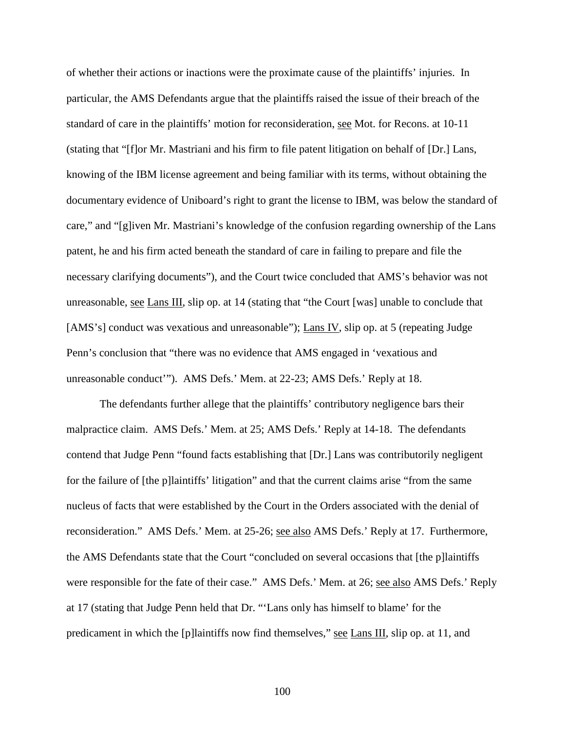of whether their actions or inactions were the proximate cause of the plaintiffs' injuries. In particular, the AMS Defendants argue that the plaintiffs raised the issue of their breach of the standard of care in the plaintiffs' motion for reconsideration, see Mot. for Recons. at 10-11 (stating that "[f]or Mr. Mastriani and his firm to file patent litigation on behalf of [Dr.] Lans, knowing of the IBM license agreement and being familiar with its terms, without obtaining the documentary evidence of Uniboard's right to grant the license to IBM, was below the standard of care," and "[g]iven Mr. Mastriani's knowledge of the confusion regarding ownership of the Lans patent, he and his firm acted beneath the standard of care in failing to prepare and file the necessary clarifying documents"), and the Court twice concluded that AMS's behavior was not unreasonable, see Lans III, slip op. at 14 (stating that "the Court [was] unable to conclude that [AMS's] conduct was vexatious and unreasonable"); Lans IV, slip op. at 5 (repeating Judge Penn's conclusion that "there was no evidence that AMS engaged in 'vexatious and unreasonable conduct'"). AMS Defs.' Mem. at 22-23; AMS Defs.' Reply at 18.

The defendants further allege that the plaintiffs' contributory negligence bars their malpractice claim. AMS Defs.' Mem. at 25; AMS Defs.' Reply at 14-18. The defendants contend that Judge Penn "found facts establishing that [Dr.] Lans was contributorily negligent for the failure of [the p]laintiffs' litigation" and that the current claims arise "from the same nucleus of facts that were established by the Court in the Orders associated with the denial of reconsideration." AMS Defs.' Mem. at 25-26; see also AMS Defs.' Reply at 17. Furthermore, the AMS Defendants state that the Court "concluded on several occasions that [the p]laintiffs were responsible for the fate of their case." AMS Defs.' Mem. at 26; see also AMS Defs.' Reply at 17 (stating that Judge Penn held that Dr. "'Lans only has himself to blame' for the predicament in which the [p]laintiffs now find themselves," see Lans III, slip op. at 11, and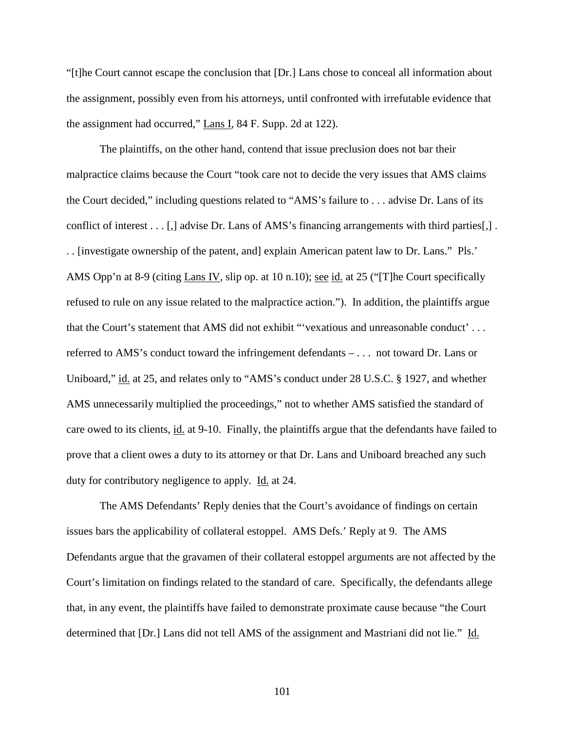"[t]he Court cannot escape the conclusion that [Dr.] Lans chose to conceal all information about the assignment, possibly even from his attorneys, until confronted with irrefutable evidence that the assignment had occurred," Lans I, 84 F. Supp. 2d at 122).

The plaintiffs, on the other hand, contend that issue preclusion does not bar their malpractice claims because the Court "took care not to decide the very issues that AMS claims the Court decided," including questions related to "AMS's failure to . . . advise Dr. Lans of its conflict of interest . . . [,] advise Dr. Lans of AMS's financing arrangements with third parties[,] . . . [investigate ownership of the patent, and] explain American patent law to Dr. Lans." Pls.' AMS Opp'n at 8-9 (citing Lans IV, slip op. at 10 n.10); <u>see id.</u> at 25 ("The Court specifically refused to rule on any issue related to the malpractice action."). In addition, the plaintiffs argue that the Court's statement that AMS did not exhibit "'vexatious and unreasonable conduct' . . . referred to AMS's conduct toward the infringement defendants – . . . not toward Dr. Lans or Uniboard," id. at 25, and relates only to "AMS's conduct under 28 U.S.C. § 1927, and whether AMS unnecessarily multiplied the proceedings," not to whether AMS satisfied the standard of care owed to its clients, id. at 9-10. Finally, the plaintiffs argue that the defendants have failed to prove that a client owes a duty to its attorney or that Dr. Lans and Uniboard breached any such duty for contributory negligence to apply. Id. at 24.

The AMS Defendants' Reply denies that the Court's avoidance of findings on certain issues bars the applicability of collateral estoppel. AMS Defs.' Reply at 9. The AMS Defendants argue that the gravamen of their collateral estoppel arguments are not affected by the Court's limitation on findings related to the standard of care. Specifically, the defendants allege that, in any event, the plaintiffs have failed to demonstrate proximate cause because "the Court determined that [Dr.] Lans did not tell AMS of the assignment and Mastriani did not lie." Id.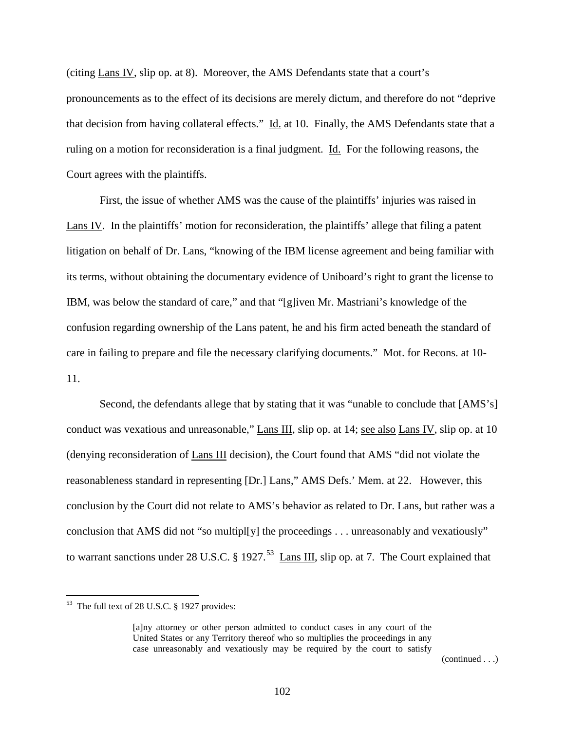(citing Lans IV, slip op. at 8). Moreover, the AMS Defendants state that a court's pronouncements as to the effect of its decisions are merely dictum, and therefore do not "deprive that decision from having collateral effects." Id. at 10. Finally, the AMS Defendants state that a ruling on a motion for reconsideration is a final judgment. Id. For the following reasons, the Court agrees with the plaintiffs.

First, the issue of whether AMS was the cause of the plaintiffs' injuries was raised in Lans IV. In the plaintiffs' motion for reconsideration, the plaintiffs' allege that filing a patent litigation on behalf of Dr. Lans, "knowing of the IBM license agreement and being familiar with its terms, without obtaining the documentary evidence of Uniboard's right to grant the license to IBM, was below the standard of care," and that "[g]iven Mr. Mastriani's knowledge of the confusion regarding ownership of the Lans patent, he and his firm acted beneath the standard of care in failing to prepare and file the necessary clarifying documents." Mot. for Recons. at 10- 11.

Second, the defendants allege that by stating that it was "unable to conclude that [AMS's] conduct was vexatious and unreasonable," Lans III, slip op. at 14; see also Lans IV, slip op. at 10 (denying reconsideration of Lans III decision), the Court found that AMS "did not violate the reasonableness standard in representing [Dr.] Lans," AMS Defs.' Mem. at 22. However, this conclusion by the Court did not relate to AMS's behavior as related to Dr. Lans, but rather was a conclusion that AMS did not "so multipl[y] the proceedings . . . unreasonably and vexatiously" to warrant sanctions under 28 U.S.C. § 1927.<sup>[53](#page-98-0)</sup> Lans III, slip op. at 7. The Court explained that

(continued . . .)

<span id="page-101-0"></span> <sup>53</sup> The full text of 28 U.S.C. § 1927 provides:

<sup>[</sup>a]ny attorney or other person admitted to conduct cases in any court of the United States or any Territory thereof who so multiplies the proceedings in any case unreasonably and vexatiously may be required by the court to satisfy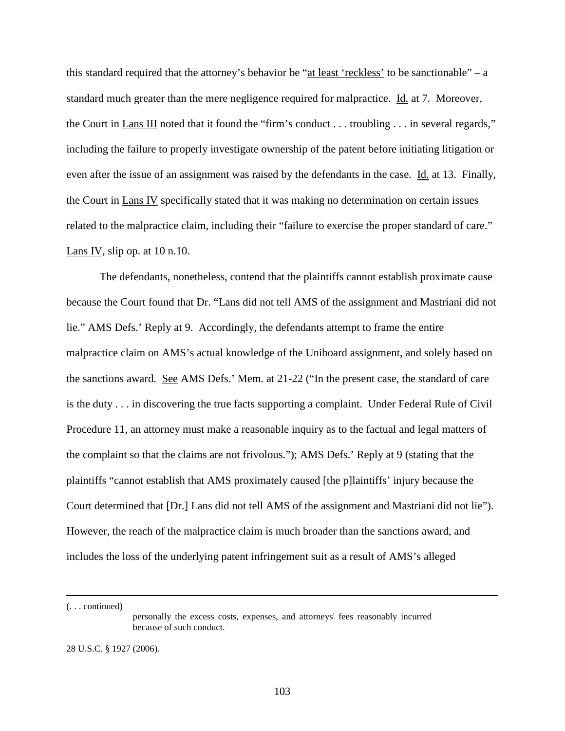this standard required that the attorney's behavior be "at least 'reckless' to be sanctionable" – a standard much greater than the mere negligence required for malpractice. Id. at 7. Moreover, the Court in Lans III noted that it found the "firm's conduct . . . troubling . . . in several regards," including the failure to properly investigate ownership of the patent before initiating litigation or even after the issue of an assignment was raised by the defendants in the case. Id. at 13. Finally, the Court in Lans IV specifically stated that it was making no determination on certain issues related to the malpractice claim, including their "failure to exercise the proper standard of care." Lans IV, slip op. at  $10$  n.10.

The defendants, nonetheless, contend that the plaintiffs cannot establish proximate cause because the Court found that Dr. "Lans did not tell AMS of the assignment and Mastriani did not lie." AMS Defs.' Reply at 9. Accordingly, the defendants attempt to frame the entire malpractice claim on AMS's actual knowledge of the Uniboard assignment, and solely based on the sanctions award. See AMS Defs.' Mem. at 21-22 ("In the present case, the standard of care is the duty . . . in discovering the true facts supporting a complaint. Under Federal Rule of Civil Procedure 11, an attorney must make a reasonable inquiry as to the factual and legal matters of the complaint so that the claims are not frivolous."); AMS Defs.' Reply at 9 (stating that the plaintiffs "cannot establish that AMS proximately caused [the p]laintiffs' injury because the Court determined that [Dr.] Lans did not tell AMS of the assignment and Mastriani did not lie"). However, the reach of the malpractice claim is much broader than the sanctions award, and includes the loss of the underlying patent infringement suit as a result of AMS's alleged

(. . . continued)

 $\overline{a}$ 

personally the excess costs, expenses, and attorneys' fees reasonably incurred because of such conduct.

28 U.S.C. § 1927 (2006).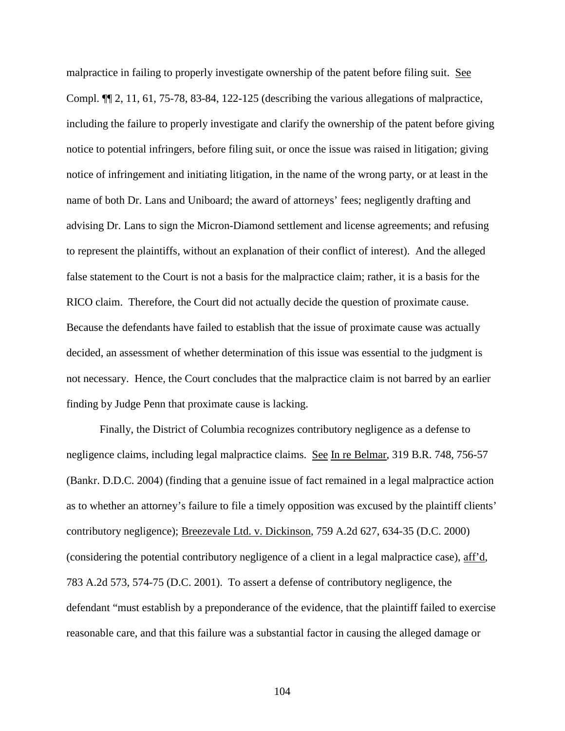malpractice in failing to properly investigate ownership of the patent before filing suit. See Compl. ¶¶ 2, 11, 61, 75-78, 83-84, 122-125 (describing the various allegations of malpractice, including the failure to properly investigate and clarify the ownership of the patent before giving notice to potential infringers, before filing suit, or once the issue was raised in litigation; giving notice of infringement and initiating litigation, in the name of the wrong party, or at least in the name of both Dr. Lans and Uniboard; the award of attorneys' fees; negligently drafting and advising Dr. Lans to sign the Micron-Diamond settlement and license agreements; and refusing to represent the plaintiffs, without an explanation of their conflict of interest). And the alleged false statement to the Court is not a basis for the malpractice claim; rather, it is a basis for the RICO claim. Therefore, the Court did not actually decide the question of proximate cause. Because the defendants have failed to establish that the issue of proximate cause was actually decided, an assessment of whether determination of this issue was essential to the judgment is not necessary. Hence, the Court concludes that the malpractice claim is not barred by an earlier finding by Judge Penn that proximate cause is lacking.

Finally, the District of Columbia recognizes contributory negligence as a defense to negligence claims, including legal malpractice claims. See In re Belmar, 319 B.R. 748, 756-57 (Bankr. D.D.C. 2004) (finding that a genuine issue of fact remained in a legal malpractice action as to whether an attorney's failure to file a timely opposition was excused by the plaintiff clients' contributory negligence); Breezevale Ltd. v. Dickinson, 759 A.2d 627, 634-35 (D.C. 2000) (considering the potential contributory negligence of a client in a legal malpractice case), aff'd, 783 A.2d 573, 574-75 (D.C. 2001). To assert a defense of contributory negligence, the defendant "must establish by a preponderance of the evidence, that the plaintiff failed to exercise reasonable care, and that this failure was a substantial factor in causing the alleged damage or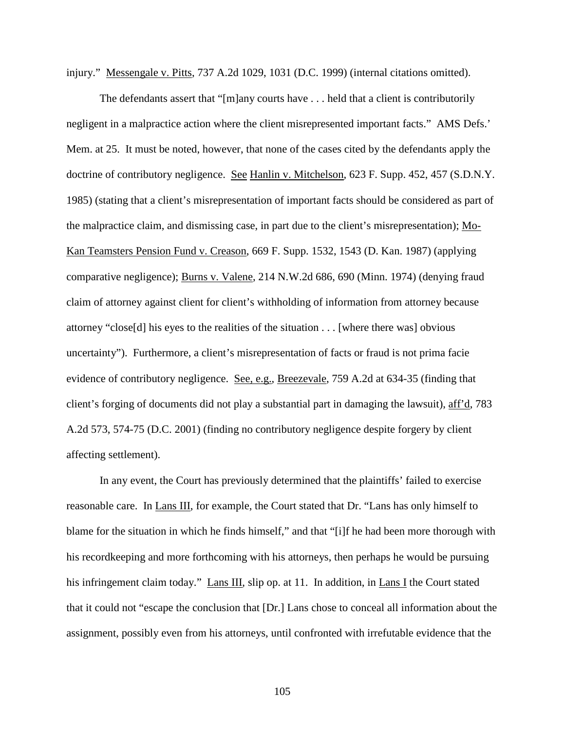injury." Messengale v. Pitts, 737 A.2d 1029, 1031 (D.C. 1999) (internal citations omitted).

The defendants assert that "[m]any courts have . . . held that a client is contributorily negligent in a malpractice action where the client misrepresented important facts." AMS Defs.' Mem. at 25. It must be noted, however, that none of the cases cited by the defendants apply the doctrine of contributory negligence. See Hanlin v. Mitchelson, 623 F. Supp. 452, 457 (S.D.N.Y. 1985) (stating that a client's misrepresentation of important facts should be considered as part of the malpractice claim, and dismissing case, in part due to the client's misrepresentation); Mo-Kan Teamsters Pension Fund v. Creason, 669 F. Supp. 1532, 1543 (D. Kan. 1987) (applying comparative negligence); Burns v. Valene, 214 N.W.2d 686, 690 (Minn. 1974) (denying fraud claim of attorney against client for client's withholding of information from attorney because attorney "close[d] his eyes to the realities of the situation . . . [where there was] obvious uncertainty"). Furthermore, a client's misrepresentation of facts or fraud is not prima facie evidence of contributory negligence. See, e.g., Breezevale, 759 A.2d at 634-35 (finding that client's forging of documents did not play a substantial part in damaging the lawsuit), aff'd, 783 A.2d 573, 574-75 (D.C. 2001) (finding no contributory negligence despite forgery by client affecting settlement).

In any event, the Court has previously determined that the plaintiffs' failed to exercise reasonable care. In Lans III, for example, the Court stated that Dr. "Lans has only himself to blame for the situation in which he finds himself," and that "[i]f he had been more thorough with his recordkeeping and more forthcoming with his attorneys, then perhaps he would be pursuing his infringement claim today." Lans III, slip op. at 11. In addition, in Lans I the Court stated that it could not "escape the conclusion that [Dr.] Lans chose to conceal all information about the assignment, possibly even from his attorneys, until confronted with irrefutable evidence that the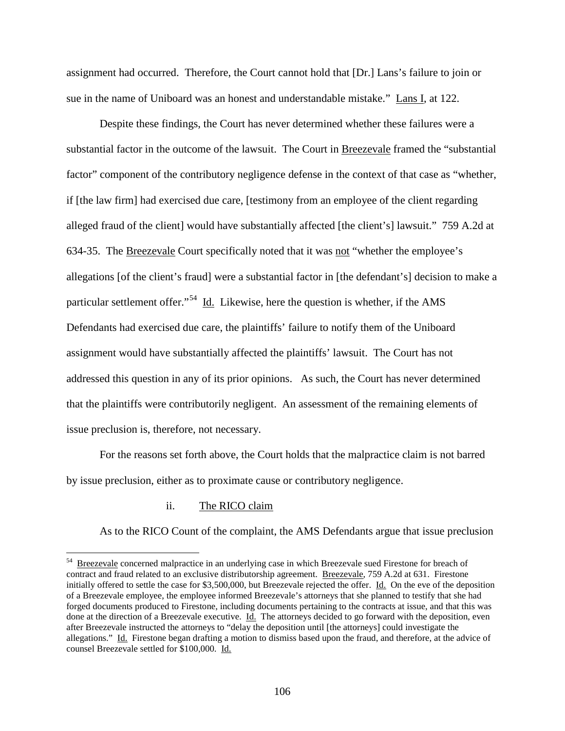assignment had occurred. Therefore, the Court cannot hold that [Dr.] Lans's failure to join or sue in the name of Uniboard was an honest and understandable mistake." Lans I, at 122.

Despite these findings, the Court has never determined whether these failures were a substantial factor in the outcome of the lawsuit. The Court in Breezevale framed the "substantial factor" component of the contributory negligence defense in the context of that case as "whether, if [the law firm] had exercised due care, [testimony from an employee of the client regarding alleged fraud of the client] would have substantially affected [the client's] lawsuit." 759 A.2d at 634-35. The Breezevale Court specifically noted that it was not "whether the employee's allegations [of the client's fraud] were a substantial factor in [the defendant's] decision to make a particular settlement offer."[54](#page-101-0) Id. Likewise, here the question is whether, if the AMS Defendants had exercised due care, the plaintiffs' failure to notify them of the Uniboard assignment would have substantially affected the plaintiffs' lawsuit. The Court has not addressed this question in any of its prior opinions. As such, the Court has never determined that the plaintiffs were contributorily negligent. An assessment of the remaining elements of issue preclusion is, therefore, not necessary.

For the reasons set forth above, the Court holds that the malpractice claim is not barred by issue preclusion, either as to proximate cause or contributory negligence.

## ii. The RICO claim

As to the RICO Count of the complaint, the AMS Defendants argue that issue preclusion

<span id="page-105-0"></span><sup>&</sup>lt;sup>54</sup> Breezevale concerned malpractice in an underlying case in which Breezevale sued Firestone for breach of contract and fraud related to an exclusive distributorship agreement. Breezevale, 759 A.2d at 631. Firestone initially offered to settle the case for \$3,500,000, but Breezevale rejected the offer. Id. On the eve of the deposition of a Breezevale employee, the employee informed Breezevale's attorneys that she planned to testify that she had forged documents produced to Firestone, including documents pertaining to the contracts at issue, and that this was done at the direction of a Breezevale executive. Id. The attorneys decided to go forward with the deposition, even after Breezevale instructed the attorneys to "delay the deposition until [the attorneys] could investigate the allegations." Id. Firestone began drafting a motion to dismiss based upon the fraud, and therefore, at the advice of counsel Breezevale settled for \$100,000. Id.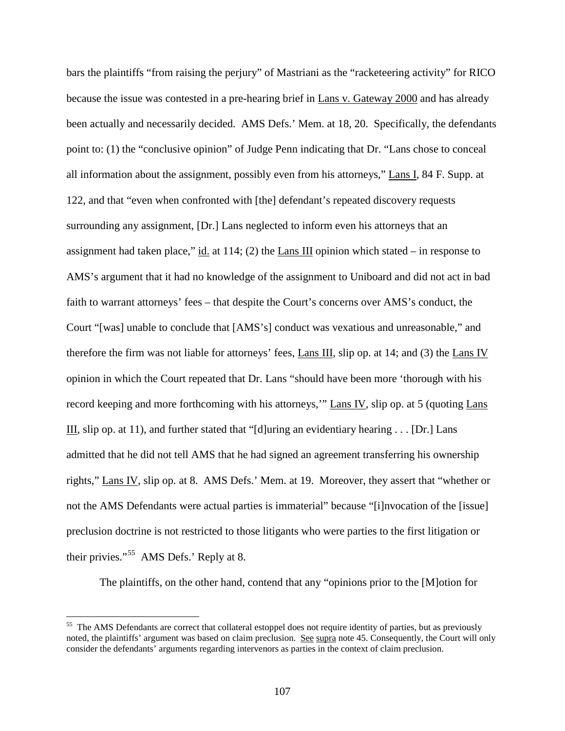bars the plaintiffs "from raising the perjury" of Mastriani as the "racketeering activity" for RICO because the issue was contested in a pre-hearing brief in Lans v. Gateway 2000 and has already been actually and necessarily decided. AMS Defs.' Mem. at 18, 20. Specifically, the defendants point to: (1) the "conclusive opinion" of Judge Penn indicating that Dr. "Lans chose to conceal all information about the assignment, possibly even from his attorneys," Lans I, 84 F. Supp. at 122, and that "even when confronted with [the] defendant's repeated discovery requests surrounding any assignment, [Dr.] Lans neglected to inform even his attorneys that an assignment had taken place," id. at  $114$ ; (2) the Lans III opinion which stated – in response to AMS's argument that it had no knowledge of the assignment to Uniboard and did not act in bad faith to warrant attorneys' fees – that despite the Court's concerns over AMS's conduct, the Court "[was] unable to conclude that [AMS's] conduct was vexatious and unreasonable," and therefore the firm was not liable for attorneys' fees, Lans III, slip op. at 14; and (3) the Lans IV opinion in which the Court repeated that Dr. Lans "should have been more 'thorough with his record keeping and more forthcoming with his attorneys," Lans IV, slip op. at 5 (quoting Lans III, slip op. at 11), and further stated that "[d]uring an evidentiary hearing . . . [Dr.] Lans admitted that he did not tell AMS that he had signed an agreement transferring his ownership rights," Lans IV, slip op. at 8. AMS Defs.' Mem. at 19. Moreover, they assert that "whether or not the AMS Defendants were actual parties is immaterial" because "[i]nvocation of the [issue] preclusion doctrine is not restricted to those litigants who were parties to the first litigation or their privies."[55](#page-105-0) AMS Defs.' Reply at 8.

The plaintiffs, on the other hand, contend that any "opinions prior to the [M]otion for

<sup>&</sup>lt;sup>55</sup> The AMS Defendants are correct that collateral estoppel does not require identity of parties, but as previously noted, the plaintiffs' argument was based on claim preclusion. See supra note 45. Consequently, the Court will only consider the defendants' arguments regarding intervenors as parties in the context of claim preclusion.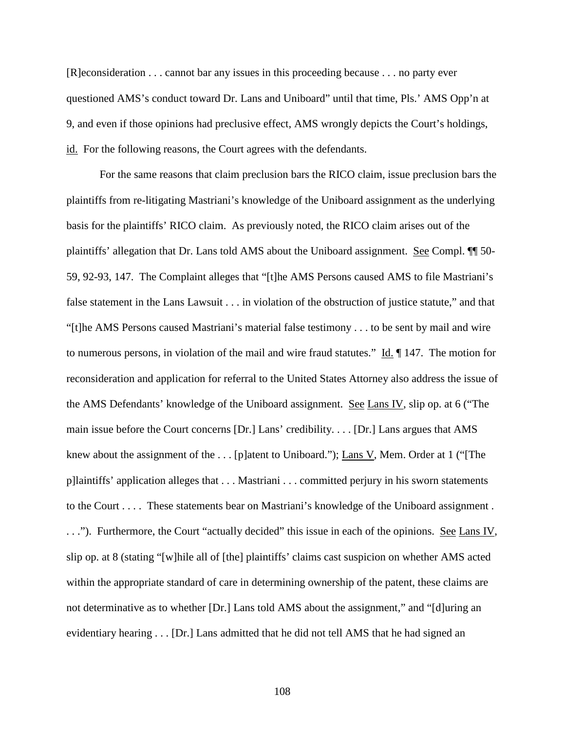[R]econsideration . . . cannot bar any issues in this proceeding because . . . no party ever questioned AMS's conduct toward Dr. Lans and Uniboard" until that time, Pls.' AMS Opp'n at 9, and even if those opinions had preclusive effect, AMS wrongly depicts the Court's holdings, id. For the following reasons, the Court agrees with the defendants.

For the same reasons that claim preclusion bars the RICO claim, issue preclusion bars the plaintiffs from re-litigating Mastriani's knowledge of the Uniboard assignment as the underlying basis for the plaintiffs' RICO claim. As previously noted, the RICO claim arises out of the plaintiffs' allegation that Dr. Lans told AMS about the Uniboard assignment. See Compl. <sup>11</sup> 50-59, 92-93, 147. The Complaint alleges that "[t]he AMS Persons caused AMS to file Mastriani's false statement in the Lans Lawsuit . . . in violation of the obstruction of justice statute," and that "[t]he AMS Persons caused Mastriani's material false testimony . . . to be sent by mail and wire to numerous persons, in violation of the mail and wire fraud statutes." Id. ¶ 147. The motion for reconsideration and application for referral to the United States Attorney also address the issue of the AMS Defendants' knowledge of the Uniboard assignment. See Lans IV, slip op. at 6 ("The main issue before the Court concerns [Dr.] Lans' credibility. . . . [Dr.] Lans argues that AMS knew about the assignment of the . . . [p]atent to Uniboard."); Lans V, Mem. Order at 1 ("[The p]laintiffs' application alleges that . . . Mastriani . . . committed perjury in his sworn statements to the Court . . . . These statements bear on Mastriani's knowledge of the Uniboard assignment . ..."). Furthermore, the Court "actually decided" this issue in each of the opinions. <u>See Lans IV</u>, slip op. at 8 (stating "[w]hile all of [the] plaintiffs' claims cast suspicion on whether AMS acted within the appropriate standard of care in determining ownership of the patent, these claims are not determinative as to whether [Dr.] Lans told AMS about the assignment," and "[d]uring an evidentiary hearing . . . [Dr.] Lans admitted that he did not tell AMS that he had signed an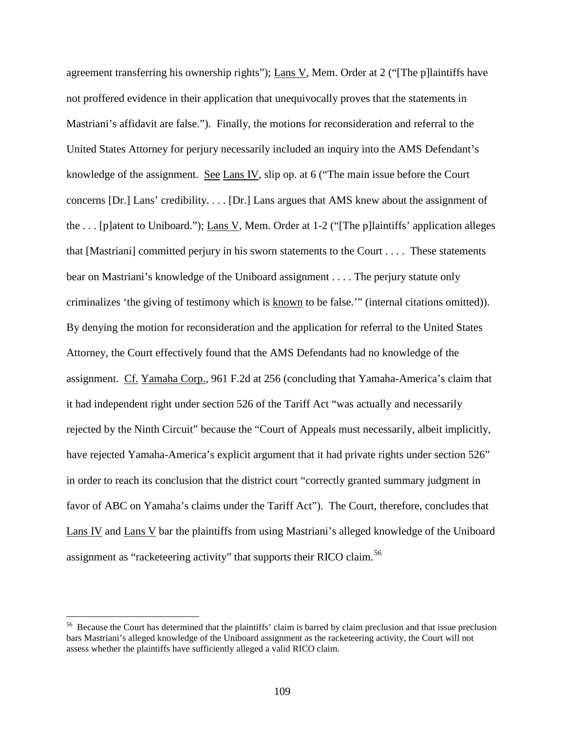agreement transferring his ownership rights"); Lans V, Mem. Order at 2 ("[The p]laintiffs have not proffered evidence in their application that unequivocally proves that the statements in Mastriani's affidavit are false."). Finally, the motions for reconsideration and referral to the United States Attorney for perjury necessarily included an inquiry into the AMS Defendant's knowledge of the assignment. See Lans IV, slip op. at 6 ("The main issue before the Court concerns [Dr.] Lans' credibility. . . . [Dr.] Lans argues that AMS knew about the assignment of the . . . [p]atent to Uniboard."); Lans V, Mem. Order at 1-2 ("[The p]laintiffs' application alleges that [Mastriani] committed perjury in his sworn statements to the Court . . . . These statements bear on Mastriani's knowledge of the Uniboard assignment . . . . The perjury statute only criminalizes 'the giving of testimony which is known to be false.'" (internal citations omitted)). By denying the motion for reconsideration and the application for referral to the United States Attorney, the Court effectively found that the AMS Defendants had no knowledge of the assignment. Cf. Yamaha Corp., 961 F.2d at 256 (concluding that Yamaha-America's claim that it had independent right under section 526 of the Tariff Act "was actually and necessarily rejected by the Ninth Circuit" because the "Court of Appeals must necessarily, albeit implicitly, have rejected Yamaha-America's explicit argument that it had private rights under section 526" in order to reach its conclusion that the district court "correctly granted summary judgment in favor of ABC on Yamaha's claims under the Tariff Act"). The Court, therefore, concludes that Lans IV and Lans V bar the plaintiffs from using Mastriani's alleged knowledge of the Uniboard assignment as "racketeering activity" that supports their RICO claim.<sup>56</sup>

<span id="page-108-0"></span><sup>&</sup>lt;sup>56</sup> Because the Court has determined that the plaintiffs' claim is barred by claim preclusion and that issue preclusion bars Mastriani's alleged knowledge of the Uniboard assignment as the racketeering activity, the Court will not assess whether the plaintiffs have sufficiently alleged a valid RICO claim.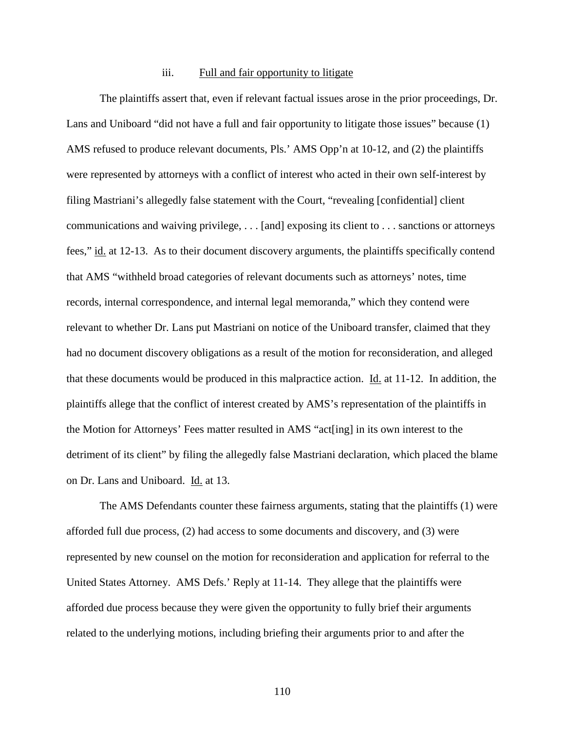## iii. Full and fair opportunity to litigate

The plaintiffs assert that, even if relevant factual issues arose in the prior proceedings, Dr. Lans and Uniboard "did not have a full and fair opportunity to litigate those issues" because (1) AMS refused to produce relevant documents, Pls.' AMS Opp'n at 10-12, and (2) the plaintiffs were represented by attorneys with a conflict of interest who acted in their own self-interest by filing Mastriani's allegedly false statement with the Court, "revealing [confidential] client communications and waiving privilege, . . . [and] exposing its client to . . . sanctions or attorneys fees," id. at 12-13. As to their document discovery arguments, the plaintiffs specifically contend that AMS "withheld broad categories of relevant documents such as attorneys' notes, time records, internal correspondence, and internal legal memoranda," which they contend were relevant to whether Dr. Lans put Mastriani on notice of the Uniboard transfer, claimed that they had no document discovery obligations as a result of the motion for reconsideration, and alleged that these documents would be produced in this malpractice action.  $\underline{Id}$  at 11-12. In addition, the plaintiffs allege that the conflict of interest created by AMS's representation of the plaintiffs in the Motion for Attorneys' Fees matter resulted in AMS "act[ing] in its own interest to the detriment of its client" by filing the allegedly false Mastriani declaration, which placed the blame on Dr. Lans and Uniboard. Id. at 13.

The AMS Defendants counter these fairness arguments, stating that the plaintiffs (1) were afforded full due process, (2) had access to some documents and discovery, and (3) were represented by new counsel on the motion for reconsideration and application for referral to the United States Attorney. AMS Defs.' Reply at 11-14. They allege that the plaintiffs were afforded due process because they were given the opportunity to fully brief their arguments related to the underlying motions, including briefing their arguments prior to and after the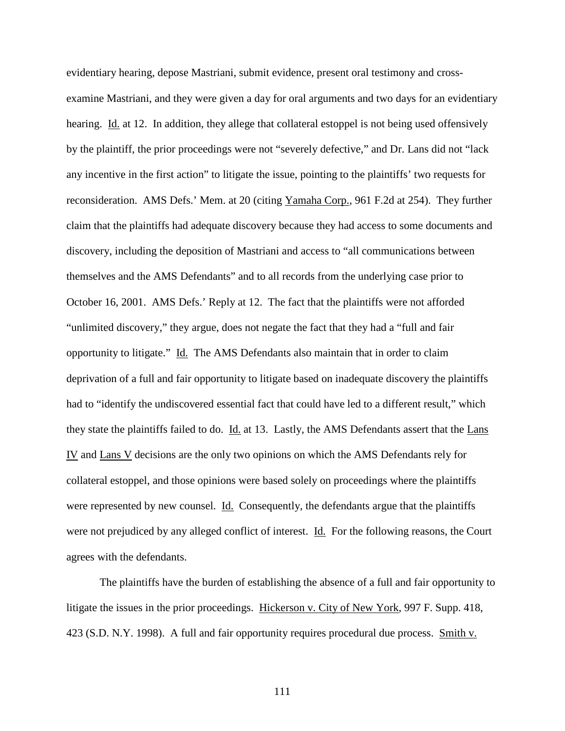evidentiary hearing, depose Mastriani, submit evidence, present oral testimony and crossexamine Mastriani, and they were given a day for oral arguments and two days for an evidentiary hearing. Id. at 12. In addition, they allege that collateral estoppel is not being used offensively by the plaintiff, the prior proceedings were not "severely defective," and Dr. Lans did not "lack any incentive in the first action" to litigate the issue, pointing to the plaintiffs' two requests for reconsideration. AMS Defs.' Mem. at 20 (citing Yamaha Corp., 961 F.2d at 254). They further claim that the plaintiffs had adequate discovery because they had access to some documents and discovery, including the deposition of Mastriani and access to "all communications between themselves and the AMS Defendants" and to all records from the underlying case prior to October 16, 2001. AMS Defs.' Reply at 12. The fact that the plaintiffs were not afforded "unlimited discovery," they argue, does not negate the fact that they had a "full and fair opportunity to litigate." Id. The AMS Defendants also maintain that in order to claim deprivation of a full and fair opportunity to litigate based on inadequate discovery the plaintiffs had to "identify the undiscovered essential fact that could have led to a different result," which they state the plaintiffs failed to do. Id. at 13. Lastly, the AMS Defendants assert that the Lans IV and Lans V decisions are the only two opinions on which the AMS Defendants rely for collateral estoppel, and those opinions were based solely on proceedings where the plaintiffs were represented by new counsel. Id. Consequently, the defendants argue that the plaintiffs were not prejudiced by any alleged conflict of interest. Id. For the following reasons, the Court agrees with the defendants.

The plaintiffs have the burden of establishing the absence of a full and fair opportunity to litigate the issues in the prior proceedings. Hickerson v. City of New York, 997 F. Supp. 418, 423 (S.D. N.Y. 1998). A full and fair opportunity requires procedural due process. Smith v.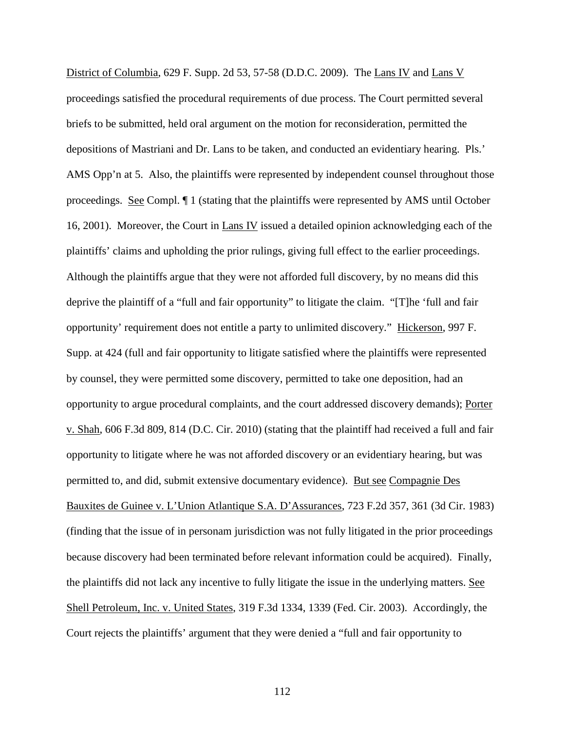District of Columbia, 629 F. Supp. 2d 53, 57-58 (D.D.C. 2009). The Lans IV and Lans V proceedings satisfied the procedural requirements of due process. The Court permitted several briefs to be submitted, held oral argument on the motion for reconsideration, permitted the depositions of Mastriani and Dr. Lans to be taken, and conducted an evidentiary hearing. Pls.' AMS Opp'n at 5. Also, the plaintiffs were represented by independent counsel throughout those proceedings. See Compl. ¶ 1 (stating that the plaintiffs were represented by AMS until October 16, 2001). Moreover, the Court in Lans IV issued a detailed opinion acknowledging each of the plaintiffs' claims and upholding the prior rulings, giving full effect to the earlier proceedings. Although the plaintiffs argue that they were not afforded full discovery, by no means did this deprive the plaintiff of a "full and fair opportunity" to litigate the claim. "[T]he 'full and fair opportunity' requirement does not entitle a party to unlimited discovery." Hickerson, 997 F. Supp. at 424 (full and fair opportunity to litigate satisfied where the plaintiffs were represented by counsel, they were permitted some discovery, permitted to take one deposition, had an opportunity to argue procedural complaints, and the court addressed discovery demands); Porter v. Shah, 606 F.3d 809, 814 (D.C. Cir. 2010) (stating that the plaintiff had received a full and fair opportunity to litigate where he was not afforded discovery or an evidentiary hearing, but was permitted to, and did, submit extensive documentary evidence). But see Compagnie Des Bauxites de Guinee v. L'Union Atlantique S.A. D'Assurances, 723 F.2d 357, 361 (3d Cir. 1983) (finding that the issue of in personam jurisdiction was not fully litigated in the prior proceedings because discovery had been terminated before relevant information could be acquired). Finally, the plaintiffs did not lack any incentive to fully litigate the issue in the underlying matters. See Shell Petroleum, Inc. v. United States, 319 F.3d 1334, 1339 (Fed. Cir. 2003). Accordingly, the Court rejects the plaintiffs' argument that they were denied a "full and fair opportunity to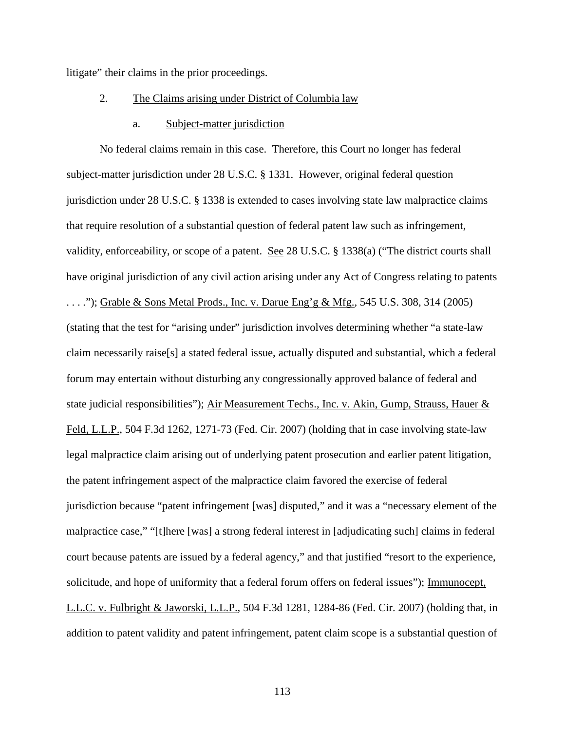litigate" their claims in the prior proceedings.

# 2. The Claims arising under District of Columbia law

## a. Subject-matter jurisdiction

No federal claims remain in this case. Therefore, this Court no longer has federal subject-matter jurisdiction under 28 U.S.C. § 1331. However, original federal question jurisdiction under 28 U.S.C. § 1338 is extended to cases involving state law malpractice claims that require resolution of a substantial question of federal patent law such as infringement, validity, enforceability, or scope of a patent. See 28 U.S.C. § 1338(a) ("The district courts shall have original jurisdiction of any civil action arising under any Act of Congress relating to patents . . . ."); Grable & Sons Metal Prods., Inc. v. Darue Eng'g & Mfg.*,* 545 U.S. 308, 314 (2005) (stating that the test for "arising under" jurisdiction involves determining whether "a state-law claim necessarily raise[s] a stated federal issue, actually disputed and substantial, which a federal forum may entertain without disturbing any congressionally approved balance of federal and state judicial responsibilities"); Air Measurement Techs., Inc. v. Akin, Gump, Strauss, Hauer & Feld, L.L.P., 504 F.3d 1262, 1271-73 (Fed. Cir. 2007) (holding that in case involving state-law legal malpractice claim arising out of underlying patent prosecution and earlier patent litigation, the patent infringement aspect of the malpractice claim favored the exercise of federal jurisdiction because "patent infringement [was] disputed," and it was a "necessary element of the malpractice case," "[t]here [was] a strong federal interest in [adjudicating such] claims in federal court because patents are issued by a federal agency," and that justified "resort to the experience, solicitude, and hope of uniformity that a federal forum offers on federal issues"); Immunocept, L.L.C. v. Fulbright & Jaworski, L.L.P., 504 F.3d 1281, 1284-86 (Fed. Cir. 2007) (holding that, in addition to patent validity and patent infringement, patent claim scope is a substantial question of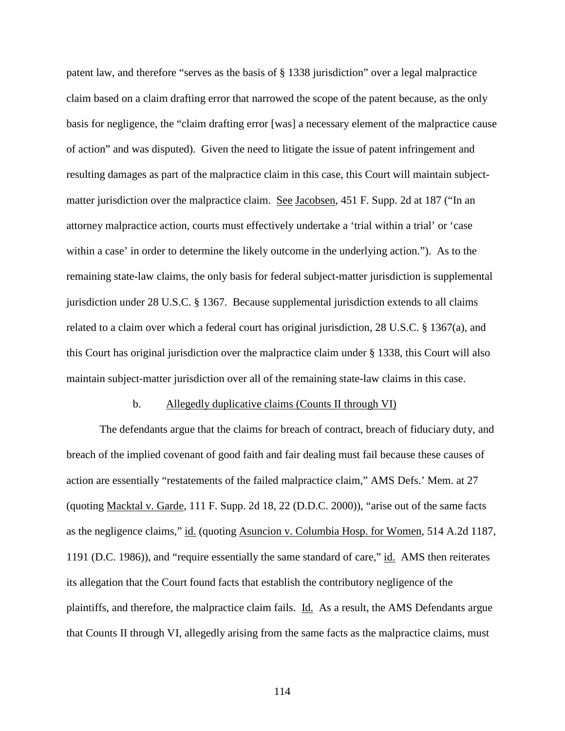patent law, and therefore "serves as the basis of § 1338 jurisdiction" over a legal malpractice claim based on a claim drafting error that narrowed the scope of the patent because, as the only basis for negligence, the "claim drafting error [was] a necessary element of the malpractice cause of action" and was disputed). Given the need to litigate the issue of patent infringement and resulting damages as part of the malpractice claim in this case, this Court will maintain subjectmatter jurisdiction over the malpractice claim. See Jacobsen, 451 F. Supp. 2d at 187 ("In an attorney malpractice action, courts must effectively undertake a 'trial within a trial' or 'case within a case' in order to determine the likely outcome in the underlying action."). As to the remaining state-law claims, the only basis for federal subject-matter jurisdiction is supplemental jurisdiction under 28 U.S.C. § 1367. Because supplemental jurisdiction extends to all claims related to a claim over which a federal court has original jurisdiction, 28 U.S.C. § 1367(a), and this Court has original jurisdiction over the malpractice claim under § 1338, this Court will also maintain subject-matter jurisdiction over all of the remaining state-law claims in this case.

#### b. Allegedly duplicative claims (Counts II through VI)

The defendants argue that the claims for breach of contract, breach of fiduciary duty, and breach of the implied covenant of good faith and fair dealing must fail because these causes of action are essentially "restatements of the failed malpractice claim," AMS Defs.' Mem. at 27 (quoting Macktal v. Garde, 111 F. Supp. 2d 18, 22 (D.D.C. 2000)), "arise out of the same facts as the negligence claims," id. (quoting Asuncion v. Columbia Hosp. for Women, 514 A.2d 1187, 1191 (D.C. 1986)), and "require essentially the same standard of care," id. AMS then reiterates its allegation that the Court found facts that establish the contributory negligence of the plaintiffs, and therefore, the malpractice claim fails. Id. As a result, the AMS Defendants argue that Counts II through VI, allegedly arising from the same facts as the malpractice claims, must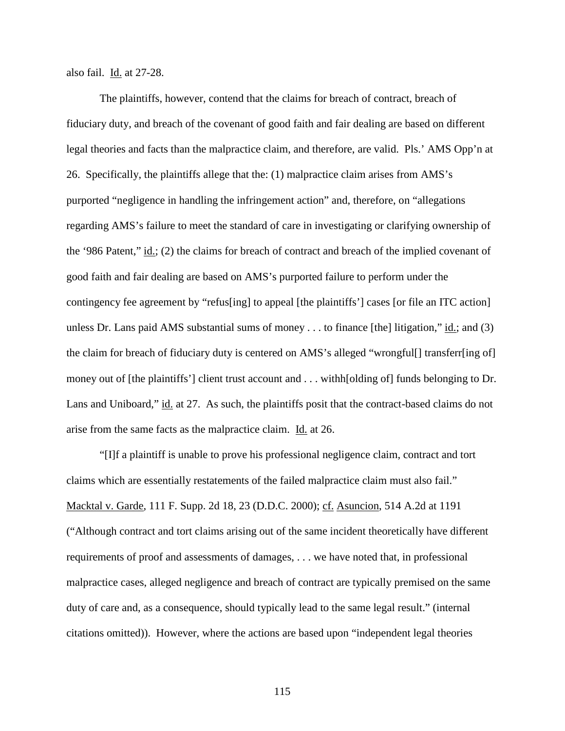also fail. Id. at 27-28.

The plaintiffs, however, contend that the claims for breach of contract, breach of fiduciary duty, and breach of the covenant of good faith and fair dealing are based on different legal theories and facts than the malpractice claim, and therefore, are valid. Pls.' AMS Opp'n at 26. Specifically, the plaintiffs allege that the: (1) malpractice claim arises from AMS's purported "negligence in handling the infringement action" and, therefore, on "allegations regarding AMS's failure to meet the standard of care in investigating or clarifying ownership of the '986 Patent," id.; (2) the claims for breach of contract and breach of the implied covenant of good faith and fair dealing are based on AMS's purported failure to perform under the contingency fee agreement by "refus[ing] to appeal [the plaintiffs'] cases [or file an ITC action] unless Dr. Lans paid AMS substantial sums of money . . . to finance [the] litigation," id.; and (3) the claim for breach of fiduciary duty is centered on AMS's alleged "wrongful[] transferr[ing of] money out of [the plaintiffs'] client trust account and . . . withh[olding of] funds belonging to Dr. Lans and Uniboard," id. at 27. As such, the plaintiffs posit that the contract-based claims do not arise from the same facts as the malpractice claim. Id. at 26.

"[I]f a plaintiff is unable to prove his professional negligence claim, contract and tort claims which are essentially restatements of the failed malpractice claim must also fail." Macktal v. Garde, 111 F. Supp. 2d 18, 23 (D.D.C. 2000); cf. Asuncion, 514 A.2d at 1191 ("Although contract and tort claims arising out of the same incident theoretically have different requirements of proof and assessments of damages, . . . we have noted that, in professional malpractice cases, alleged negligence and breach of contract are typically premised on the same duty of care and, as a consequence, should typically lead to the same legal result." (internal citations omitted)). However, where the actions are based upon "independent legal theories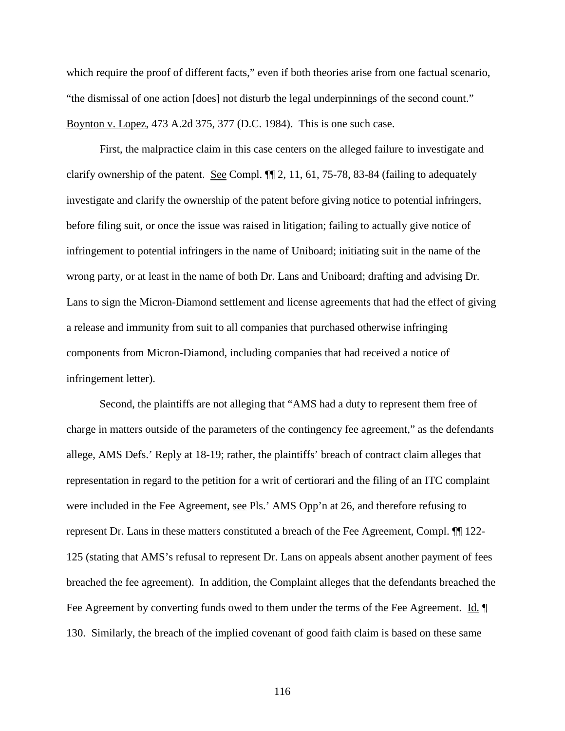which require the proof of different facts," even if both theories arise from one factual scenario, "the dismissal of one action [does] not disturb the legal underpinnings of the second count." Boynton v. Lopez, 473 A.2d 375, 377 (D.C. 1984). This is one such case.

First, the malpractice claim in this case centers on the alleged failure to investigate and clarify ownership of the patent. See Compl. ¶¶ 2, 11, 61, 75-78, 83-84 (failing to adequately investigate and clarify the ownership of the patent before giving notice to potential infringers, before filing suit, or once the issue was raised in litigation; failing to actually give notice of infringement to potential infringers in the name of Uniboard; initiating suit in the name of the wrong party, or at least in the name of both Dr. Lans and Uniboard; drafting and advising Dr. Lans to sign the Micron-Diamond settlement and license agreements that had the effect of giving a release and immunity from suit to all companies that purchased otherwise infringing components from Micron-Diamond, including companies that had received a notice of infringement letter).

Second, the plaintiffs are not alleging that "AMS had a duty to represent them free of charge in matters outside of the parameters of the contingency fee agreement," as the defendants allege, AMS Defs.' Reply at 18-19; rather, the plaintiffs' breach of contract claim alleges that representation in regard to the petition for a writ of certiorari and the filing of an ITC complaint were included in the Fee Agreement, see Pls.' AMS Opp'n at 26, and therefore refusing to represent Dr. Lans in these matters constituted a breach of the Fee Agreement, Compl. ¶¶ 122- 125 (stating that AMS's refusal to represent Dr. Lans on appeals absent another payment of fees breached the fee agreement). In addition, the Complaint alleges that the defendants breached the Fee Agreement by converting funds owed to them under the terms of the Fee Agreement. Id. 130. Similarly, the breach of the implied covenant of good faith claim is based on these same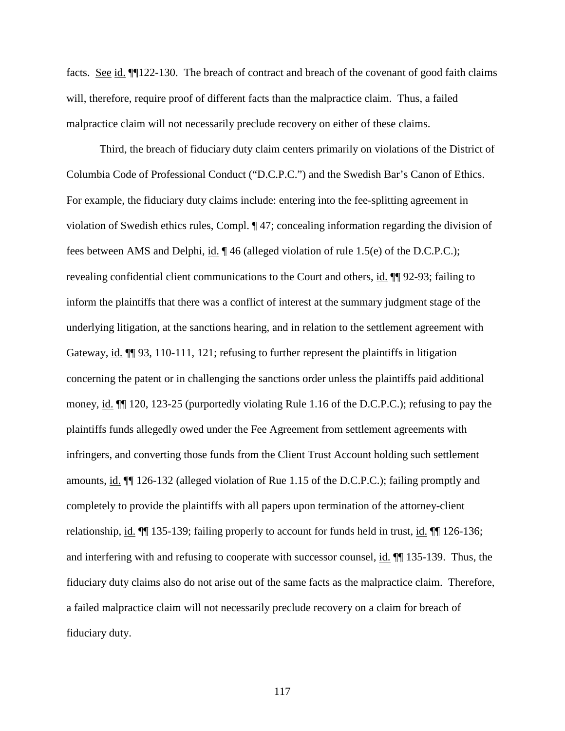facts. See id. ¶¶122-130. The breach of contract and breach of the covenant of good faith claims will, therefore, require proof of different facts than the malpractice claim. Thus, a failed malpractice claim will not necessarily preclude recovery on either of these claims.

Third, the breach of fiduciary duty claim centers primarily on violations of the District of Columbia Code of Professional Conduct ("D.C.P.C.") and the Swedish Bar's Canon of Ethics. For example, the fiduciary duty claims include: entering into the fee-splitting agreement in violation of Swedish ethics rules, Compl. ¶ 47; concealing information regarding the division of fees between AMS and Delphi, id. ¶ 46 (alleged violation of rule 1.5(e) of the D.C.P.C.); revealing confidential client communications to the Court and others, id. ¶¶ 92-93; failing to inform the plaintiffs that there was a conflict of interest at the summary judgment stage of the underlying litigation, at the sanctions hearing, and in relation to the settlement agreement with Gateway, id.  $\P$ [93, 110-111, 121; refusing to further represent the plaintiffs in litigation concerning the patent or in challenging the sanctions order unless the plaintiffs paid additional money, id. ¶¶ 120, 123-25 (purportedly violating Rule 1.16 of the D.C.P.C.); refusing to pay the plaintiffs funds allegedly owed under the Fee Agreement from settlement agreements with infringers, and converting those funds from the Client Trust Account holding such settlement amounts, id. ¶¶ 126-132 (alleged violation of Rue 1.15 of the D.C.P.C.); failing promptly and completely to provide the plaintiffs with all papers upon termination of the attorney-client relationship, <u>id.</u>  $\P$  135-139; failing properly to account for funds held in trust, <u>id.</u>  $\P$  126-136; and interfering with and refusing to cooperate with successor counsel, id. ¶¶ 135-139. Thus, the fiduciary duty claims also do not arise out of the same facts as the malpractice claim. Therefore, a failed malpractice claim will not necessarily preclude recovery on a claim for breach of fiduciary duty.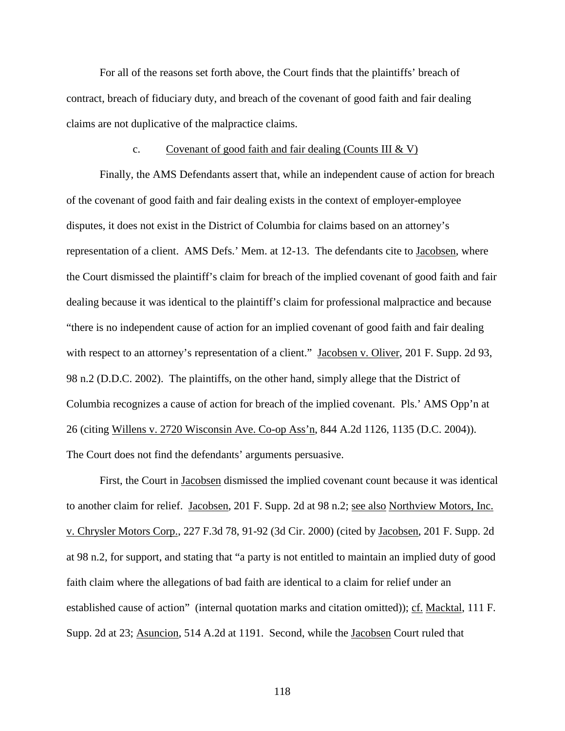For all of the reasons set forth above, the Court finds that the plaintiffs' breach of contract, breach of fiduciary duty, and breach of the covenant of good faith and fair dealing claims are not duplicative of the malpractice claims.

### c. Covenant of good faith and fair dealing (Counts III  $&V$ )

Finally, the AMS Defendants assert that, while an independent cause of action for breach of the covenant of good faith and fair dealing exists in the context of employer-employee disputes, it does not exist in the District of Columbia for claims based on an attorney's representation of a client. AMS Defs.' Mem. at 12-13. The defendants cite to Jacobsen, where the Court dismissed the plaintiff's claim for breach of the implied covenant of good faith and fair dealing because it was identical to the plaintiff's claim for professional malpractice and because "there is no independent cause of action for an implied covenant of good faith and fair dealing with respect to an attorney's representation of a client." Jacobsen v. Oliver, 201 F. Supp. 2d 93, 98 n.2 (D.D.C. 2002). The plaintiffs, on the other hand, simply allege that the District of Columbia recognizes a cause of action for breach of the implied covenant. Pls.' AMS Opp'n at 26 (citing Willens v. 2720 Wisconsin Ave. Co-op Ass'n, 844 A.2d 1126, 1135 (D.C. 2004)). The Court does not find the defendants' arguments persuasive.

First, the Court in Jacobsen dismissed the implied covenant count because it was identical to another claim for relief. Jacobsen, 201 F. Supp. 2d at 98 n.2; see also Northview Motors, Inc. v. Chrysler Motors Corp., 227 F.3d 78, 91-92 (3d Cir. 2000) (cited by Jacobsen, 201 F. Supp. 2d at 98 n.2, for support, and stating that "a party is not entitled to maintain an implied duty of good faith claim where the allegations of bad faith are identical to a claim for relief under an established cause of action" (internal quotation marks and citation omitted)); cf. Macktal, 111 F. Supp. 2d at 23; Asuncion, 514 A.2d at 1191. Second, while the Jacobsen Court ruled that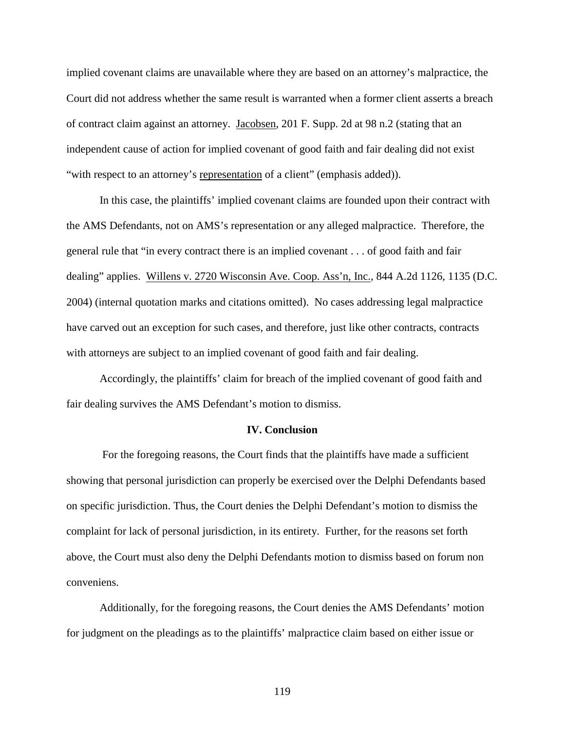implied covenant claims are unavailable where they are based on an attorney's malpractice, the Court did not address whether the same result is warranted when a former client asserts a breach of contract claim against an attorney. Jacobsen, 201 F. Supp. 2d at 98 n.2 (stating that an independent cause of action for implied covenant of good faith and fair dealing did not exist "with respect to an attorney's representation of a client" (emphasis added)).

In this case, the plaintiffs' implied covenant claims are founded upon their contract with the AMS Defendants, not on AMS's representation or any alleged malpractice. Therefore, the general rule that "in every contract there is an implied covenant . . . of good faith and fair dealing" applies. Willens v. 2720 Wisconsin Ave. Coop. Ass'n, Inc., 844 A.2d 1126, 1135 (D.C. 2004) (internal quotation marks and citations omitted). No cases addressing legal malpractice have carved out an exception for such cases, and therefore, just like other contracts, contracts with attorneys are subject to an implied covenant of good faith and fair dealing.

Accordingly, the plaintiffs' claim for breach of the implied covenant of good faith and fair dealing survives the AMS Defendant's motion to dismiss.

### **IV. Conclusion**

For the foregoing reasons, the Court finds that the plaintiffs have made a sufficient showing that personal jurisdiction can properly be exercised over the Delphi Defendants based on specific jurisdiction. Thus, the Court denies the Delphi Defendant's motion to dismiss the complaint for lack of personal jurisdiction, in its entirety. Further, for the reasons set forth above, the Court must also deny the Delphi Defendants motion to dismiss based on forum non conveniens.

Additionally, for the foregoing reasons, the Court denies the AMS Defendants' motion for judgment on the pleadings as to the plaintiffs' malpractice claim based on either issue or